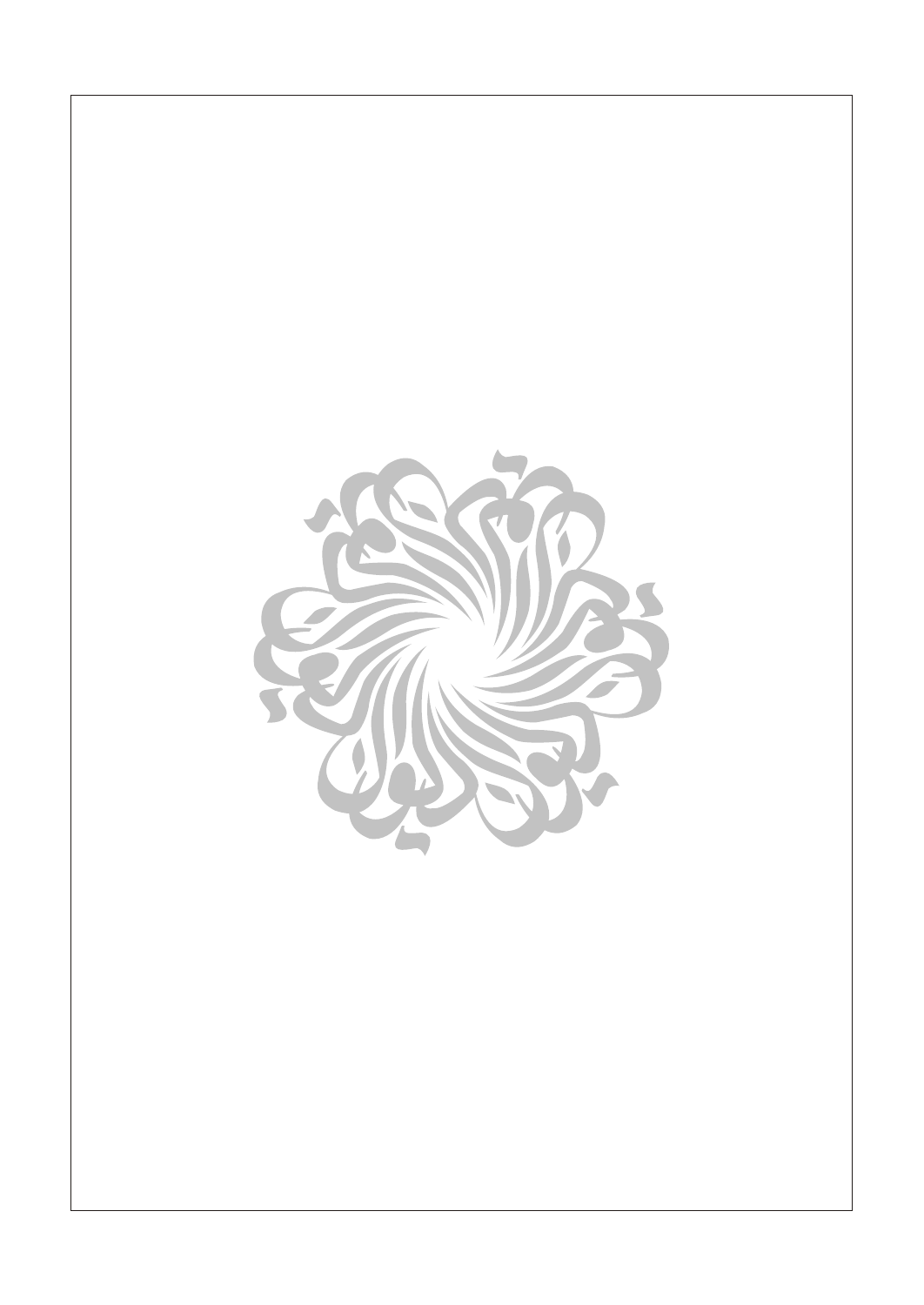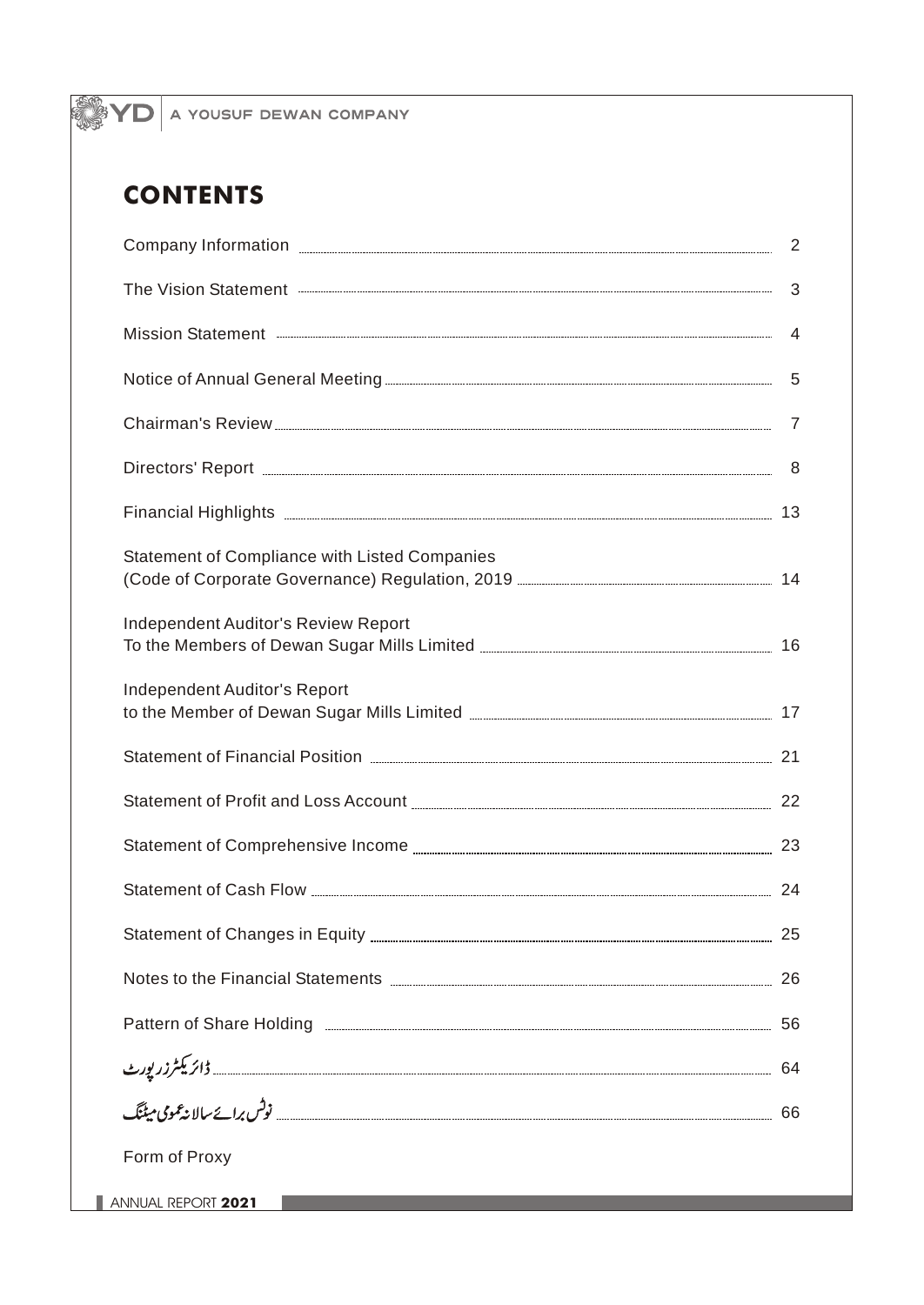**WEYD** A YOUSUF DEWAN COMPANY

# **CONTENTS**

|                                                                                                                                                                                                                                     | 2  |
|-------------------------------------------------------------------------------------------------------------------------------------------------------------------------------------------------------------------------------------|----|
| The Vision Statement <b>Electron Communities</b> and the Vision Statement and The Vision Statement and The Vision Statement and The Vision Statement and The Vision Statement and The Vision Statement and The Vision Statement and | 3  |
|                                                                                                                                                                                                                                     |    |
|                                                                                                                                                                                                                                     | 5  |
|                                                                                                                                                                                                                                     | 7  |
|                                                                                                                                                                                                                                     | 8  |
|                                                                                                                                                                                                                                     |    |
| <b>Statement of Compliance with Listed Companies</b>                                                                                                                                                                                |    |
| Independent Auditor's Review Report                                                                                                                                                                                                 |    |
| Independent Auditor's Report                                                                                                                                                                                                        |    |
|                                                                                                                                                                                                                                     |    |
|                                                                                                                                                                                                                                     |    |
|                                                                                                                                                                                                                                     |    |
|                                                                                                                                                                                                                                     | 24 |
|                                                                                                                                                                                                                                     | 25 |
|                                                                                                                                                                                                                                     |    |
|                                                                                                                                                                                                                                     |    |
|                                                                                                                                                                                                                                     |    |
|                                                                                                                                                                                                                                     |    |
| Form of Proxy                                                                                                                                                                                                                       |    |

ANNUAL REPORT **2021**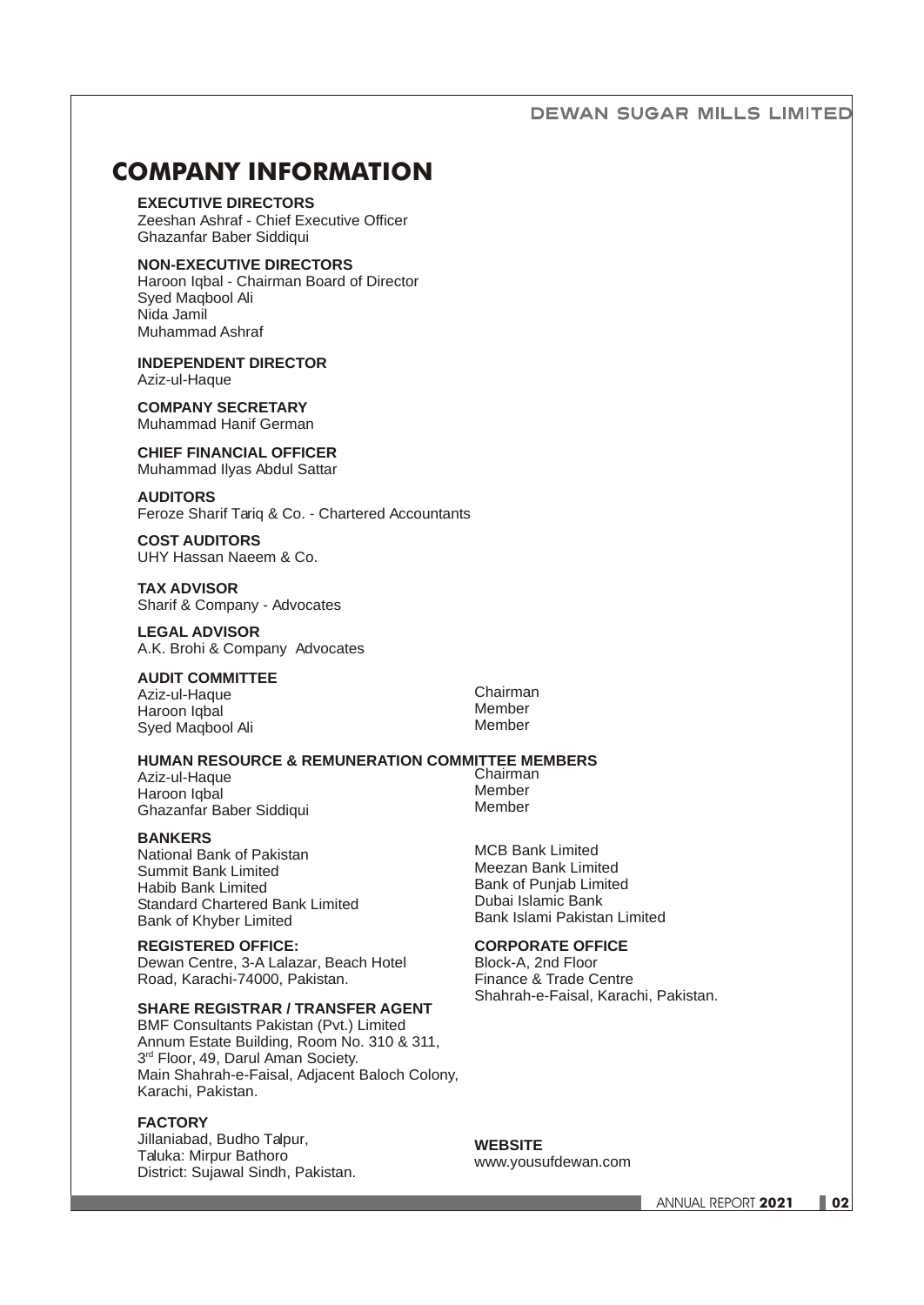## **COMPANY INFORMATION**

**EXECUTIVE DIRECTORS** Zeeshan Ashraf - Chief Executive Officer Ghazanfar Baber Siddiqui

#### **NON-EXECUTIVE DIRECTORS**

Haroon Iqbal - Chairman Board of Director Syed Maqbool Ali Nida Jamil Muhammad Ashraf

**INDEPENDENT DIRECTOR** Aziz-ul-Haque

**COMPANY SECRETARY** Muhammad Hanif German

**CHIEF FINANCIAL OFFICER** Muhammad Ilyas Abdul Sattar

**AUDITORS** Feroze Sharif Tariq & Co. - Chartered Accountants

**COST AUDITORS** UHY Hassan Naeem & Co.

**TAX ADVISOR** Sharif & Company - Advocates

**LEGAL ADVISOR** A.K. Brohi & Company Advocates

## **AUDIT COMMITTEE**

Aziz-ul-Haque Haroon Iqbal Syed Maqbool Ali

Chairman Member Member

## **HUMAN RESOURCE & REMUNERATION COMMITTEE MEMBERS**

Aziz-ul-Haque Haroon Iqbal Ghazanfar Baber Siddiqui

## **BANKERS**

National Bank of Pakistan Summit Bank Limited Habib Bank Limited Standard Chartered Bank Limited Bank of Khyber Limited

#### **REGISTERED OFFICE:**

Dewan Centre, 3-A Lalazar, Beach Hotel Road, Karachi-74000, Pakistan.

#### **SHARE REGISTRAR / TRANSFER AGENT**

BMF Consultants Pakistan (Pvt.) Limited Annum Estate Building, Room No. 310 & 311, 3<sup>rd</sup> Floor, 49, Darul Aman Society. Main Shahrah-e-Faisal, Adjacent Baloch Colony, Karachi, Pakistan.

## **FACTORY**

Jillaniabad, Budho Talpur, Taluka: Mirpur Bathoro District: Sujawal Sindh, Pakistan.

**Chairman** Member Member

MCB Bank Limited Meezan Bank Limited Bank of Punjab Limited Dubai Islamic Bank Bank Islami Pakistan Limited

## **CORPORATE OFFICE**

Block-A, 2nd Floor Finance & Trade Centre Shahrah-e-Faisal, Karachi, Pakistan.

**WEBSITE** www.yousufdewan.com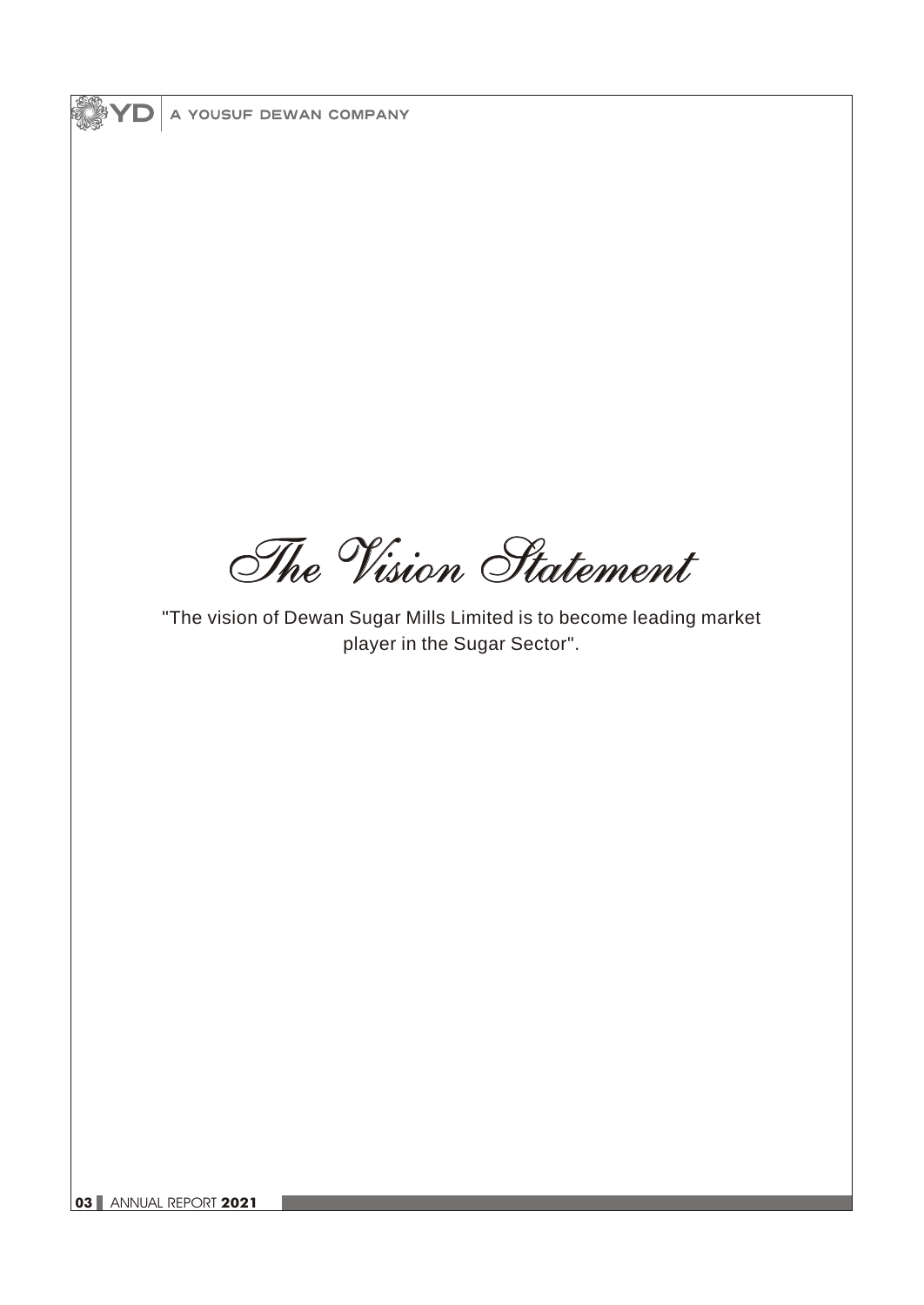$\mathbf{Y}$  A YOUSUF DEWAN COMPANY

*The Vision Statement*

"The vision of Dewan Sugar Mills Limited is to become leading market player in the Sugar Sector".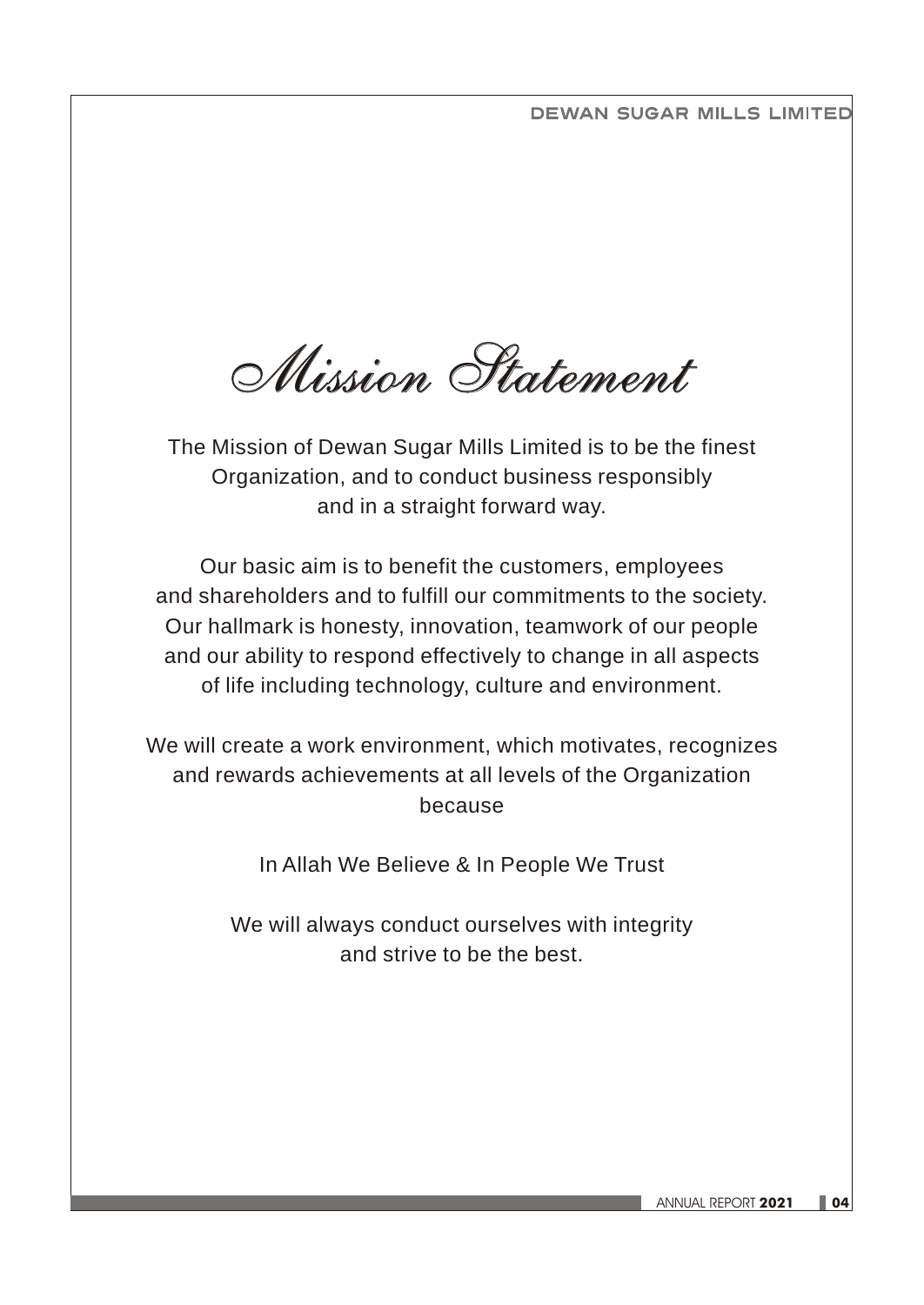*Mission Statement*

The Mission of Dewan Sugar Mills Limited is to be the finest Organization, and to conduct business responsibly and in a straight forward way.

Our basic aim is to benefit the customers, employees and shareholders and to fulfill our commitments to the society. Our hallmark is honesty, innovation, teamwork of our people and our ability to respond effectively to change in all aspects of life including technology, culture and environment.

We will create a work environment, which motivates, recognizes and rewards achievements at all levels of the Organization because

In Allah We Believe & In People We Trust

We will always conduct ourselves with integrity and strive to be the best.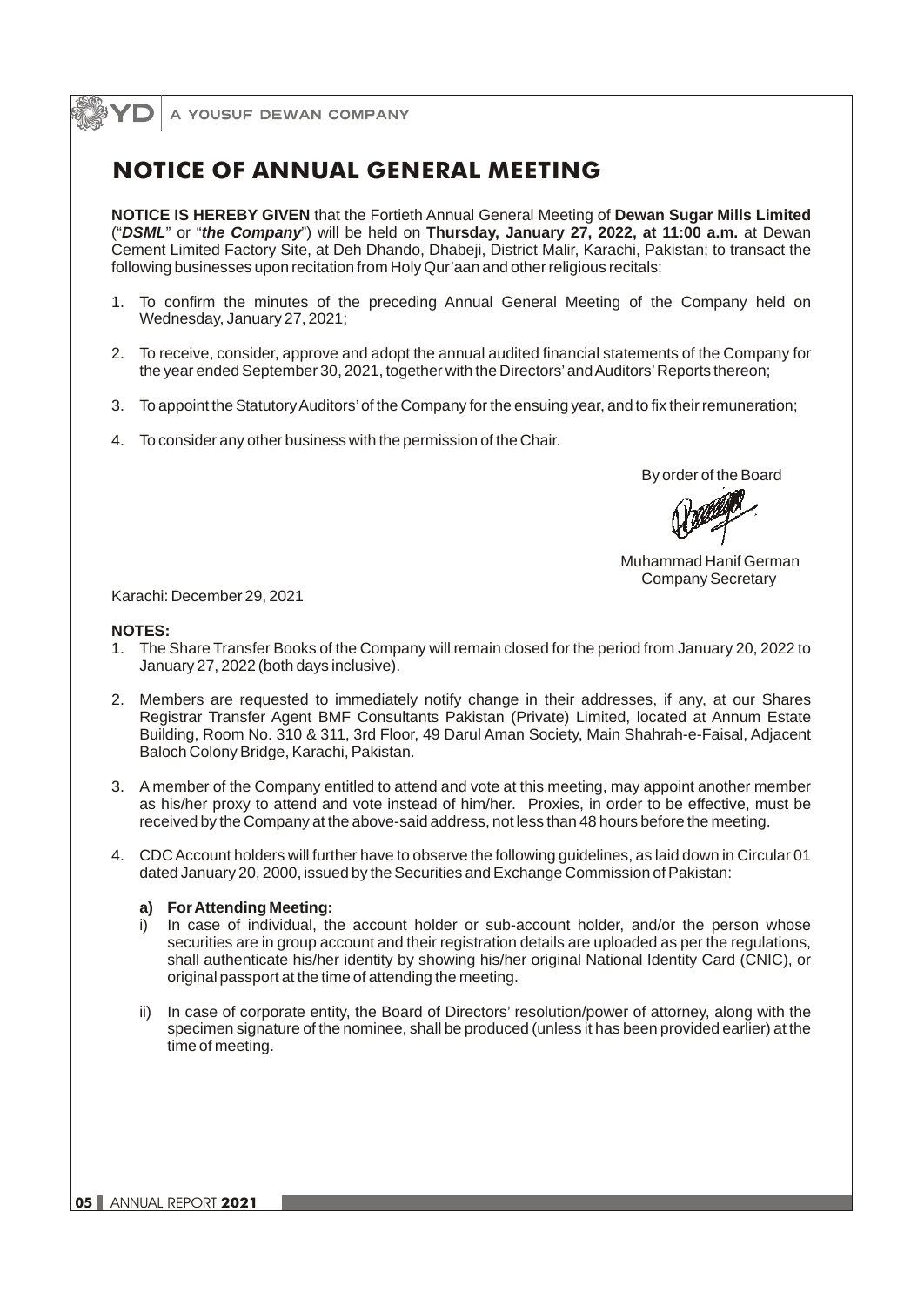## **NOTICE OF ANNUAL GENERAL MEETING**

**NOTICE IS HEREBY GIVEN** that the Fortieth Annual General Meeting of **Dewan Sugar Mills Limited** ("*DSML*" or "*the Company*") will be held on **Thursday, January 27, 2022, at 11:00 a.m.** at Dewan Cement Limited Factory Site, at Deh Dhando, Dhabeji, District Malir, Karachi, Pakistan; to transact the following businesses upon recitation from Holy Qur'aan and other religious recitals:

- 1. To confirm the minutes of the preceding Annual General Meeting of the Company held on Wednesday, January 27, 2021;
- 2. To receive, consider, approve and adopt the annual audited financial statements of the Company for the year ended September 30, 2021, together with the Directors' and Auditors' Reports thereon;
- 3. To appoint the Statutory Auditors' of the Company for the ensuing year, and to fix their remuneration;
- 4. To consider any other business with the permission of the Chair.

By order of the Board

 Muhammad Hanif German Company Secretary

Karachi: December 29, 2021

#### **NOTES:**

- 1. The Share Transfer Books of the Company will remain closed for the period from January 20, 2022 to January 27, 2022 (both days inclusive).
- 2. Members are requested to immediately notify change in their addresses, if any, at our Shares Registrar Transfer Agent BMF Consultants Pakistan (Private) Limited, located at Annum Estate Building, Room No. 310 & 311, 3rd Floor, 49 Darul Aman Society, Main Shahrah-e-Faisal, Adjacent Baloch Colony Bridge, Karachi, Pakistan.
- 3. A member of the Company entitled to attend and vote at this meeting, may appoint another member as his/her proxy to attend and vote instead of him/her. Proxies, in order to be effective, must be received by the Company at the above-said address, not less than 48 hours before the meeting.
- 4. CDC Account holders will further have to observe the following guidelines, as laid down in Circular 01 dated January 20, 2000, issued by the Securities and Exchange Commission of Pakistan:

## **a) For Attending Meeting:**

- i) In case of individual, the account holder or sub-account holder, and/or the person whose securities are in group account and their registration details are uploaded as per the regulations, shall authenticate his/her identity by showing his/her original National Identity Card (CNIC), or original passport at the time of attending the meeting.
- ii) In case of corporate entity, the Board of Directors' resolution/power of attorney, along with the specimen signature of the nominee, shall be produced (unless it has been provided earlier) at the time of meeting.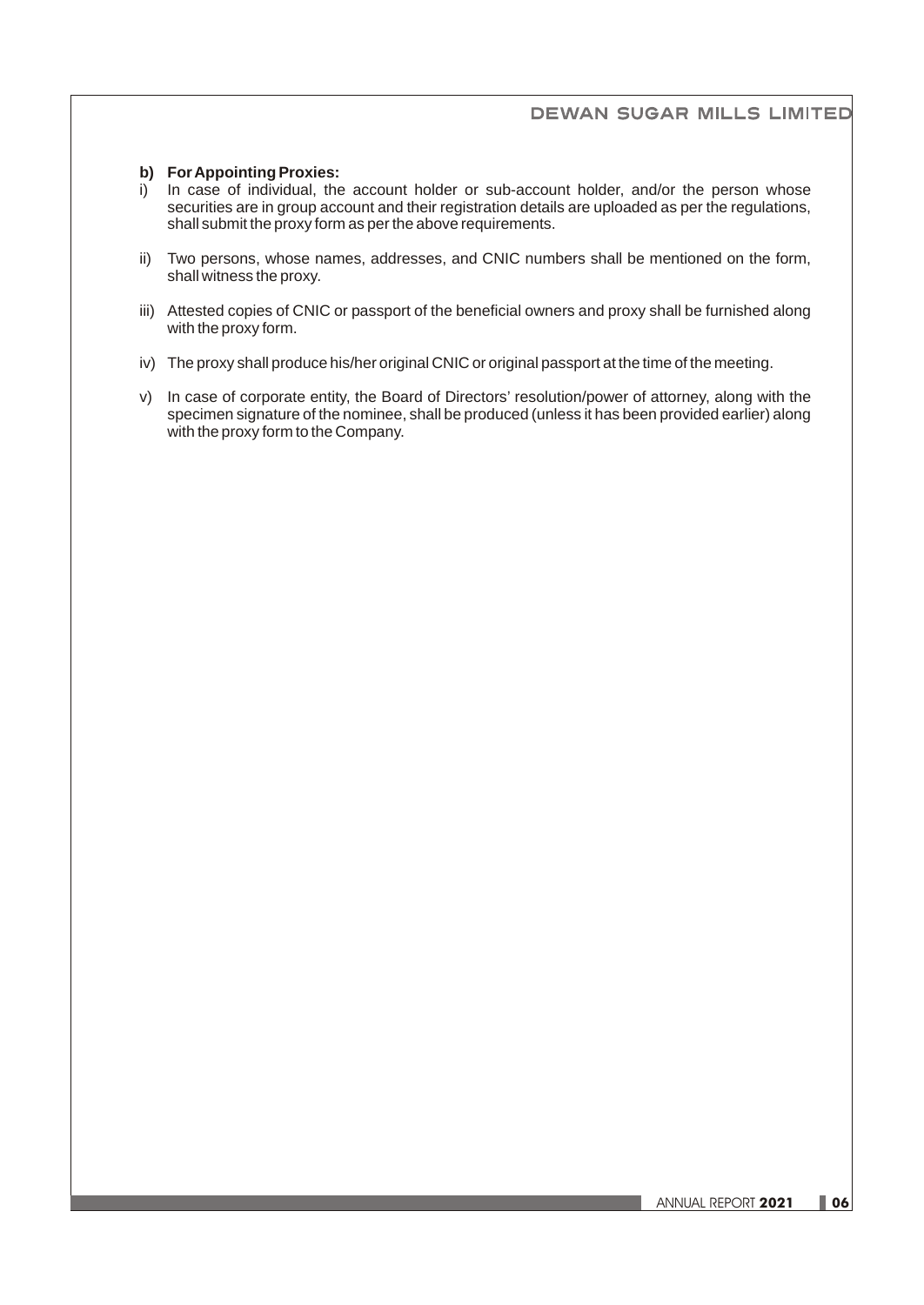## **b) For Appointing Proxies:**

- i) In case of individual, the account holder or sub-account holder, and/or the person whose securities are in group account and their registration details are uploaded as per the regulations, shall submit the proxy form as per the above requirements.
- ii) Two persons, whose names, addresses, and CNIC numbers shall be mentioned on the form, shall witness the proxy.
- iii) Attested copies of CNIC or passport of the beneficial owners and proxy shall be furnished along with the proxy form.
- iv) The proxy shall produce his/her original CNIC or original passport at the time of the meeting.
- v) In case of corporate entity, the Board of Directors' resolution/power of attorney, along with the specimen signature of the nominee, shall be produced (unless it has been provided earlier) along with the proxy form to the Company.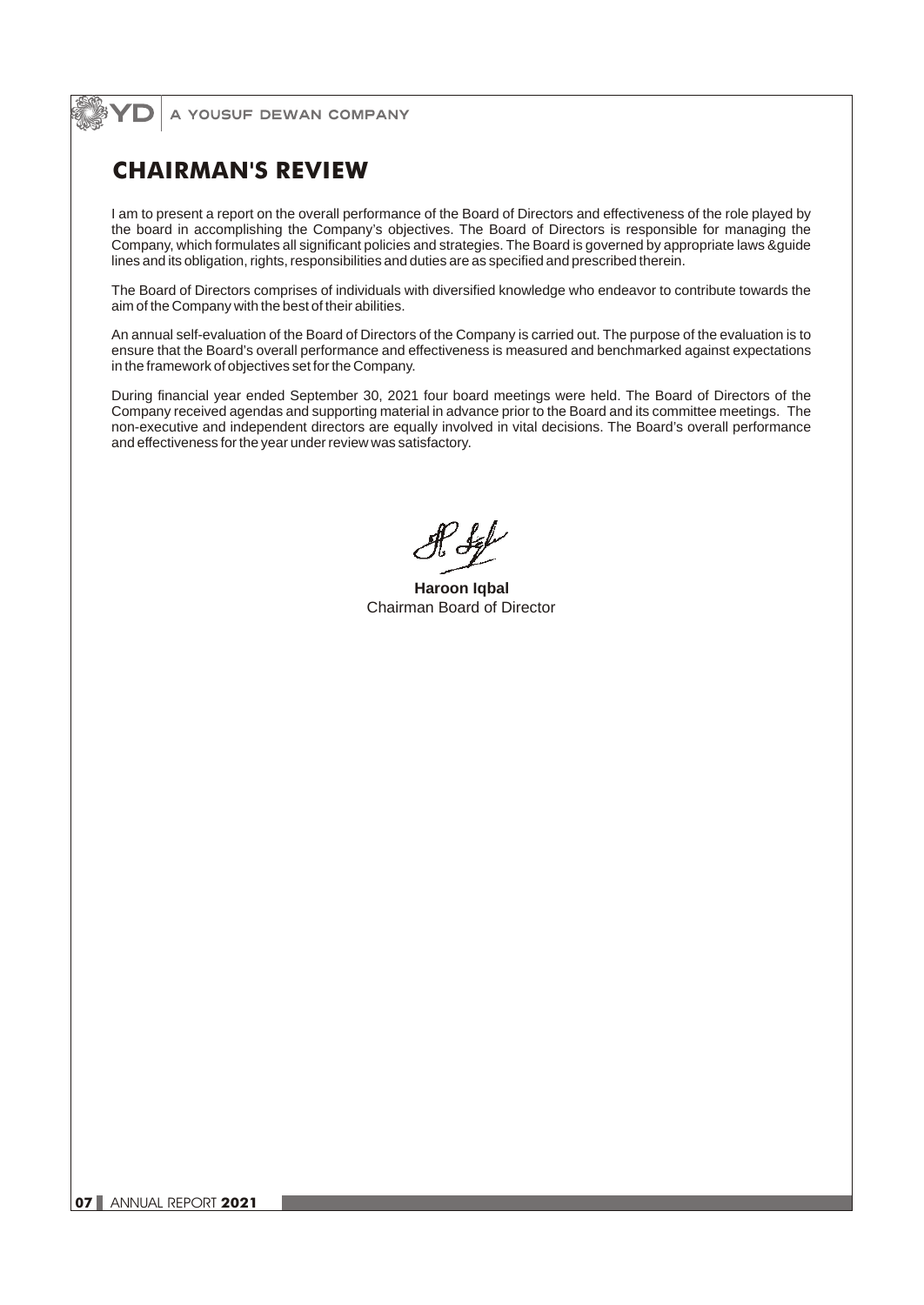## **CHAIRMAN'S REVIEW**

I am to present a report on the overall performance of the Board of Directors and effectiveness of the role played by the board in accomplishing the Company's objectives. The Board of Directors is responsible for managing the Company, which formulates all significant policies and strategies. The Board is governed by appropriate laws &guide lines and its obligation, rights, responsibilities and duties are as specified and prescribed therein.

The Board of Directors comprises of individuals with diversified knowledge who endeavor to contribute towards the aim of the Company with the best of their abilities.

An annual self-evaluation of the Board of Directors of the Company is carried out. The purpose of the evaluation is to ensure that the Board's overall performance and effectiveness is measured and benchmarked against expectations in the framework of objectives set for the Company.

During financial year ended September 30, 2021 four board meetings were held. The Board of Directors of the Company received agendas and supporting material in advance prior to the Board and its committee meetings. The non-executive and independent directors are equally involved in vital decisions. The Board's overall performance and effectiveness for the year under review was satisfactory.

**Haroon Iqbal** Chairman Board of Director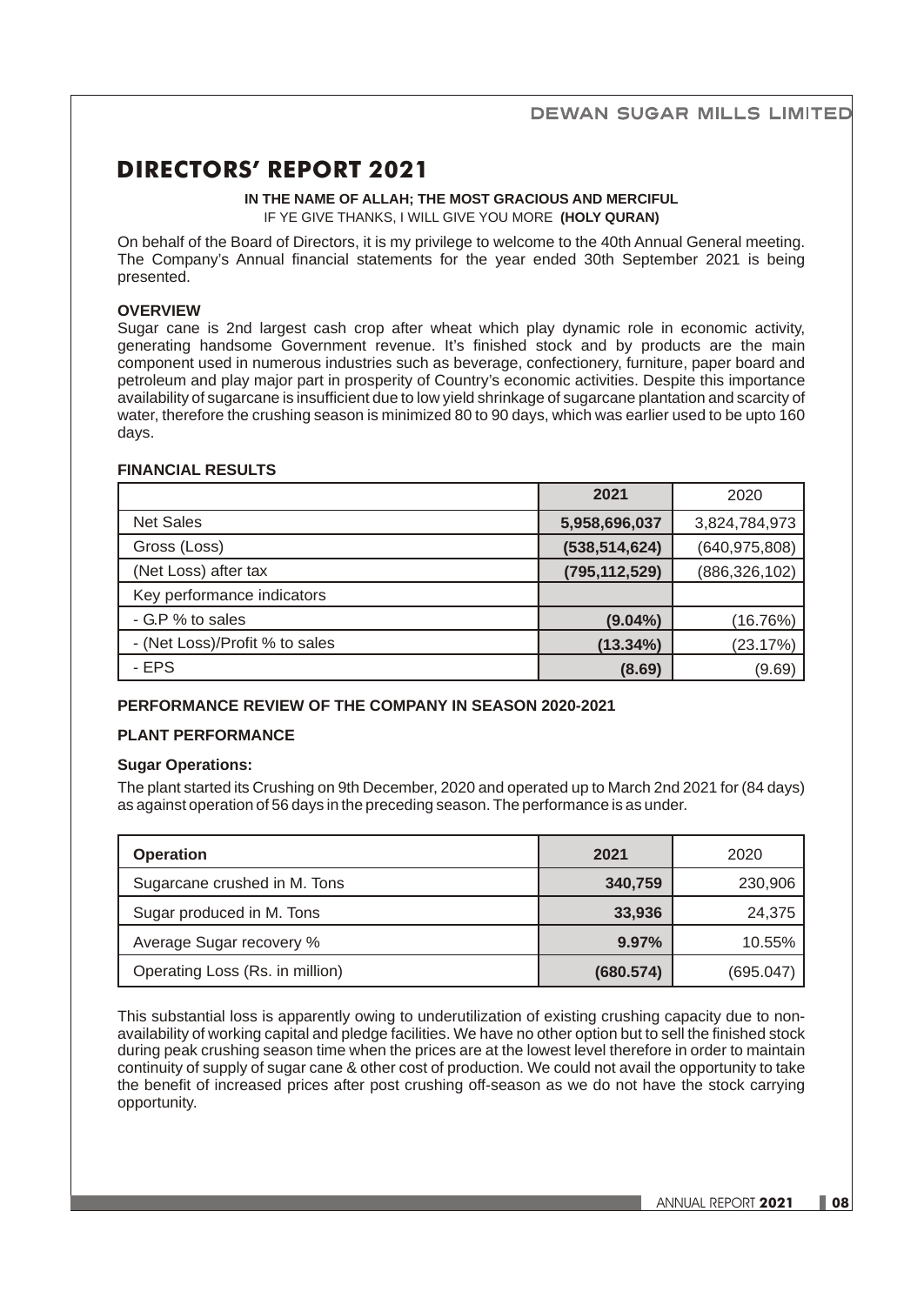## **DIRECTORS' REPORT 2021**

## **IN THE NAME OF ALLAH; THE MOST GRACIOUS AND MERCIFUL**

IF YE GIVE THANKS, I WILL GIVE YOU MORE **(HOLY QURAN)**

On behalf of the Board of Directors, it is my privilege to welcome to the 40th Annual General meeting. The Company's Annual financial statements for the year ended 30th September 2021 is being presented.

## **OVERVIEW**

Sugar cane is 2nd largest cash crop after wheat which play dynamic role in economic activity, generating handsome Government revenue. It's finished stock and by products are the main component used in numerous industries such as beverage, confectionery, furniture, paper board and petroleum and play major part in prosperity of Country's economic activities. Despite this importance availability of sugarcane is insufficient due to low yield shrinkage of sugarcane plantation and scarcity of water, therefore the crushing season is minimized 80 to 90 days, which was earlier used to be upto 160 days.

## **FINANCIAL RESULTS**

|                                | 2021            | 2020            |
|--------------------------------|-----------------|-----------------|
| <b>Net Sales</b>               | 5,958,696,037   | 3,824,784,973   |
| Gross (Loss)                   | (538, 514, 624) | (640, 975, 808) |
| (Net Loss) after tax           | (795, 112, 529) | (886, 326, 102) |
| Key performance indicators     |                 |                 |
| - G.P % to sales               | $(9.04\%)$      | (16.76%)        |
| - (Net Loss)/Profit % to sales | $(13.34\%)$     | (23.17%)        |
| - EPS                          | (8.69)          | (9.69)          |

## **PERFORMANCE REVIEW OF THE COMPANY IN SEASON 2020-2021**

## **PLANT PERFORMANCE**

## **Sugar Operations:**

The plant started its Crushing on 9th December, 2020 and operated up to March 2nd 2021 for (84 days) as against operation of 56 days in the preceding season. The performance is as under.

| <b>Operation</b>                | 2021      | 2020      |
|---------------------------------|-----------|-----------|
| Sugarcane crushed in M. Tons    | 340,759   | 230,906   |
| Sugar produced in M. Tons       | 33,936    | 24,375    |
| Average Sugar recovery %        | 9.97%     | 10.55%    |
| Operating Loss (Rs. in million) | (680.574) | (695.047) |

This substantial loss is apparently owing to underutilization of existing crushing capacity due to nonavailability of working capital and pledge facilities. We have no other option but to sell the finished stock during peak crushing season time when the prices are at the lowest level therefore in order to maintain continuity of supply of sugar cane & other cost of production. We could not avail the opportunity to take the benefit of increased prices after post crushing off-season as we do not have the stock carrying opportunity.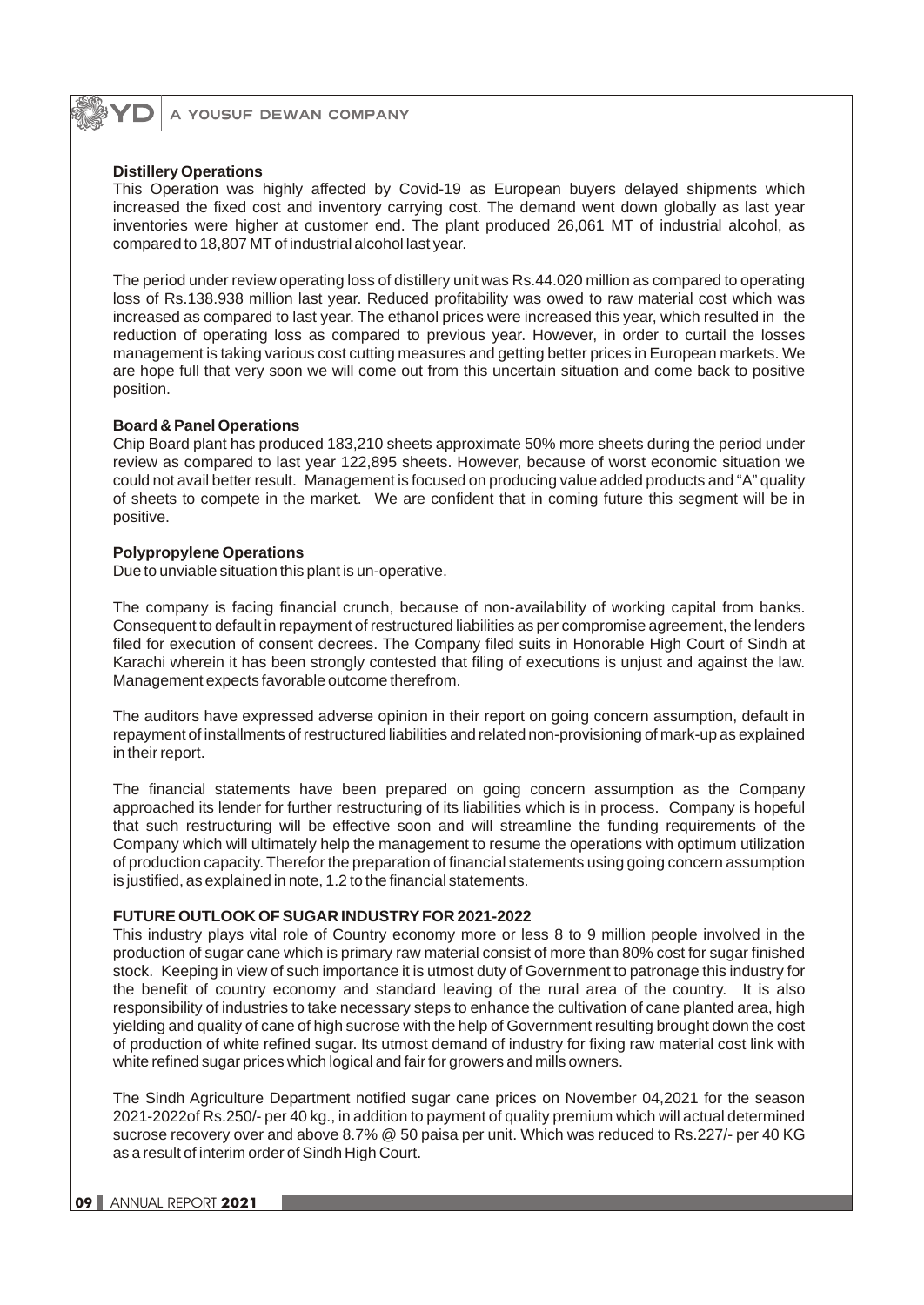#### **Distillery Operations**

This Operation was highly affected by Covid-19 as European buyers delayed shipments which increased the fixed cost and inventory carrying cost. The demand went down globally as last year inventories were higher at customer end. The plant produced 26,061 MT of industrial alcohol, as compared to 18,807 MT of industrial alcohol last year.

The period under review operating loss of distillery unit was Rs.44.020 million as compared to operating loss of Rs.138.938 million last year. Reduced profitability was owed to raw material cost which was increased as compared to last year. The ethanol prices were increased this year, which resulted in the reduction of operating loss as compared to previous year. However, in order to curtail the losses management is taking various cost cutting measures and getting better prices in European markets. We are hope full that very soon we will come out from this uncertain situation and come back to positive position.

#### **Board & Panel Operations**

Chip Board plant has produced 183,210 sheets approximate 50% more sheets during the period under review as compared to last year 122,895 sheets. However, because of worst economic situation we could not avail better result. Management is focused on producing value added products and "A" quality of sheets to compete in the market. We are confident that in coming future this segment will be in positive.

#### **Polypropylene Operations**

Due to unviable situation this plant is un-operative.

The company is facing financial crunch, because of non-availability of working capital from banks. Consequent to default in repayment of restructured liabilities as per compromise agreement, the lenders filed for execution of consent decrees. The Company filed suits in Honorable High Court of Sindh at Karachi wherein it has been strongly contested that filing of executions is unjust and against the law. Management expects favorable outcome therefrom.

The auditors have expressed adverse opinion in their report on going concern assumption, default in repayment of installments of restructured liabilities and related non-provisioning of mark-up as explained in their report.

The financial statements have been prepared on going concern assumption as the Company approached its lender for further restructuring of its liabilities which is in process. Company is hopeful that such restructuring will be effective soon and will streamline the funding requirements of the Company which will ultimately help the management to resume the operations with optimum utilization of production capacity. Therefor the preparation of financial statements using going concern assumption is justified, as explained in note, 1.2 to the financial statements.

### **FUTURE OUTLOOK OF SUGAR INDUSTRY FOR 2021-2022**

This industry plays vital role of Country economy more or less 8 to 9 million people involved in the production of sugar cane which is primary raw material consist of more than 80% cost for sugar finished stock. Keeping in view of such importance it is utmost duty of Government to patronage this industry for the benefit of country economy and standard leaving of the rural area of the country. It is also responsibility of industries to take necessary steps to enhance the cultivation of cane planted area, high yielding and quality of cane of high sucrose with the help of Government resulting brought down the cost of production of white refined sugar. Its utmost demand of industry for fixing raw material cost link with white refined sugar prices which logical and fair for growers and mills owners.

The Sindh Agriculture Department notified sugar cane prices on November 04,2021 for the season 2021-2022of Rs.250/- per 40 kg., in addition to payment of quality premium which will actual determined sucrose recovery over and above 8.7% @ 50 paisa per unit. Which was reduced to Rs.227/- per 40 KG as a result of interim order of Sindh High Court.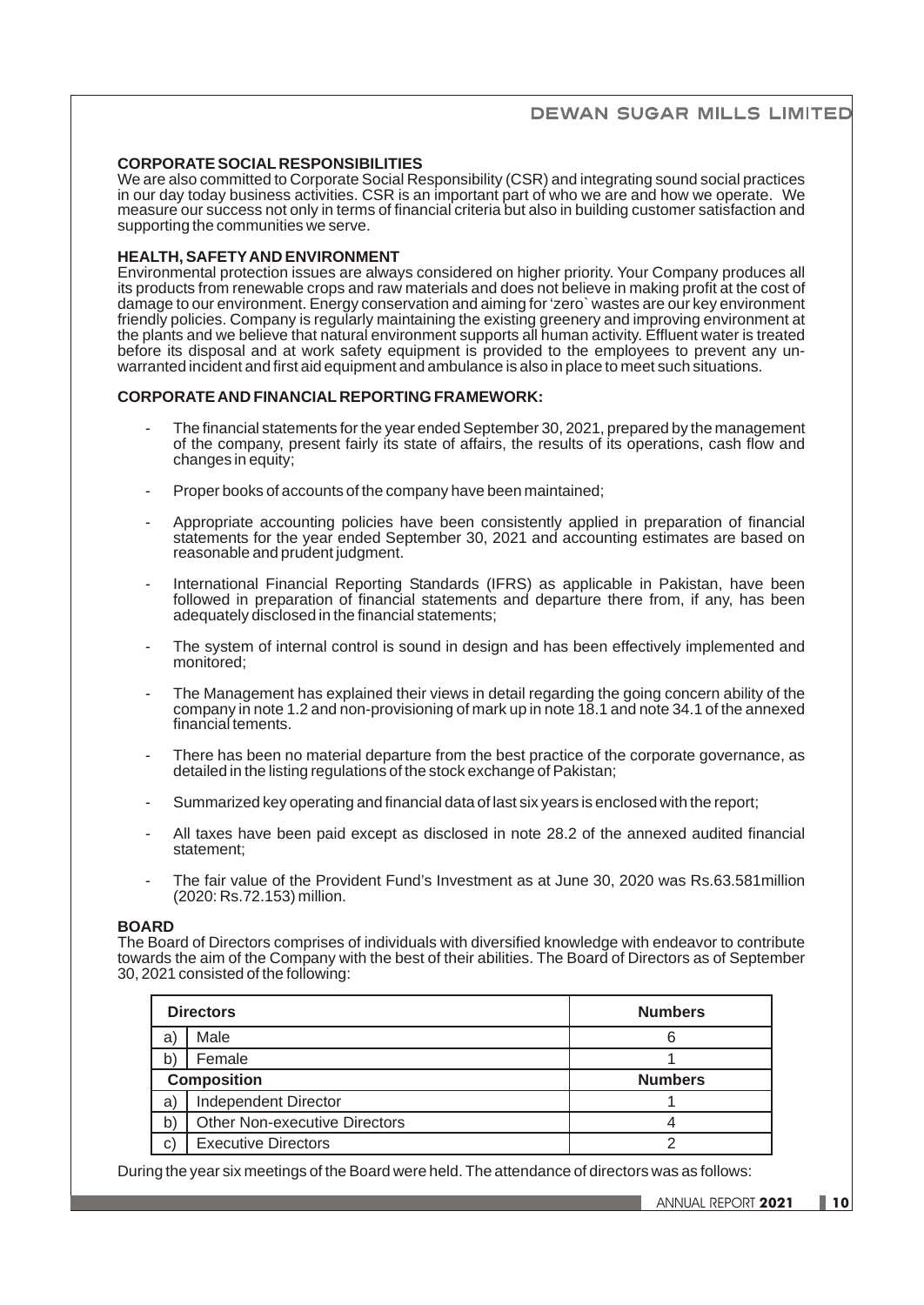## **CORPORATE SOCIAL RESPONSIBILITIES**

We are also committed to Corporate Social Responsibility (CSR) and integrating sound social practices in our day today business activities. CSR is an important part of who we are and how we operate. We measure our success not only in terms of financial criteria but also in building customer satisfaction and supporting the communities we serve.

## **HEALTH, SAFETY AND ENVIRONMENT**

Environmental protection issues are always considered on higher priority. Your Company produces all its products from renewable crops and raw materials and does not believe in making profit at the cost of damage to our environment. Energy conservation and aiming for 'zero` wastes are our key environment friendly policies. Company is regularly maintaining the existing greenery and improving environment at the plants and we believe that natural environment supports all human activity. Effluent water is treated before its disposal and at work safety equipment is provided to the employees to prevent any unwarranted incident and first aid equipment and ambulance is also in place to meet such situations.

## **CORPORATE AND FINANCIAL REPORTING FRAMEWORK:**

- The financial statements for the year ended September 30, 2021, prepared by the management of the company, present fairly its state of affairs, the results of its operations, cash flow and changes in equity;
- Proper books of accounts of the company have been maintained;
- Appropriate accounting policies have been consistently applied in preparation of financial statements for the year ended September 30, 2021 and accounting estimates are based on reasonable and prudent judgment.
- International Financial Reporting Standards (IFRS) as applicable in Pakistan, have been followed in preparation of financial statements and departure there from, if any, has been adequately disclosed in the financial statements;
- The system of internal control is sound in design and has been effectively implemented and monitored;
- The Management has explained their views in detail regarding the going concern ability of the company in note 1.2 and non-provisioning of mark up in note 18.1 and note 34.1 of the annexed financial tements.
- There has been no material departure from the best practice of the corporate governance, as detailed in the listing regulations of the stock exchange of Pakistan;
- Summarized key operating and financial data of last six years is enclosed with the report;
- All taxes have been paid except as disclosed in note 28.2 of the annexed audited financial statement;
- The fair value of the Provident Fund's Investment as at June 30, 2020 was Rs.63.581 million (2020: Rs.72.153) million.

## **BOARD**

The Board of Directors comprises of individuals with diversified knowledge with endeavor to contribute towards the aim of the Company with the best of their abilities. The Board of Directors as of September 30, 2021 consisted of the following:

| <b>Directors</b> |                                      | <b>Numbers</b> |
|------------------|--------------------------------------|----------------|
| a)               | Male                                 |                |
| b)               | Female                               |                |
|                  | <b>Composition</b>                   | <b>Numbers</b> |
| a)               | <b>Independent Director</b>          |                |
| b)               | <b>Other Non-executive Directors</b> |                |
| C)               | <b>Executive Directors</b>           |                |

During the year six meetings of the Board were held. The attendance of directors was as follows: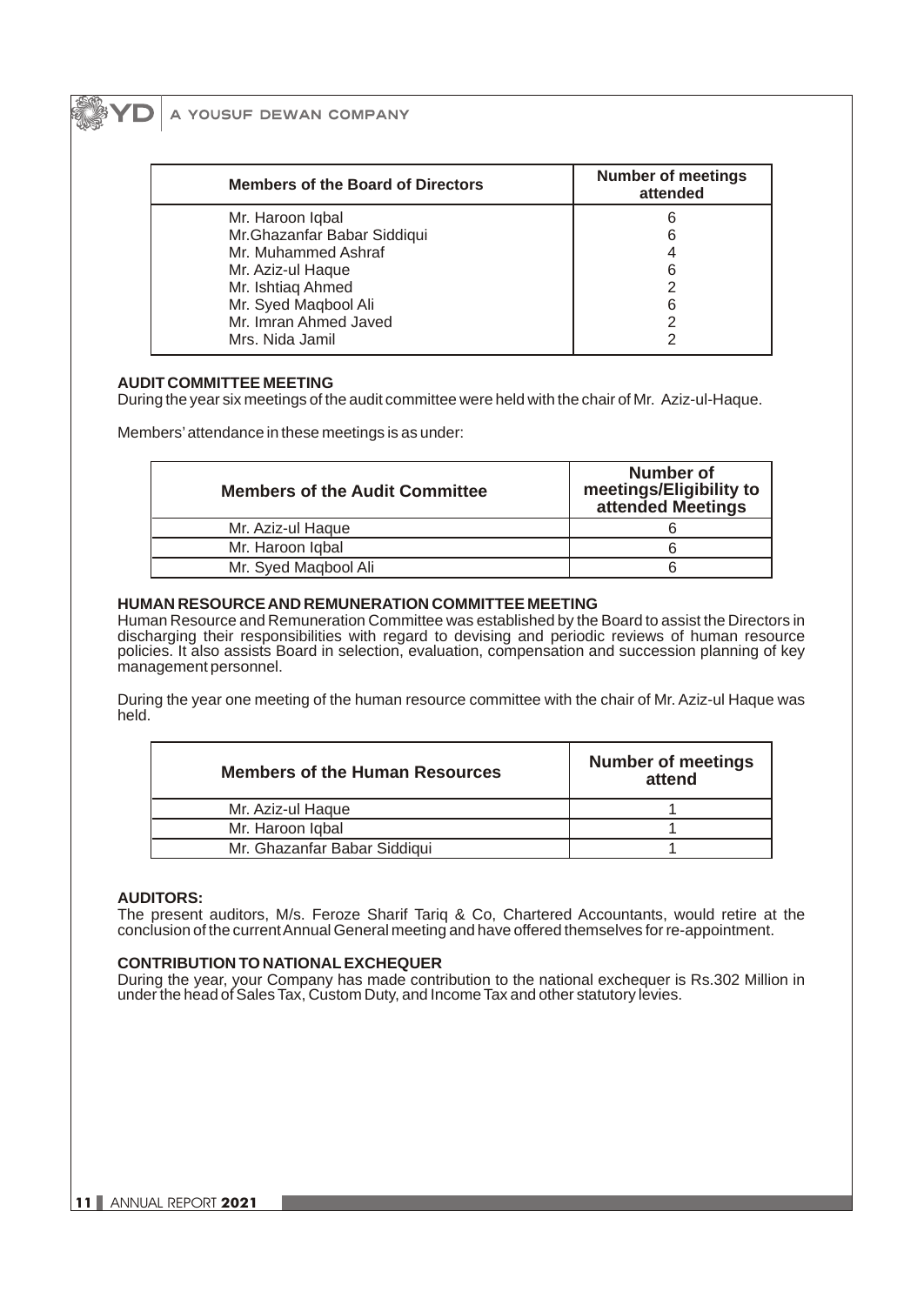| <b>Members of the Board of Directors</b> | <b>Number of meetings</b><br>attended |
|------------------------------------------|---------------------------------------|
| Mr. Haroon Iqbal                         | 6                                     |
| Mr. Ghazanfar Babar Siddiqui             | 6                                     |
| Mr. Muhammed Ashraf                      |                                       |
| Mr. Aziz-ul Haque                        | 6                                     |
| Mr. Ishtiaq Ahmed                        |                                       |
| Mr. Syed Maqbool Ali                     | 6                                     |
| Mr. Imran Ahmed Javed                    |                                       |
| Mrs. Nida Jamil                          |                                       |

#### **AUDIT COMMITTEE MEETING**

During the year six meetings of the audit committee were held with the chair of Mr. Aziz-ul-Haque.

Members' attendance in these meetings is as under:

| <b>Members of the Audit Committee</b> | <b>Number of</b><br>meetings/Eligibility to<br>attended Meetings |
|---------------------------------------|------------------------------------------------------------------|
| Mr. Aziz-ul Haque                     |                                                                  |
| Mr. Haroon Iqbal                      |                                                                  |
| Mr. Syed Magbool Ali                  |                                                                  |

## **HUMAN RESOURCE AND REMUNERATION COMMITTEE MEETING**

Human Resource and Remuneration Committee was established by the Board to assist the Directors in discharging their responsibilities with regard to devising and periodic reviews of human resource policies. It also assists Board in selection, evaluation, compensation and succession planning of key management personnel.

During the year one meeting of the human resource committee with the chair of Mr. Aziz-ul Haque was held.

| <b>Members of the Human Resources</b> | <b>Number of meetings</b><br>attend |
|---------------------------------------|-------------------------------------|
| Mr. Aziz-ul Haque                     |                                     |
| Mr. Haroon lobal                      |                                     |
| Mr. Ghazanfar Babar Siddigui          |                                     |

## **AUDITORS:**

The present auditors, M/s. Feroze Sharif Tariq & Co, Chartered Accountants, would retire at the conclusion of the current Annual General meeting and have offered themselves for re-appointment.

### **CONTRIBUTION TO NATIONAL EXCHEQUER**

During the year, your Company has made contribution to the national exchequer is Rs.302 Million in under the head of Sales Tax, Custom Duty, and Income Tax and other statutory levies.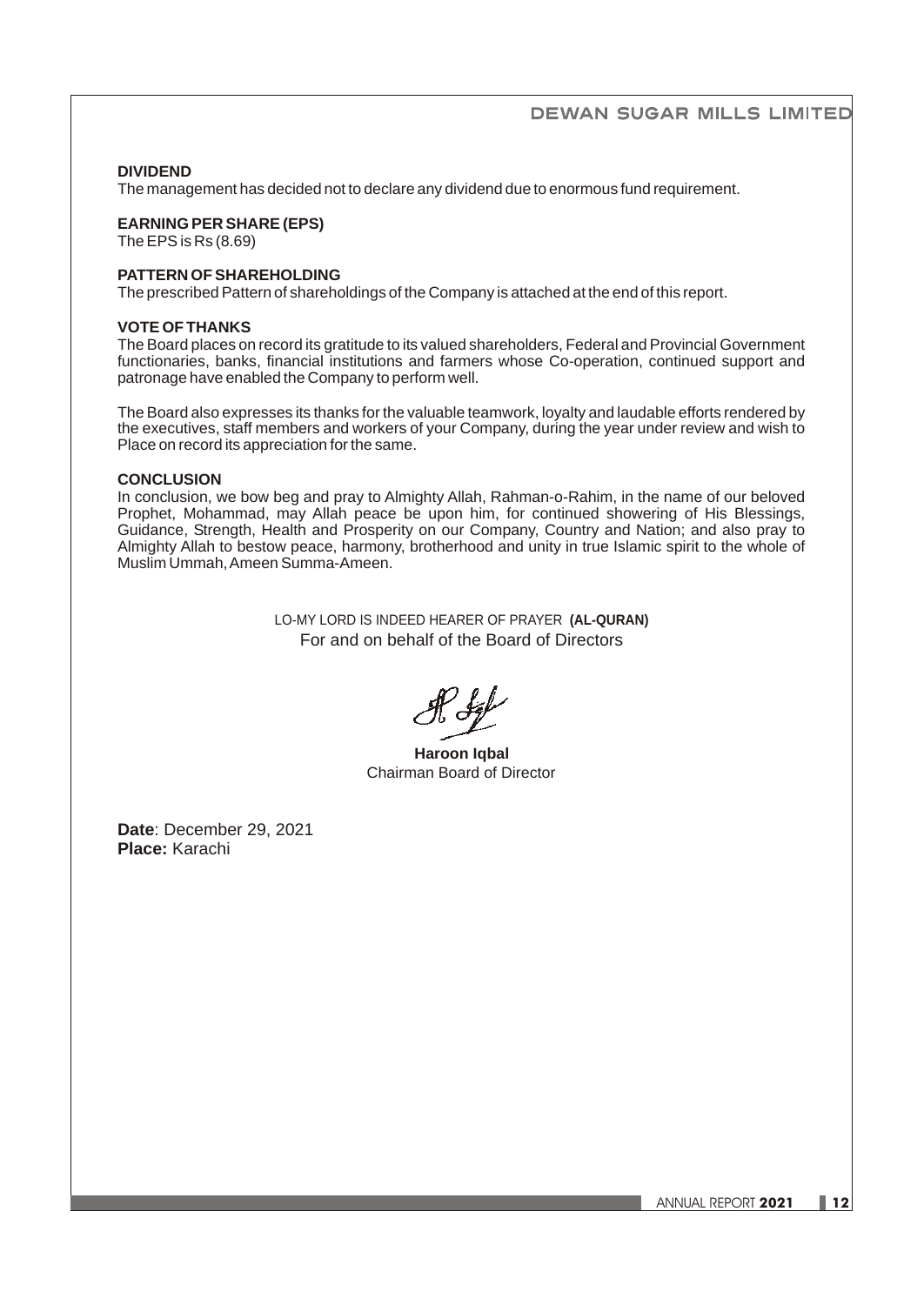## **DIVIDEND**

The management has decided not to declare any dividend due to enormous fund requirement.

## **EARNING PER SHARE (EPS)**

The EPS is Rs (8.69)

#### **PATTERN OF SHAREHOLDING**

The prescribed Pattern of shareholdings of the Company is attached at the end of this report.

#### **VOTE OF THANKS**

The Board places on record its gratitude to its valued shareholders, Federal and Provincial Government functionaries, banks, financial institutions and farmers whose Co-operation, continued support and patronage have enabled the Company to perform well.

The Board also expresses its thanks for the valuable teamwork, loyalty and laudable efforts rendered by the executives, staff members and workers of your Company, during the year under review and wish to Place on record its appreciation for the same.

## **CONCLUSION**

In conclusion, we bow beg and pray to Almighty Allah, Rahman-o-Rahim, in the name of our beloved Prophet, Mohammad, may Allah peace be upon him, for continued showering of His Blessings, Guidance, Strength, Health and Prosperity on our Company, Country and Nation; and also pray to Almighty Allah to bestow peace, harmony, brotherhood and unity in true Islamic spirit to the whole of Muslim Ummah, Ameen Summa-Ameen.

> LO-MY LORD IS INDEED HEARER OF PRAYER **(AL-QURAN)** For and on behalf of the Board of Directors

**Haroon Iqbal** Chairman Board of Director

**Date**: December 29, 2021 **Place:** Karachi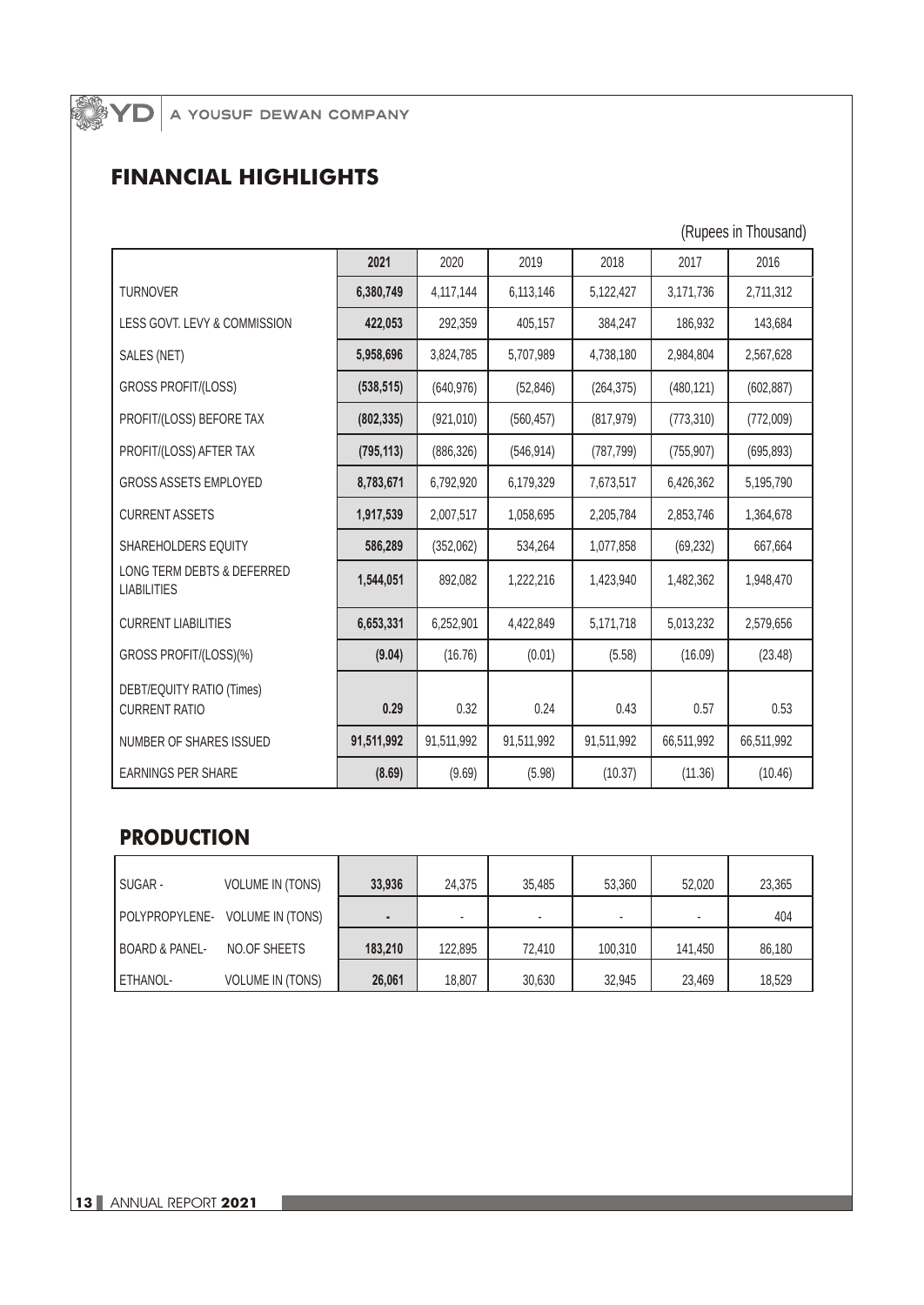**WEYD** A YOUSUF DEWAN COMPANY

## **FINANCIAL HIGHLIGHTS**

(Rupees in Thousand)

|                                                             | 2021       | 2020       | 2019       | 2018       | 2017       | 2016       |
|-------------------------------------------------------------|------------|------------|------------|------------|------------|------------|
| <b>TURNOVER</b>                                             | 6,380,749  | 4,117,144  | 6,113,146  | 5,122,427  | 3,171,736  | 2,711,312  |
| LESS GOVT. LEVY & COMMISSION                                | 422,053    | 292,359    | 405,157    | 384,247    | 186,932    | 143,684    |
| SALES (NET)                                                 | 5,958,696  | 3,824,785  | 5,707,989  | 4,738,180  | 2,984,804  | 2,567,628  |
| GROSS PROFIT/(LOSS)                                         | (538, 515) | (640, 976) | (52, 846)  | (264, 375) | (480, 121) | (602, 887) |
| PROFIT/(LOSS) BEFORE TAX                                    | (802, 335) | (921, 010) | (560, 457) | (817, 979) | (773, 310) | (772,009)  |
| PROFIT/(LOSS) AFTER TAX                                     | (795, 113) | (886, 326) | (546, 914) | (787, 799) | (755, 907) | (695, 893) |
| <b>GROSS ASSETS EMPLOYED</b>                                | 8,783,671  | 6,792,920  | 6,179,329  | 7,673,517  | 6,426,362  | 5,195,790  |
| <b>CURRENT ASSETS</b>                                       | 1,917,539  | 2,007,517  | 1,058,695  | 2,205,784  | 2,853,746  | 1,364,678  |
| SHAREHOLDERS EOUITY                                         | 586,289    | (352,062)  | 534,264    | 1,077,858  | (69, 232)  | 667,664    |
| <b>LONG TERM DEBTS &amp; DEFERRED</b><br><b>LIABILITIES</b> | 1,544,051  | 892,082    | 1,222,216  | 1,423,940  | 1,482,362  | 1,948,470  |
| <b>CURRENT LIABILITIES</b>                                  | 6,653,331  | 6,252,901  | 4,422,849  | 5,171,718  | 5,013,232  | 2,579,656  |
| GROSS PROFIT/(LOSS)(%)                                      | (9.04)     | (16.76)    | (0.01)     | (5.58)     | (16.09)    | (23.48)    |
| DEBT/EQUITY RATIO (Times)                                   |            |            |            |            |            |            |
| <b>CURRENT RATIO</b>                                        | 0.29       | 0.32       | 0.24       | 0.43       | 0.57       | 0.53       |
| NUMBER OF SHARES ISSUED                                     | 91,511,992 | 91,511,992 | 91,511,992 | 91,511,992 | 66,511,992 | 66,511,992 |
| <b>EARNINGS PER SHARE</b>                                   | (8.69)     | (9.69)     | (5.98)     | (10.37)    | (11.36)    | (10.46)    |

## **PRODUCTION**

| SUGAR-                    | <b>VOLUME IN (TONS)</b> | 33,936  | 24.375  | 35,485 | 53,360  | 52,020  | 23,365 |
|---------------------------|-------------------------|---------|---------|--------|---------|---------|--------|
| POLYPROPYLENE-            | VOLUME IN (TONS)        |         |         |        |         |         | 404    |
| <b>BOARD &amp; PANEL-</b> | NO.OF SHEETS            | 183,210 | 122,895 | 72.410 | 100,310 | 141.450 | 86,180 |
| ETHANOL-                  | <b>VOLUME IN (TONS)</b> | 26,061  | 18,807  | 30,630 | 32.945  | 23.469  | 18,529 |

**Contract Contract**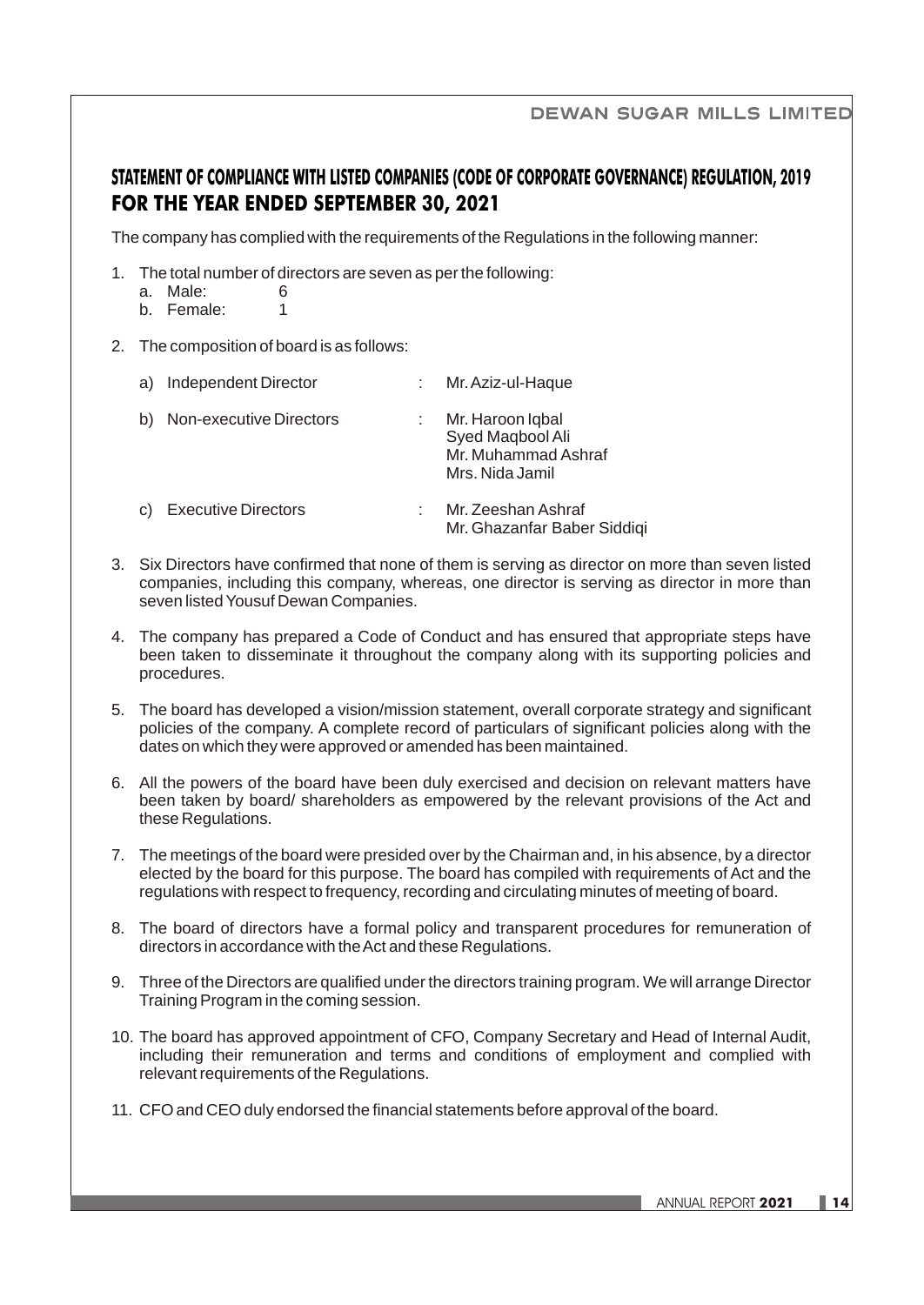## **STATEMENT OF COMPLIANCE WITH LISTED COMPANIES (CODE OF CORPORATE GOVERNANCE) REGULATION, 2019 FOR THE YEAR ENDED SEPTEMBER 30, 2021**

The company has complied with the requirements of the Regulations in the following manner:

- 1. The total number of directors are seven as per the following:
	- a. Male: 6
	- b. Female:
- 2. The composition of board is as follows:

| a) | Independent Director       | Mr. Aziz-ul-Haque                                                              |
|----|----------------------------|--------------------------------------------------------------------------------|
| b) | Non-executive Directors    | Mr. Haroon Iqbal<br>Syed Maqbool Ali<br>Mr. Muhammad Ashraf<br>Mrs. Nida Jamil |
| C) | <b>Executive Directors</b> | Mr. Zeeshan Ashraf<br>Mr. Ghazanfar Baber Siddiqi                              |

- 3. Six Directors have confirmed that none of them is serving as director on more than seven listed companies, including this company, whereas, one director is serving as director in more than seven listed Yousuf Dewan Companies.
- 4. The company has prepared a Code of Conduct and has ensured that appropriate steps have been taken to disseminate it throughout the company along with its supporting policies and procedures.
- 5. The board has developed a vision/mission statement, overall corporate strategy and significant policies of the company. A complete record of particulars of significant policies along with the dates on which they were approved or amended has been maintained.
- 6. All the powers of the board have been duly exercised and decision on relevant matters have been taken by board/ shareholders as empowered by the relevant provisions of the Act and these Regulations.
- 7. The meetings of the board were presided over by the Chairman and, in his absence, by a director elected by the board for this purpose. The board has compiled with requirements of Act and the regulations with respect to frequency, recording and circulating minutes of meeting of board.
- 8. The board of directors have a formal policy and transparent procedures for remuneration of directors in accordance with the Act and these Regulations.
- 9. Three of the Directors are qualified under the directors training program. We will arrange Director Training Program in the coming session.
- 10. The board has approved appointment of CFO, Company Secretary and Head of Internal Audit, including their remuneration and terms and conditions of employment and complied with relevant requirements of the Regulations.
- 11. CFO and CEO duly endorsed the financial statements before approval of the board.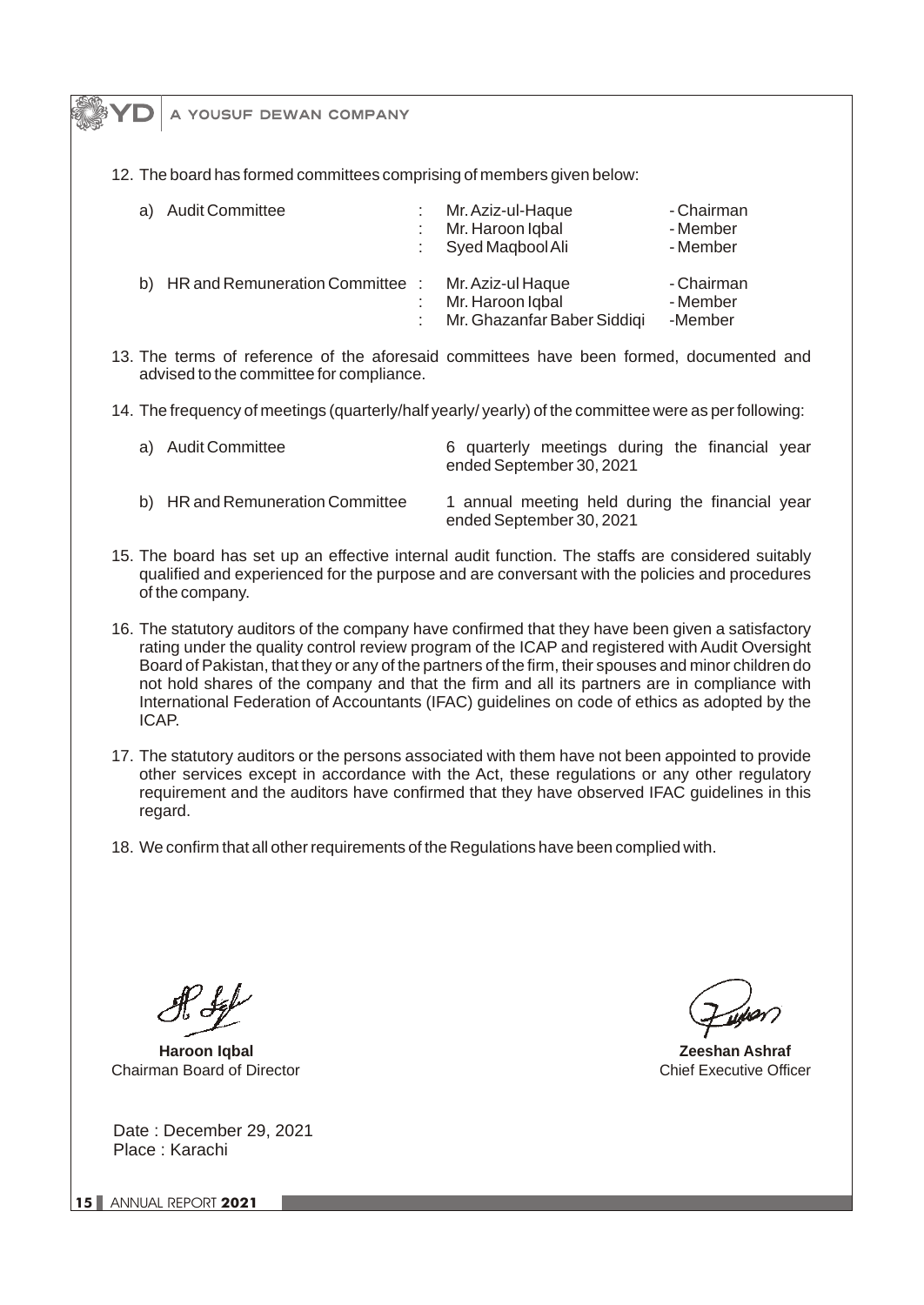12. The board has formed committees comprising of members given below:

| a) Audit Committee                 | Mr. Aziz-ul-Haque<br>Mr. Haroon Iqbal<br>Syed Magbool Ali            | - Chairman<br>- Member<br>- Member |
|------------------------------------|----------------------------------------------------------------------|------------------------------------|
| b) HR and Remuneration Committee : | Mr. Aziz-ul Haque<br>Mr. Haroon Iqbal<br>Mr. Ghazanfar Baber Siddiqi | - Chairman<br>- Member<br>-Member  |

13. The terms of reference of the aforesaid committees have been formed, documented and advised to the committee for compliance.

14. The frequency of meetings (quarterly/half yearly/ yearly) of the committee were as per following:

| a) Audit Committee               | 6 quarterly meetings during the financial year<br>ended September 30, 2021  |  |
|----------------------------------|-----------------------------------------------------------------------------|--|
| b) HR and Remuneration Committee | 1 annual meeting held during the financial year<br>ended September 30, 2021 |  |

- 15. The board has set up an effective internal audit function. The staffs are considered suitably qualified and experienced for the purpose and are conversant with the policies and procedures of the company.
- 16. The statutory auditors of the company have confirmed that they have been given a satisfactory rating under the quality control review program of the ICAP and registered with Audit Oversight Board of Pakistan, that they or any of the partners of the firm, their spouses and minor children do not hold shares of the company and that the firm and all its partners are in compliance with International Federation of Accountants (IFAC) guidelines on code of ethics as adopted by the ICAP.
- 17. The statutory auditors or the persons associated with them have not been appointed to provide other services except in accordance with the Act, these regulations or any other regulatory requirement and the auditors have confirmed that they have observed IFAC guidelines in this regard.
- 18. We confirm that all other requirements of the Regulations have been complied with.

**Haroon Iqbal** Chairman Board of Director

Chief Executive Officer **Zeeshan Ashraf**

Date : December 29, 2021 Place : Karachi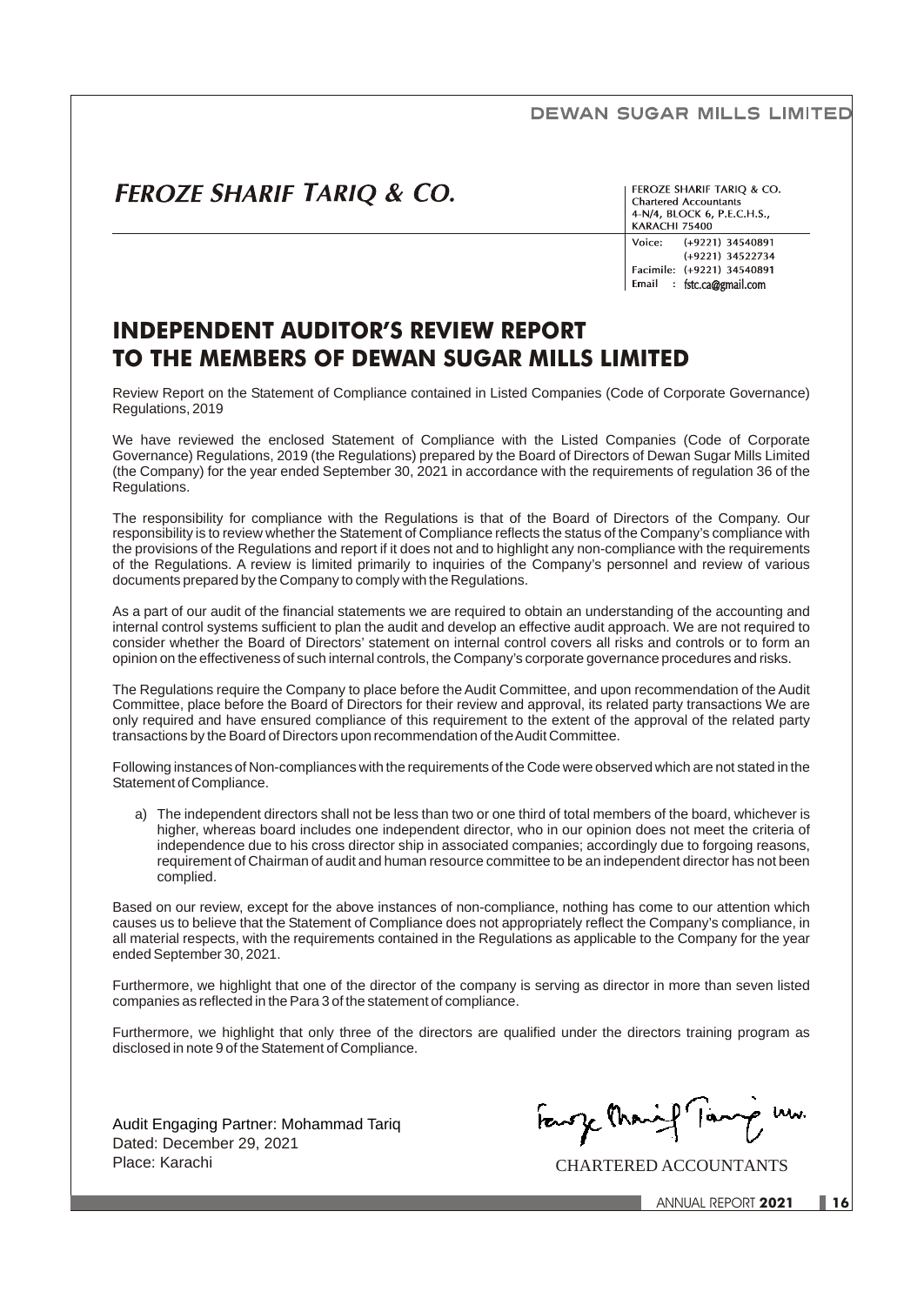## **FEROZE SHARIF TARIQ & CO.**

FEROZE SHARIF TARIQ & CO. **Chartered Accountants** 4-N/4, BLOCK 6, P.E.C.H.S.,

KARACHI 75400 Voice:  $(+9221)$  34540891 (+9221) 34522734 Facimile: (+9221) 34540891 Email : fstc.ca@gmail.com

## **INDEPENDENT AUDITOR'S REVIEW REPORT TO THE MEMBERS OF DEWAN SUGAR MILLS LIMITED**

Review Report on the Statement of Compliance contained in Listed Companies (Code of Corporate Governance) Regulations, 2019

We have reviewed the enclosed Statement of Compliance with the Listed Companies (Code of Corporate Governance) Regulations, 2019 (the Regulations) prepared by the Board of Directors of Dewan Sugar Mills Limited (the Company) for the year ended September 30, 2021 in accordance with the requirements of regulation 36 of the Regulations.

The responsibility for compliance with the Regulations is that of the Board of Directors of the Company. Our responsibility is to review whether the Statement of Compliance reflects the status of the Company's compliance with the provisions of the Regulations and report if it does not and to highlight any non-compliance with the requirements of the Regulations. A review is limited primarily to inquiries of the Company's personnel and review of various documents prepared by the Company to comply with the Regulations.

As a part of our audit of the financial statements we are required to obtain an understanding of the accounting and internal control systems sufficient to plan the audit and develop an effective audit approach. We are not required to consider whether the Board of Directors' statement on internal control covers all risks and controls or to form an opinion on the effectiveness of such internal controls, the Company's corporate governance procedures and risks.

The Regulations require the Company to place before the Audit Committee, and upon recommendation of the Audit Committee, place before the Board of Directors for their review and approval, its related party transactions We are only required and have ensured compliance of this requirement to the extent of the approval of the related party transactions by the Board of Directors upon recommendation of the Audit Committee.

Following instances of Non-compliances with the requirements of the Code were observed which are not stated in the Statement of Compliance.

a) The independent directors shall not be less than two or one third of total members of the board, whichever is higher, whereas board includes one independent director, who in our opinion does not meet the criteria of independence due to his cross director ship in associated companies; accordingly due to forgoing reasons, requirement of Chairman of audit and human resource committee to be an independent director has not been complied.

Based on our review, except for the above instances of non-compliance, nothing has come to our attention which causes us to believe that the Statement of Compliance does not appropriately reflect the Company's compliance, in all material respects, with the requirements contained in the Regulations as applicable to the Company for the year ended September 30, 2021.

Furthermore, we highlight that one of the director of the company is serving as director in more than seven listed companies as reflected in the Para 3 of the statement of compliance.

Furthermore, we highlight that only three of the directors are qualified under the directors training program as disclosed in note 9 of the Statement of Compliance.

Audit Engaging Partner: Mohammad Tariq Dated: December 29, 2021 Place: Karachi

Fange Maring Parag

CHARTERED ACCOUNTANTS

ANNUAL REPORT **2021 16**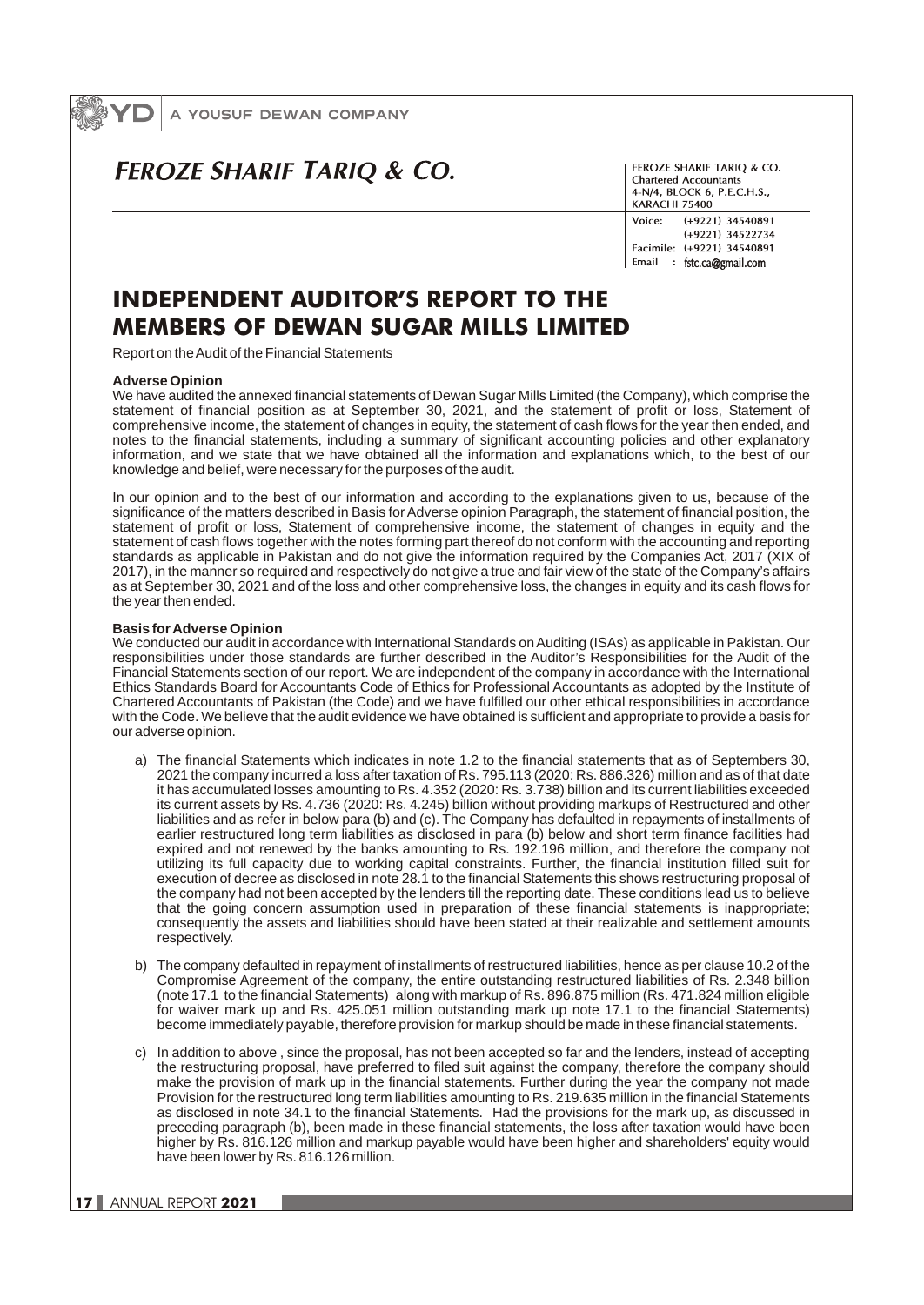## **FEROZE SHARIF TARIQ & CO.**

FEROZE SHARIE TARIO & CO. **Chartered Accountants** 4-N/4, BLOCK 6, P.E.C.H.S., KARACHI 75400

Voice:  $(+9221)$  34540891 (+9221) 34522734 Facimile: (+9221) 34540891 Email : fstc.ca@gmail.com

## **INDEPENDENT AUDITOR'S REPORT TO THE MEMBERS OF DEWAN SUGAR MILLS LIMITED**

Report on the Audit of the Financial Statements

#### **Adverse Opinion**

We have audited the annexed financial statements of Dewan Sugar Mills Limited (the Company), which comprise the statement of financial position as at September 30, 2021, and the statement of profit or loss, Statement of comprehensive income, the statement of changes in equity, the statement of cash flows for the year then ended, and notes to the financial statements, including a summary of significant accounting policies and other explanatory information, and we state that we have obtained all the information and explanations which, to the best of our knowledge and belief, were necessary for the purposes of the audit.

In our opinion and to the best of our information and according to the explanations given to us, because of the significance of the matters described in Basis for Adverse opinion Paragraph, the statement of financial position, the statement of profit or loss, Statement of comprehensive income, the statement of changes in equity and the statement of cash flows together with the notes forming part thereof do not conform with the accounting and reporting standards as applicable in Pakistan and do not give the information required by the Companies Act, 2017 (XIX of 2017), in the manner so required and respectively do not give a true and fair view of the state of the Company's affairs as at September 30, 2021 and of the loss and other comprehensive loss, the changes in equity and its cash flows for the year then ended.

#### **Basis for Adverse Opinion**

We conducted our audit in accordance with International Standards on Auditing (ISAs) as applicable in Pakistan. Our responsibilities under those standards are further described in the Auditor's Responsibilities for the Audit of the Financial Statements section of our report. We are independent of the company in accordance with the International Ethics Standards Board for Accountants Code of Ethics for Professional Accountants as adopted by the Institute of Chartered Accountants of Pakistan (the Code) and we have fulfilled our other ethical responsibilities in accordance with the Code. We believe that the audit evidence we have obtained is sufficient and appropriate to provide a basis for our adverse opinion.

- a) The financial Statements which indicates in note 1.2 to the financial statements that as of Septembers 30, 2021 the company incurred a loss after taxation of Rs. 795.113 (2020: Rs. 886.326) million and as of that date it has accumulated losses amounting to Rs. 4.352 (2020: Rs. 3.738) billion and its current liabilities exceeded its current assets by Rs. 4.736 (2020: Rs. 4.245) billion without providing markups of Restructured and other liabilities and as refer in below para (b) and (c). The Company has defaulted in repayments of installments of earlier restructured long term liabilities as disclosed in para (b) below and short term finance facilities had expired and not renewed by the banks amounting to Rs. 192.196 million, and therefore the company not utilizing its full capacity due to working capital constraints. Further, the financial institution filled suit for execution of decree as disclosed in note 28.1 to the financial Statements this shows restructuring proposal of the company had not been accepted by the lenders till the reporting date. These conditions lead us to believe that the going concern assumption used in preparation of these financial statements is inappropriate; consequently the assets and liabilities should have been stated at their realizable and settlement amounts respectively.
- b) The company defaulted in repayment of installments of restructured liabilities, hence as per clause 10.2 of the Compromise Agreement of the company, the entire outstanding restructured liabilities of Rs. 2.348 billion (note 17.1 to the financial Statements) along with markup of Rs. 896.875 million (Rs. 471.824 million eligible for waiver mark up and Rs. 425.051 million outstanding mark up note 17.1 to the financial Statements) become immediately payable, therefore provision for markup should be made in these financial statements.
- c) In addition to above , since the proposal, has not been accepted so far and the lenders, instead of accepting the restructuring proposal, have preferred to filed suit against the company, therefore the company should make the provision of mark up in the financial statements. Further during the year the company not made Provision for the restructured long term liabilities amounting to Rs. 219.635 million in the financial Statements as disclosed in note 34.1 to the financial Statements. Had the provisions for the mark up, as discussed in preceding paragraph (b), been made in these financial statements, the loss after taxation would have been higher by Rs. 816.126 million and markup payable would have been higher and shareholders' equity would have been lower by Rs. 816.126 million.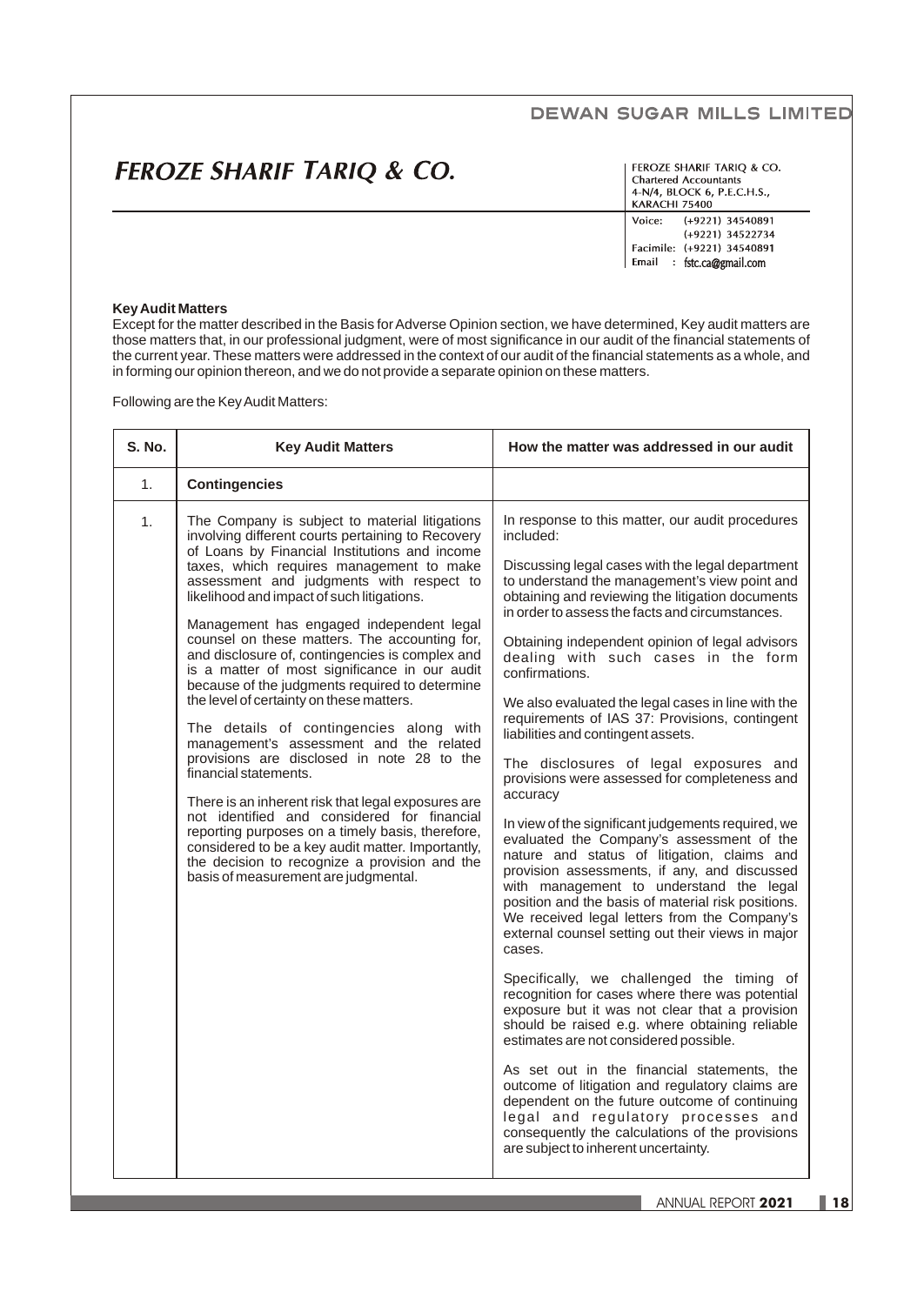## **FEROZE SHARIF TARIQ & CO.**

FEROZE SHARIF TARIQ & CO. Chartered Accountants 4-N/4, BLOCK 6, P.E.C.H.S., KARACHI 75400

Voice: (+9221) 34540891 (+9221) 34522734 Facimile: (+9221) 34540891 Email : fstc.ca@gmail.com

#### **Key Audit Matters**

Except for the matter described in the Basis for Adverse Opinion section, we have determined, Key audit matters are those matters that, in our professional judgment, were of most significance in our audit of the financial statements of the current year. These matters were addressed in the context of our audit of the financial statements as a whole, and in forming our opinion thereon, and we do not provide a separate opinion on these matters.

Following are the Key Audit Matters:

| <b>S. No.</b> | <b>Key Audit Matters</b>                                                                                                                                                                                                                                                                                                                                                                                                                                                                                                                                                                                                                                                                                                                                                                                                                                                                                                                                                                                                                                      | How the matter was addressed in our audit                                                                                                                                                                                                                                                                                                                                                                                                                                                                                                                                                                                                                                                                                                                                                                                                                                                                                                                                                                                                                                                                                                                                                                                                                                                                                                                                                                                                                                                                                                                                                      |  |  |
|---------------|---------------------------------------------------------------------------------------------------------------------------------------------------------------------------------------------------------------------------------------------------------------------------------------------------------------------------------------------------------------------------------------------------------------------------------------------------------------------------------------------------------------------------------------------------------------------------------------------------------------------------------------------------------------------------------------------------------------------------------------------------------------------------------------------------------------------------------------------------------------------------------------------------------------------------------------------------------------------------------------------------------------------------------------------------------------|------------------------------------------------------------------------------------------------------------------------------------------------------------------------------------------------------------------------------------------------------------------------------------------------------------------------------------------------------------------------------------------------------------------------------------------------------------------------------------------------------------------------------------------------------------------------------------------------------------------------------------------------------------------------------------------------------------------------------------------------------------------------------------------------------------------------------------------------------------------------------------------------------------------------------------------------------------------------------------------------------------------------------------------------------------------------------------------------------------------------------------------------------------------------------------------------------------------------------------------------------------------------------------------------------------------------------------------------------------------------------------------------------------------------------------------------------------------------------------------------------------------------------------------------------------------------------------------------|--|--|
| 1.            | <b>Contingencies</b>                                                                                                                                                                                                                                                                                                                                                                                                                                                                                                                                                                                                                                                                                                                                                                                                                                                                                                                                                                                                                                          |                                                                                                                                                                                                                                                                                                                                                                                                                                                                                                                                                                                                                                                                                                                                                                                                                                                                                                                                                                                                                                                                                                                                                                                                                                                                                                                                                                                                                                                                                                                                                                                                |  |  |
| 1.            | The Company is subject to material litigations<br>involving different courts pertaining to Recovery<br>of Loans by Financial Institutions and income<br>taxes, which requires management to make<br>assessment and judgments with respect to<br>likelihood and impact of such litigations.<br>Management has engaged independent legal<br>counsel on these matters. The accounting for,<br>and disclosure of, contingencies is complex and<br>is a matter of most significance in our audit<br>because of the judgments required to determine<br>the level of certainty on these matters.<br>The details of contingencies along with<br>management's assessment and the related<br>provisions are disclosed in note 28 to the<br>financial statements.<br>There is an inherent risk that legal exposures are<br>not identified and considered for financial<br>reporting purposes on a timely basis, therefore,<br>considered to be a key audit matter. Importantly,<br>the decision to recognize a provision and the<br>basis of measurement are judgmental. | In response to this matter, our audit procedures<br>included:<br>Discussing legal cases with the legal department<br>to understand the management's view point and<br>obtaining and reviewing the litigation documents<br>in order to assess the facts and circumstances.<br>Obtaining independent opinion of legal advisors<br>dealing with such cases in the form<br>confirmations.<br>We also evaluated the legal cases in line with the<br>requirements of IAS 37: Provisions, contingent<br>liabilities and contingent assets.<br>The disclosures of legal exposures and<br>provisions were assessed for completeness and<br>accuracy<br>In view of the significant judgements required, we<br>evaluated the Company's assessment of the<br>nature and status of litigation, claims and<br>provision assessments, if any, and discussed<br>with management to understand the legal<br>position and the basis of material risk positions.<br>We received legal letters from the Company's<br>external counsel setting out their views in major<br>cases.<br>Specifically, we challenged the timing of<br>recognition for cases where there was potential<br>exposure but it was not clear that a provision<br>should be raised e.g. where obtaining reliable<br>estimates are not considered possible.<br>As set out in the financial statements, the<br>outcome of litigation and regulatory claims are<br>dependent on the future outcome of continuing<br>legal and regulatory processes and<br>consequently the calculations of the provisions<br>are subject to inherent uncertainty. |  |  |

and the control of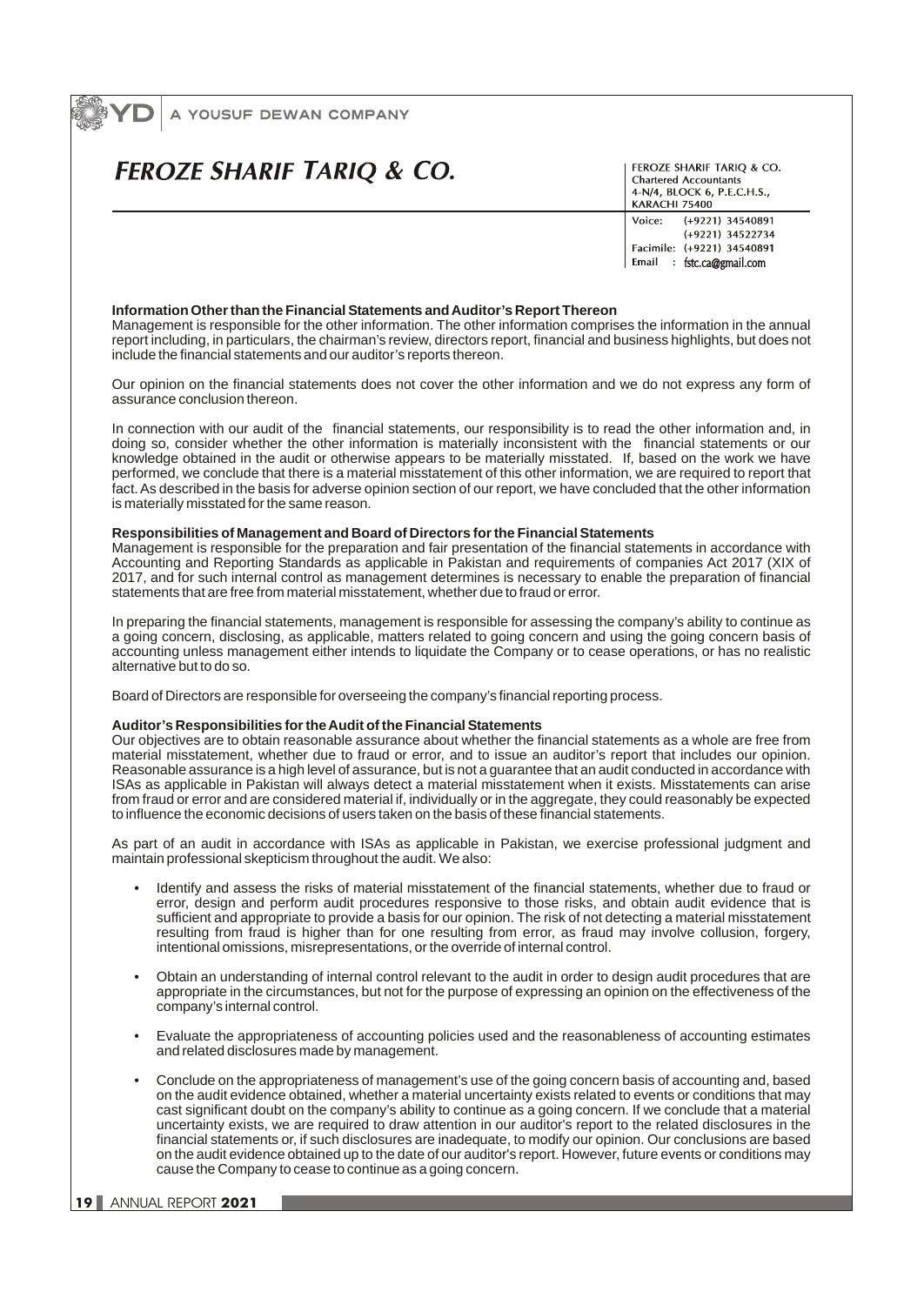## **FEROZE SHARIF TARIQ & CO.**

FEROZE SHARIE TARIO & CO. **Chartered Accountants** 4-N/4, BLOCK 6, P.E.C.H.S., KARACHI 75400

Voice:  $(+9221)$  34540891 (+9221) 34522734 Facimile: (+9221) 34540891 Email : fstc.ca@gmail.com

#### **Information Other than the Financial Statements and Auditor's Report Thereon**

Management is responsible for the other information. The other information comprises the information in the annual report including, in particulars, the chairman's review, directors report, financial and business highlights, but does not include the financial statements and our auditor's reports thereon.

Our opinion on the financial statements does not cover the other information and we do not express any form of assurance conclusion thereon.

In connection with our audit of the financial statements, our responsibility is to read the other information and, in doing so, consider whether the other information is materially inconsistent with the financial statements or our knowledge obtained in the audit or otherwise appears to be materially misstated. If, based on the work we have performed, we conclude that there is a material misstatement of this other information, we are required to report that fact. As described in the basis for adverse opinion section of our report, we have concluded that the other information is materially misstated for the same reason.

#### **Responsibilities of Management and Board of Directors for the Financial Statements**

Management is responsible for the preparation and fair presentation of the financial statements in accordance with Accounting and Reporting Standards as applicable in Pakistan and requirements of companies Act 2017 (XIX of 2017, and for such internal control as management determines is necessary to enable the preparation of financial statements that are free from material misstatement, whether due to fraud or error.

In preparing the financial statements, management is responsible for assessing the company's ability to continue as a going concern, disclosing, as applicable, matters related to going concern and using the going concern basis of accounting unless management either intends to liquidate the Company or to cease operations, or has no realistic alternative but to do so.

Board of Directors are responsible for overseeing the company's financial reporting process.

#### **Auditor's Responsibilities for the Audit of the Financial Statements**

Our objectives are to obtain reasonable assurance about whether the financial statements as a whole are free from material misstatement, whether due to fraud or error, and to issue an auditor's report that includes our opinion. Reasonable assurance is a high level of assurance, but is not a guarantee that an audit conducted in accordance with ISAs as applicable in Pakistan will always detect a material misstatement when it exists. Misstatements can arise from fraud or error and are considered material if, individually or in the aggregate, they could reasonably be expected to influence the economic decisions of users taken on the basis of these financial statements.

As part of an audit in accordance with ISAs as applicable in Pakistan, we exercise professional judgment and maintain professional skepticism throughout the audit. We also:

- Identify and assess the risks of material misstatement of the financial statements, whether due to fraud or error, design and perform audit procedures responsive to those risks, and obtain audit evidence that is sufficient and appropriate to provide a basis for our opinion. The risk of not detecting a material misstatement resulting from fraud is higher than for one resulting from error, as fraud may involve collusion, forgery, intentional omissions, misrepresentations, or the override of internal control.
- Obtain an understanding of internal control relevant to the audit in order to design audit procedures that are appropriate in the circumstances, but not for the purpose of expressing an opinion on the effectiveness of the company's internal control.
- Evaluate the appropriateness of accounting policies used and the reasonableness of accounting estimates and related disclosures made by management.
- Conclude on the appropriateness of management's use of the going concern basis of accounting and, based on the audit evidence obtained, whether a material uncertainty exists related to events or conditions that may cast significant doubt on the company's ability to continue as a going concern. If we conclude that a material uncertainty exists, we are required to draw attention in our auditor's report to the related disclosures in the financial statements or, if such disclosures are inadequate, to modify our opinion. Our conclusions are based on the audit evidence obtained up to the date of our auditor's report. However, future events or conditions may cause the Company to cease to continue as a going concern.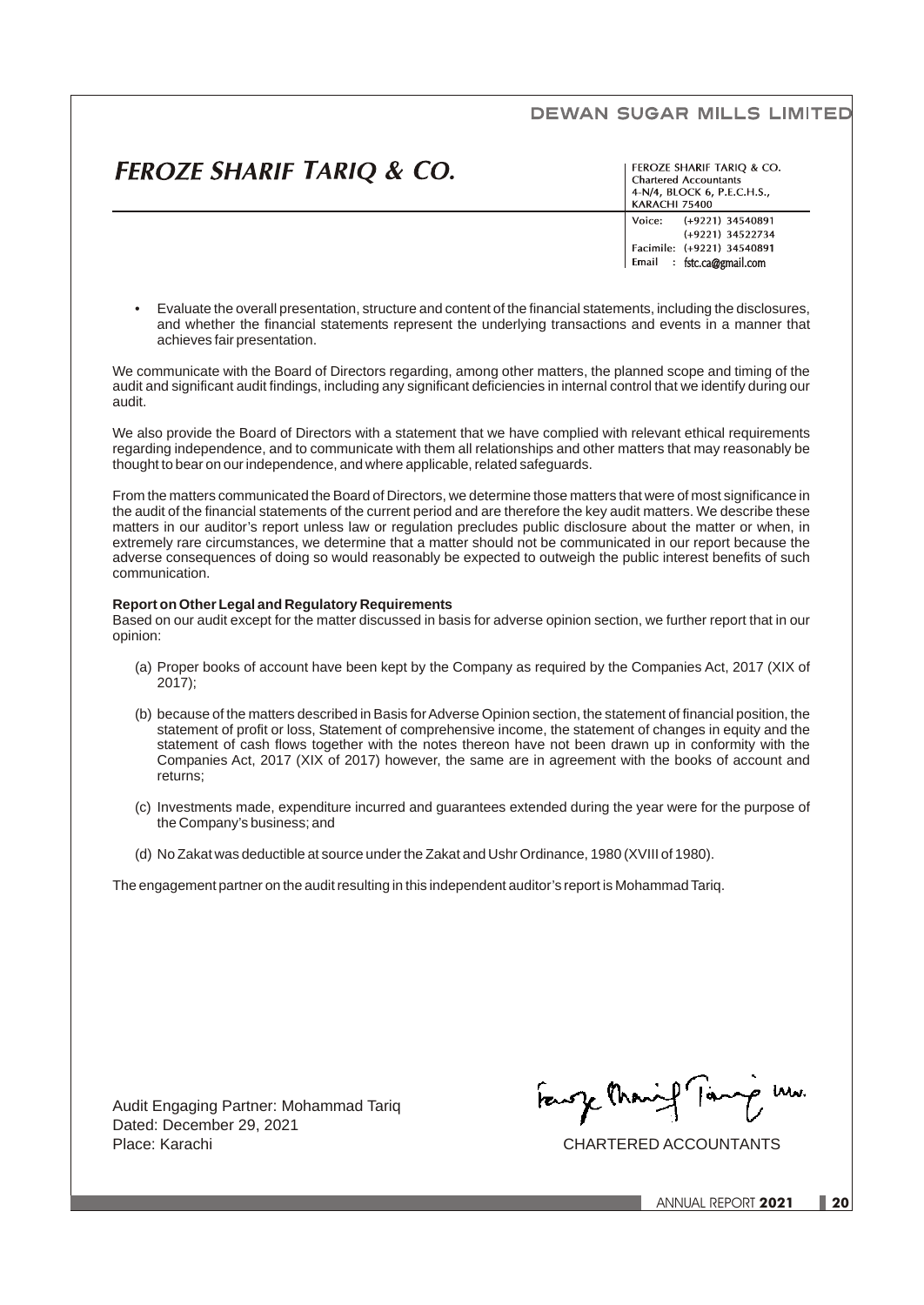## **FEROZE SHARIF TARIQ & CO.**

FEROZE SHARIE TARIO & CO. **Chartered Accountants** 4-N/4, BLOCK 6, P.E.C.H.S., KARACHI 75400

Voice:  $(+9221)$  34540891 (+9221) 34522734 Facimile: (+9221) 34540891 Email : fstc.ca@gmail.com

• Evaluate the overall presentation, structure and content of the financial statements, including the disclosures, and whether the financial statements represent the underlying transactions and events in a manner that achieves fair presentation.

We communicate with the Board of Directors regarding, among other matters, the planned scope and timing of the audit and significant audit findings, including any significant deficiencies in internal control that we identify during our audit.

We also provide the Board of Directors with a statement that we have complied with relevant ethical requirements regarding independence, and to communicate with them all relationships and other matters that may reasonably be thought to bear on our independence, and where applicable, related safeguards.

From the matters communicated the Board of Directors, we determine those matters that were of most significance in the audit of the financial statements of the current period and are therefore the key audit matters. We describe these matters in our auditor's report unless law or regulation precludes public disclosure about the matter or when, in extremely rare circumstances, we determine that a matter should not be communicated in our report because the adverse consequences of doing so would reasonably be expected to outweigh the public interest benefits of such communication.

#### **Report on Other Legal and Regulatory Requirements**

Based on our audit except for the matter discussed in basis for adverse opinion section, we further report that in our opinion:

- (a) Proper books of account have been kept by the Company as required by the Companies Act, 2017 (XIX of 2017);
- (b) because of the matters described in Basis for Adverse Opinion section, the statement of financial position, the statement of profit or loss, Statement of comprehensive income, the statement of changes in equity and the statement of cash flows together with the notes thereon have not been drawn up in conformity with the Companies Act, 2017 (XIX of 2017) however, the same are in agreement with the books of account and returns;
- (c) Investments made, expenditure incurred and guarantees extended during the year were for the purpose of the Company's business; and
- (d) No Zakat was deductible at source under the Zakat and Ushr Ordinance, 1980 (XVIII of 1980).

The engagement partner on the audit resulting in this independent auditor's report is Mohammad Tariq.

Audit Engaging Partner: Mohammad Tariq Dated: December 29, 2021 Place: Karachi

Fange Manig Parry un.

CHARTERED ACCOUNTANTS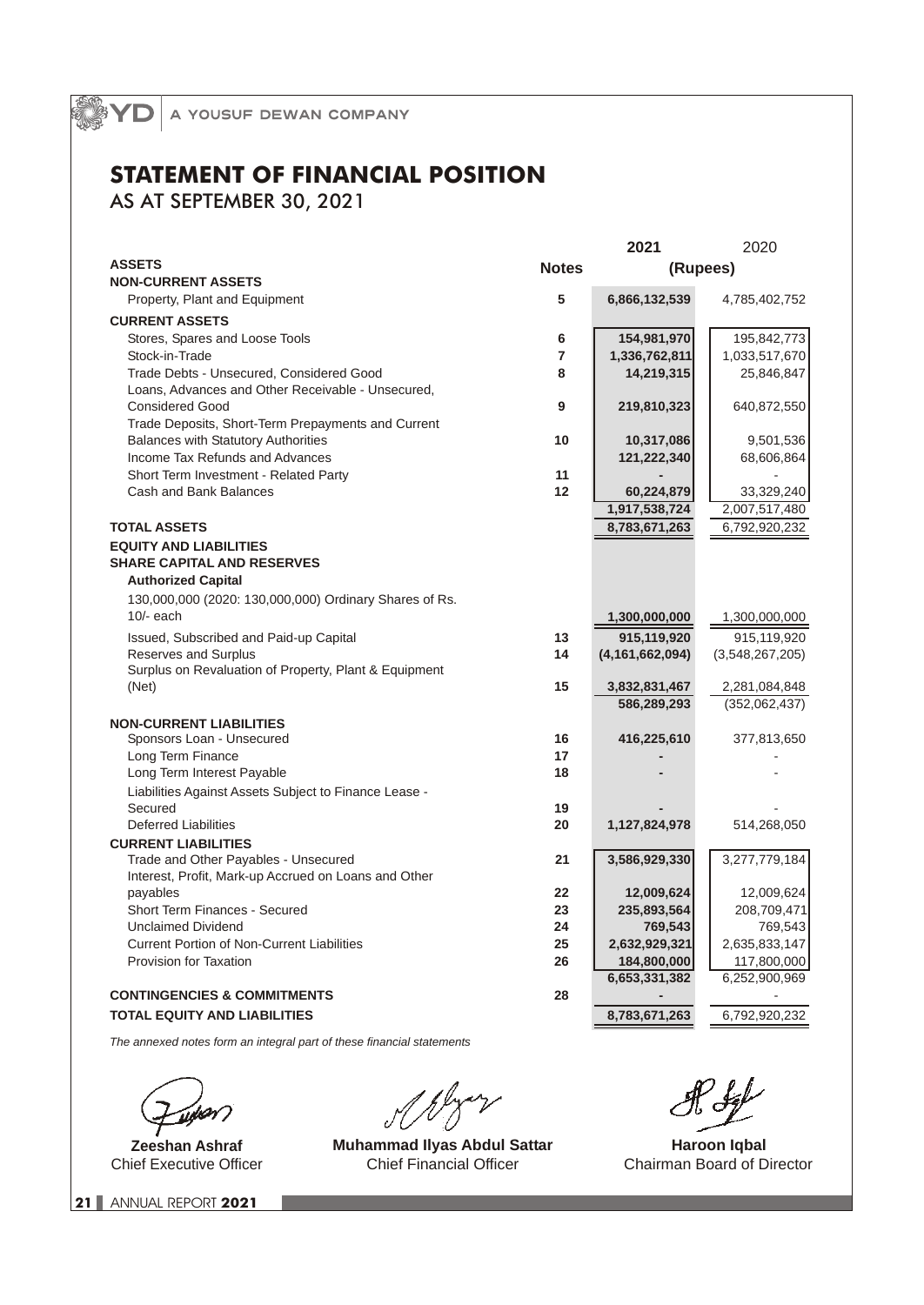## **STATEMENT OF FINANCIAL POSITION**

AS AT SEPTEMBER 30, 2021

|                                                        |                | 2021            | 2020            |  |
|--------------------------------------------------------|----------------|-----------------|-----------------|--|
| <b>ASSETS</b>                                          | <b>Notes</b>   | (Rupees)        |                 |  |
| <b>NON-CURRENT ASSETS</b>                              |                |                 |                 |  |
| Property, Plant and Equipment                          | 5              | 6,866,132,539   | 4,785,402,752   |  |
| <b>CURRENT ASSETS</b>                                  |                |                 |                 |  |
| Stores, Spares and Loose Tools                         | 6              | 154,981,970     | 195,842,773     |  |
| Stock-in-Trade                                         | $\overline{7}$ | 1,336,762,811   | 1,033,517,670   |  |
| Trade Debts - Unsecured, Considered Good               | 8              | 14,219,315      | 25,846,847      |  |
| Loans, Advances and Other Receivable - Unsecured,      |                |                 |                 |  |
| <b>Considered Good</b>                                 | 9              | 219,810,323     | 640,872,550     |  |
| Trade Deposits, Short-Term Prepayments and Current     |                |                 |                 |  |
| <b>Balances with Statutory Authorities</b>             | 10             | 10,317,086      | 9,501,536       |  |
| Income Tax Refunds and Advances                        |                | 121,222,340     | 68,606,864      |  |
| Short Term Investment - Related Party                  | 11             |                 |                 |  |
| Cash and Bank Balances                                 | 12             | 60,224,879      | 33,329,240      |  |
|                                                        |                | 1,917,538,724   | 2,007,517,480   |  |
| <b>TOTAL ASSETS</b>                                    |                | 8,783,671,263   | 6,792,920,232   |  |
| <b>EQUITY AND LIABILITIES</b>                          |                |                 |                 |  |
| <b>SHARE CAPITAL AND RESERVES</b>                      |                |                 |                 |  |
| <b>Authorized Capital</b>                              |                |                 |                 |  |
| 130,000,000 (2020: 130,000,000) Ordinary Shares of Rs. |                |                 |                 |  |
| $10/-$ each                                            |                | 1,300,000,000   | 1,300,000,000   |  |
| Issued, Subscribed and Paid-up Capital                 | 13             | 915,119,920     | 915,119,920     |  |
| <b>Reserves and Surplus</b>                            | 14             | (4,161,662,094) | (3,548,267,205) |  |
| Surplus on Revaluation of Property, Plant & Equipment  |                |                 |                 |  |
| (Net)                                                  | 15             | 3,832,831,467   | 2,281,084,848   |  |
|                                                        |                | 586,289,293     | (352,062,437)   |  |
| <b>NON-CURRENT LIABILITIES</b>                         | 16             | 416,225,610     |                 |  |
| Sponsors Loan - Unsecured<br>Long Term Finance         | 17             |                 | 377,813,650     |  |
| Long Term Interest Payable                             | 18             |                 |                 |  |
| Liabilities Against Assets Subject to Finance Lease -  |                |                 |                 |  |
| Secured                                                | 19             |                 |                 |  |
| <b>Deferred Liabilities</b>                            | 20             | 1,127,824,978   | 514,268,050     |  |
| <b>CURRENT LIABILITIES</b>                             |                |                 |                 |  |
| Trade and Other Payables - Unsecured                   | 21             | 3,586,929,330   | 3,277,779,184   |  |
| Interest, Profit, Mark-up Accrued on Loans and Other   |                |                 |                 |  |
| payables                                               | 22             | 12,009,624      | 12,009,624      |  |
| Short Term Finances - Secured                          | 23             | 235,893,564     | 208,709,471     |  |
| <b>Unclaimed Dividend</b>                              | 24             | 769,543         | 769,543         |  |
| <b>Current Portion of Non-Current Liabilities</b>      | 25             | 2,632,929,321   | 2,635,833,147   |  |
| Provision for Taxation                                 | 26             | 184,800,000     | 117,800,000     |  |
|                                                        |                | 6,653,331,382   | 6,252,900,969   |  |
| <b>CONTINGENCIES &amp; COMMITMENTS</b>                 | 28             |                 |                 |  |
| <b>TOTAL EQUITY AND LIABILITIES</b>                    |                | 8,783,671,263   | 6,792,920,232   |  |

*The annexed notes form an integral part of these financial statements*

**Zeeshan Ashraf**

**Muhammad Ilyas Abdul Sattar** Chief Executive Officer Chief Financial Officer

**Haroon Iqbal** Chairman Board of Director

**21** ANNUAL REPORT **2021**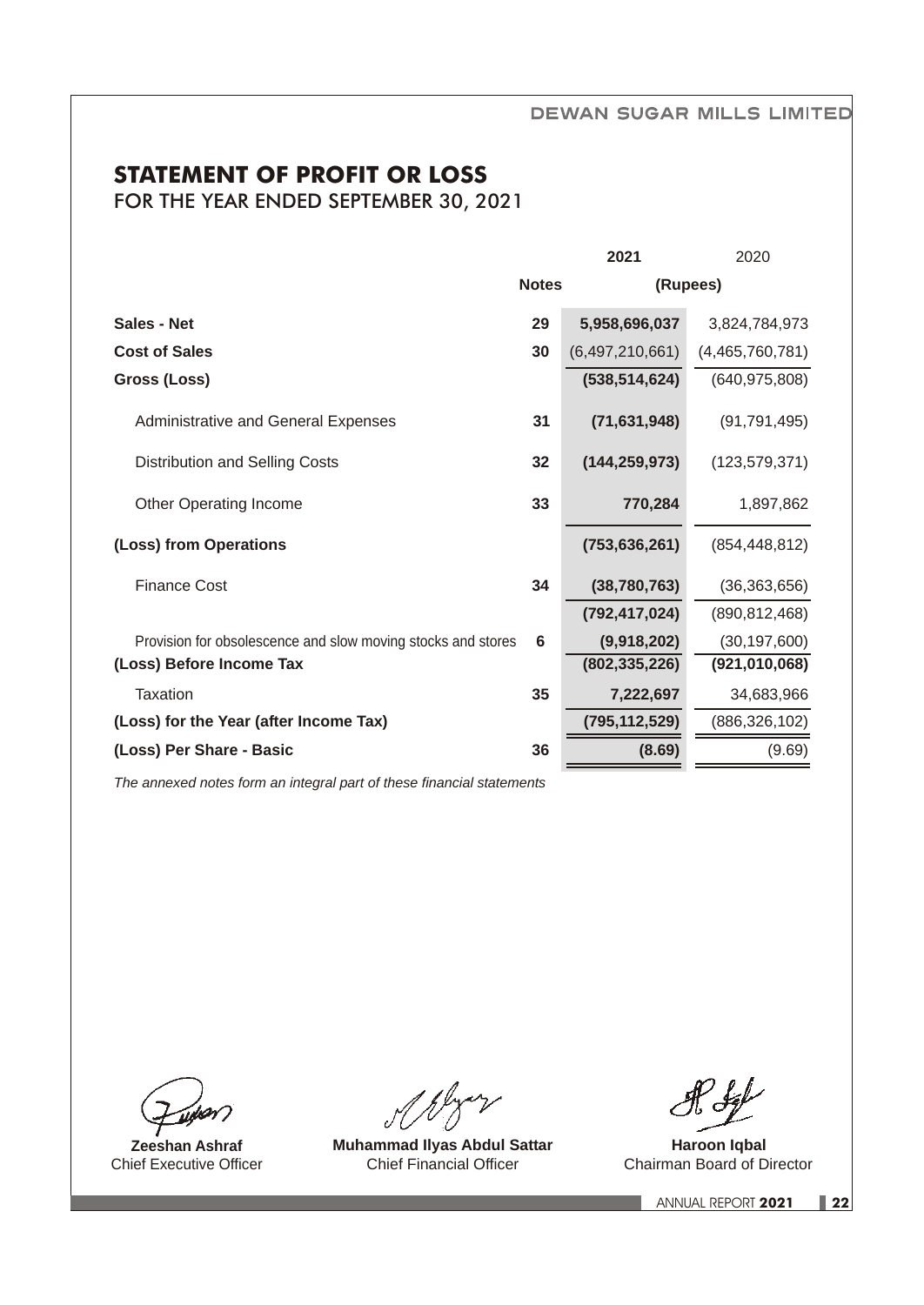## **STATEMENT OF PROFIT OR LOSS**

FOR THE YEAR ENDED SEPTEMBER 30, 2021

|                                                              |              | 2021            | 2020            |
|--------------------------------------------------------------|--------------|-----------------|-----------------|
|                                                              | <b>Notes</b> |                 | (Rupees)        |
| <b>Sales - Net</b>                                           | 29           | 5,958,696,037   | 3,824,784,973   |
| <b>Cost of Sales</b>                                         | 30           | (6,497,210,661) | (4,465,760,781) |
| Gross (Loss)                                                 |              | (538, 514, 624) | (640, 975, 808) |
| Administrative and General Expenses                          | 31           | (71, 631, 948)  | (91, 791, 495)  |
| <b>Distribution and Selling Costs</b>                        | 32           | (144, 259, 973) | (123, 579, 371) |
| <b>Other Operating Income</b>                                | 33           | 770,284         | 1,897,862       |
| (Loss) from Operations                                       |              | (753, 636, 261) | (854, 448, 812) |
| <b>Finance Cost</b>                                          | 34           | (38, 780, 763)  | (36, 363, 656)  |
|                                                              |              | (792, 417, 024) | (890, 812, 468) |
| Provision for obsolescence and slow moving stocks and stores | 6            | (9,918,202)     | (30, 197, 600)  |
| (Loss) Before Income Tax                                     |              | (802, 335, 226) | (921,010,068)   |
| <b>Taxation</b>                                              | 35           | 7,222,697       | 34,683,966      |
| (Loss) for the Year (after Income Tax)                       |              | (795, 112, 529) | (886, 326, 102) |
| (Loss) Per Share - Basic                                     | 36           | (8.69)          | (9.69)          |

*The annexed notes form an integral part of these financial statements*

**Zeeshan Ashraf**

**Muhammad Ilyas Abdul Sattar** Chief Executive Officer Chief Financial Officer

**Haroon Iqbal** Chairman Board of Director

ANNUAL REPORT **2021 22**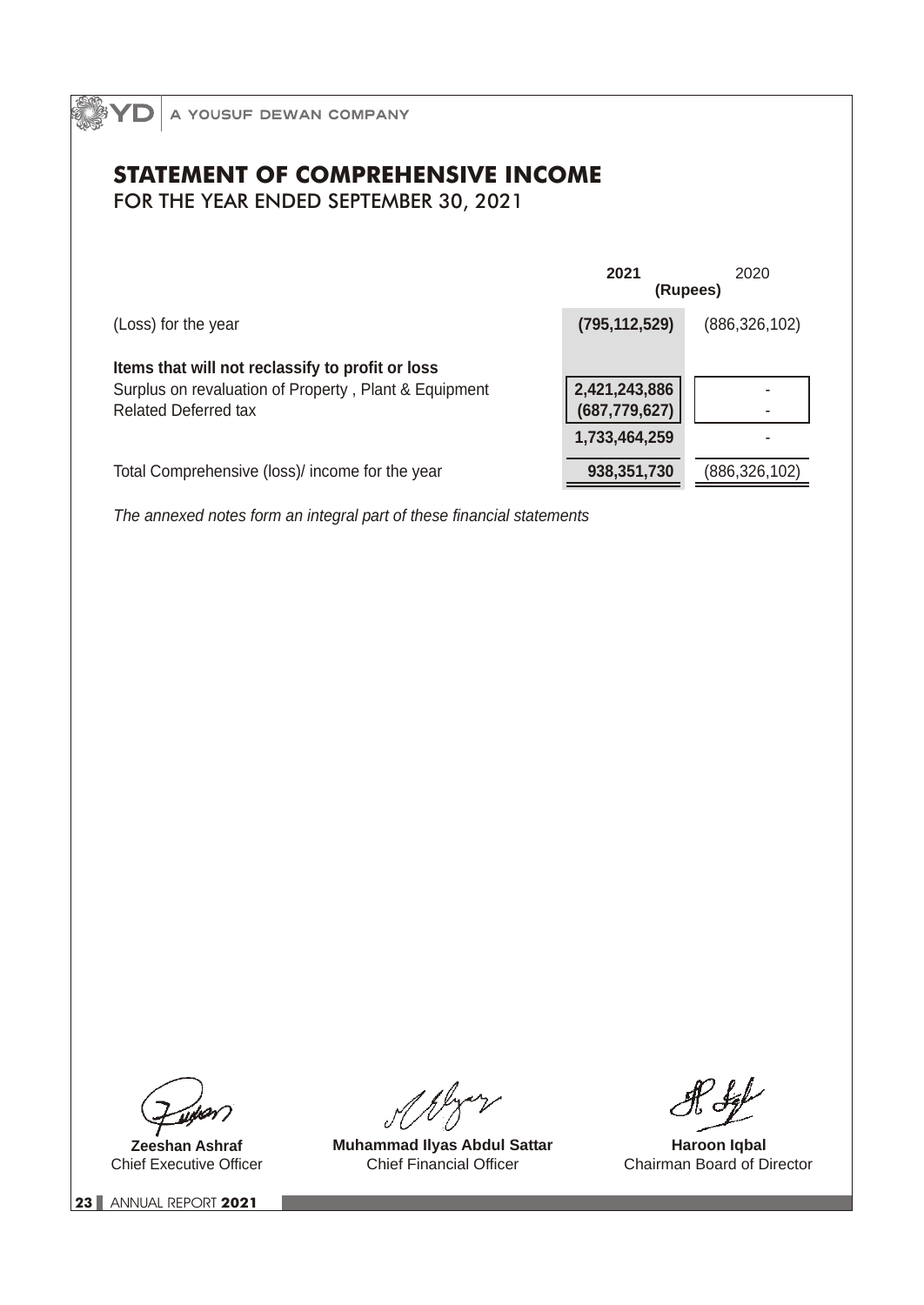

*The annexed notes form an integral part of these financial statements*

**Zeeshan Ashraf**

**Muhammad Ilyas Abdul Sattar** Chief Executive Officer Chief Financial Officer

**Haroon Iqbal** Chairman Board of Director

**23** ANNUAL REPORT **2021**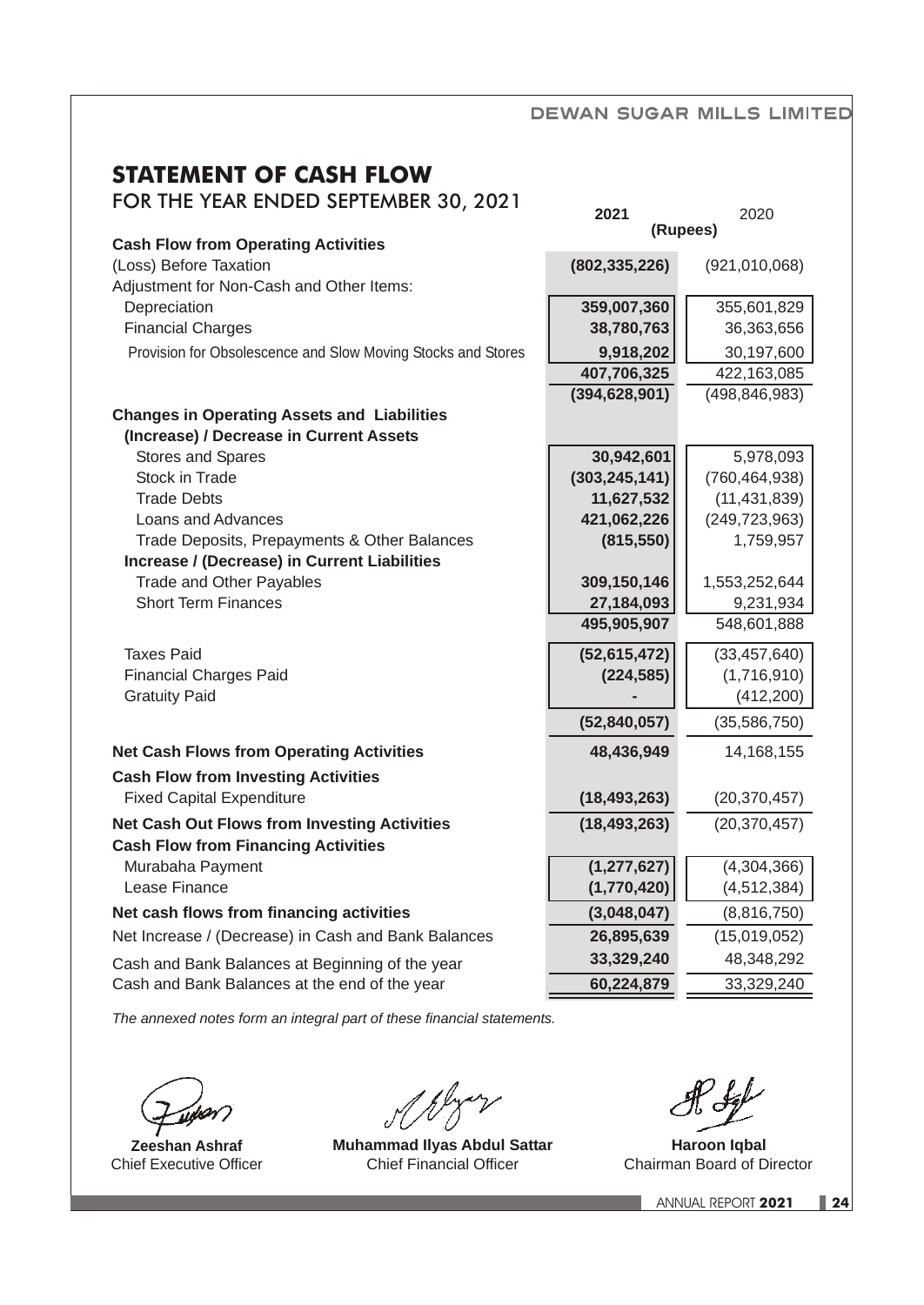## **STATEMENT OF CASH FLOW**

FOR THE YEAR ENDED SEPTEMBER 30, 2021

| ON THE TEAN EINDED JEI TEMPEN JU, ZUZ I                      | 2021            | 2020            |
|--------------------------------------------------------------|-----------------|-----------------|
| <b>Cash Flow from Operating Activities</b>                   |                 | (Rupees)        |
| (Loss) Before Taxation                                       | (802, 335, 226) | (921, 010, 068) |
| Adjustment for Non-Cash and Other Items:                     |                 |                 |
| Depreciation                                                 | 359,007,360     | 355,601,829     |
| <b>Financial Charges</b>                                     | 38,780,763      | 36,363,656      |
| Provision for Obsolescence and Slow Moving Stocks and Stores | 9,918,202       | 30,197,600      |
|                                                              | 407,706,325     | 422,163,085     |
|                                                              | (394, 628, 901) | (498, 846, 983) |
| <b>Changes in Operating Assets and Liabilities</b>           |                 |                 |
| (Increase) / Decrease in Current Assets                      |                 |                 |
| <b>Stores and Spares</b>                                     | 30,942,601      | 5,978,093       |
| <b>Stock in Trade</b>                                        | (303, 245, 141) | (760, 464, 938) |
| <b>Trade Debts</b>                                           | 11,627,532      | (11, 431, 839)  |
| Loans and Advances                                           | 421,062,226     | (249, 723, 963) |
| Trade Deposits, Prepayments & Other Balances                 | (815, 550)      | 1,759,957       |
| Increase / (Decrease) in Current Liabilities                 |                 |                 |
| Trade and Other Payables                                     | 309,150,146     | 1,553,252,644   |
| <b>Short Term Finances</b>                                   | 27,184,093      | 9,231,934       |
|                                                              | 495,905,907     | 548,601,888     |
| <b>Taxes Paid</b>                                            | (52,615,472)    | (33, 457, 640)  |
| <b>Financial Charges Paid</b>                                | (224, 585)      | (1,716,910)     |
| <b>Gratuity Paid</b>                                         |                 | (412, 200)      |
|                                                              | (52,840,057)    | (35,586,750)    |
| <b>Net Cash Flows from Operating Activities</b>              | 48,436,949      | 14,168,155      |
| <b>Cash Flow from Investing Activities</b>                   |                 |                 |
| <b>Fixed Capital Expenditure</b>                             | (18, 493, 263)  | (20, 370, 457)  |
| <b>Net Cash Out Flows from Investing Activities</b>          | (18, 493, 263)  | (20, 370, 457)  |
| <b>Cash Flow from Financing Activities</b>                   |                 |                 |
| Murabaha Payment                                             | (1, 277, 627)   | (4,304,366)     |
| Lease Finance                                                | (1,770,420)     | (4,512,384)     |
| Net cash flows from financing activities                     | (3,048,047)     | (8,816,750)     |
| Net Increase / (Decrease) in Cash and Bank Balances          | 26,895,639      | (15,019,052)    |
| Cash and Bank Balances at Beginning of the year              | 33,329,240      | 48,348,292      |
| Cash and Bank Balances at the end of the year                | 60,224,879      | 33,329,240      |

*The annexed notes form an integral part of these financial statements.*

**Zeeshan Ashraf**

**Muhammad Ilyas Abdul Sattar** Chief Executive Officer Chief Financial Officer

**Haroon Iqbal** Chairman Board of Director

ANNUAL REPORT **2021 24**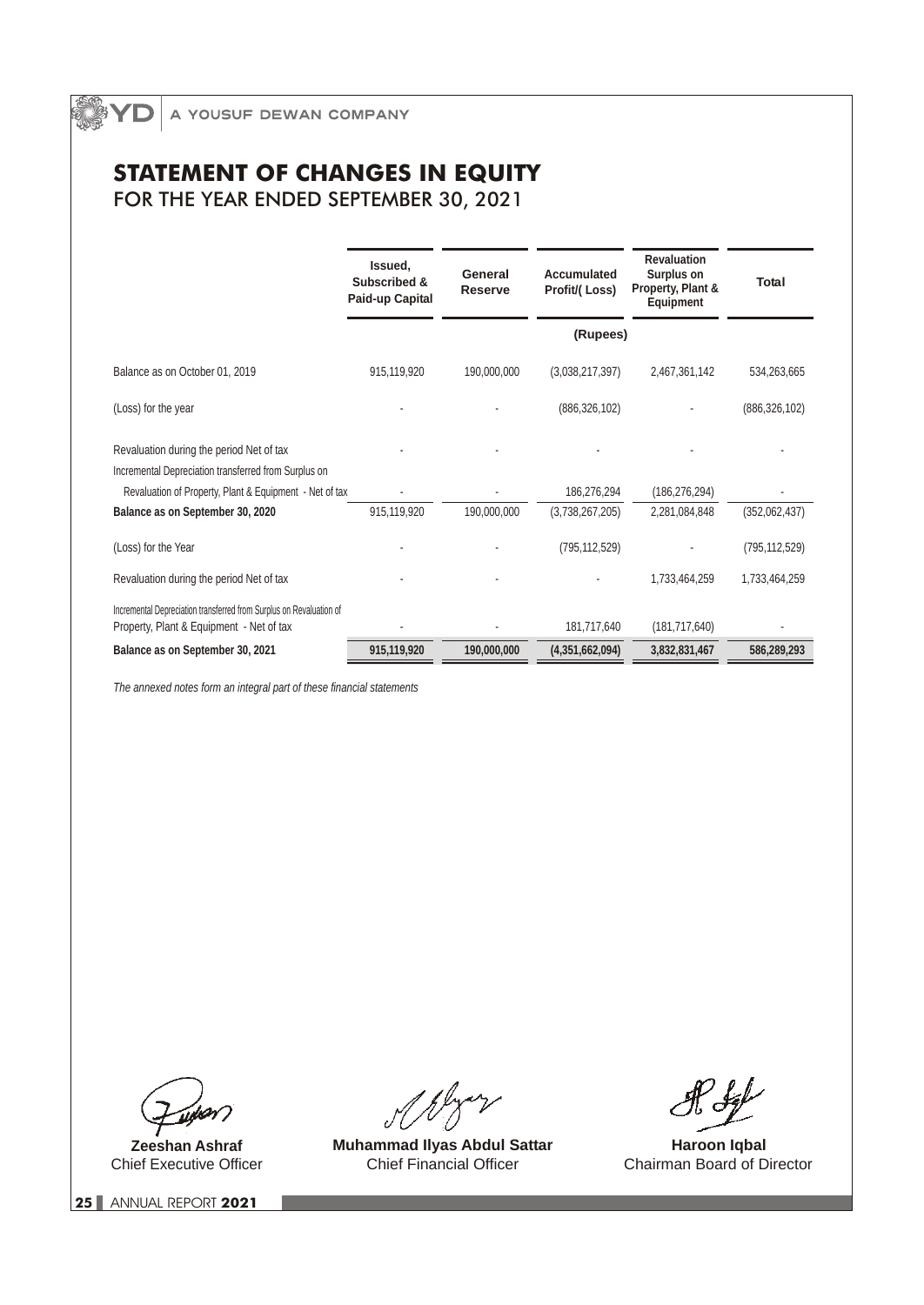YD

## **STATEMENT OF CHANGES IN EQUITY**

FOR THE YEAR ENDED SEPTEMBER 30, 2021

|                                                                                                                 | Issued,<br>Subscribed &<br>Paid-up Capital | General<br><b>Reserve</b> | Accumulated<br>Profit/(Loss) | <b>Revaluation</b><br>Surplus on<br>Property, Plant &<br><b>Equipment</b> | <b>Total</b>    |
|-----------------------------------------------------------------------------------------------------------------|--------------------------------------------|---------------------------|------------------------------|---------------------------------------------------------------------------|-----------------|
|                                                                                                                 |                                            |                           | (Rupees)                     |                                                                           |                 |
| Balance as on October 01, 2019                                                                                  | 915,119,920                                | 190,000,000               | (3,038,217,397)              | 2,467,361,142                                                             | 534,263,665     |
| (Loss) for the year                                                                                             |                                            |                           | (886, 326, 102)              |                                                                           | (886, 326, 102) |
| Revaluation during the period Net of tax<br>Incremental Depreciation transferred from Surplus on                |                                            |                           |                              |                                                                           |                 |
| Revaluation of Property, Plant & Equipment - Net of tax                                                         |                                            |                           | 186,276,294                  | (186, 276, 294)                                                           |                 |
| Balance as on September 30, 2020                                                                                | 915,119,920                                | 190,000,000               | (3,738,267,205)              | 2,281,084,848                                                             | (352,062,437)   |
| (Loss) for the Year                                                                                             |                                            |                           | (795, 112, 529)              |                                                                           | (795, 112, 529) |
| Revaluation during the period Net of tax                                                                        |                                            |                           |                              | 1,733,464,259                                                             | 1,733,464,259   |
| Incremental Depreciation transferred from Surplus on Revaluation of<br>Property, Plant & Equipment - Net of tax |                                            |                           | 181,717,640                  | (181, 717, 640)                                                           |                 |
| Balance as on September 30, 2021                                                                                | 915,119,920                                | 190,000,000               | (4,351,662,094)              | 3,832,831,467                                                             | 586,289,293     |

*The annexed notes form an integral part of these financial statements*

**Zeeshan Ashraf**

**Muhammad Ilyas Abdul Sattar** Chief Executive Officer Chief Financial Officer

**Haroon Iqbal** Chairman Board of Director

**25** ANNUAL REPORT **2021**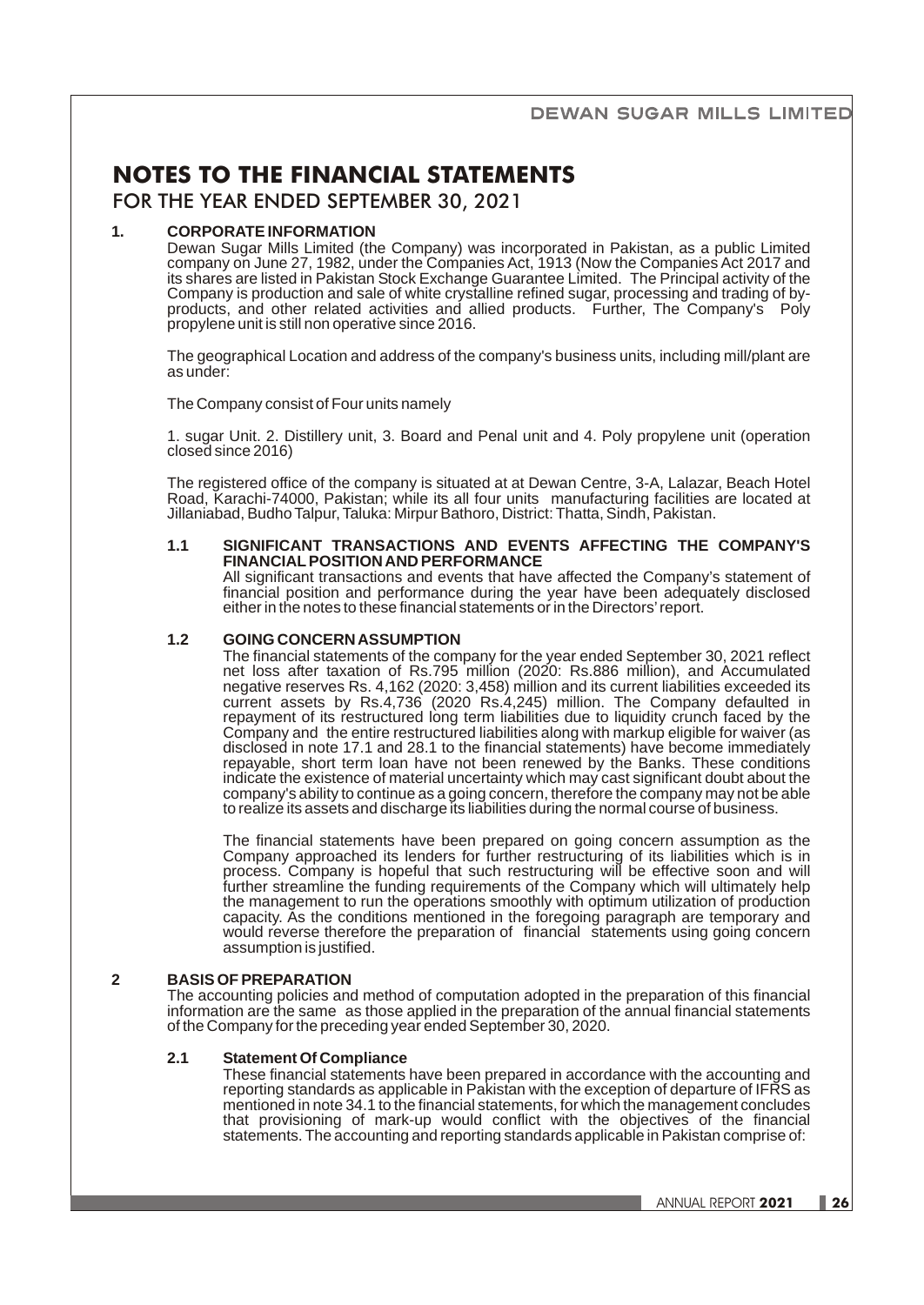## **NOTES TO THE FINANCIAL STATEMENTS**

FOR THE YEAR ENDED SEPTEMBER 30, 2021

## **1. CORPORATE INFORMATION**

Dewan Sugar Mills Limited (the Company) was incorporated in Pakistan, as a public Limited company on June 27, 1982, under the Companies Act, 1913 (Now the Companies Act 2017 and its shares are listed in Pakistan Stock Exchange Guarantee Limited. The Principal activity of the Company is production and sale of white crystalline refined sugar, processing and trading of byproducts, and other related activities and allied products. Further, The Company's Poly propylene unit is still non operative since 2016.

The geographical Location and address of the company's business units, including mill/plant are as under:

The Company consist of Four units namely

1. sugar Unit. 2. Distillery unit, 3. Board and Penal unit and 4. Poly propylene unit (operation closed since 2016)

The registered office of the company is situated at at Dewan Centre, 3-A, Lalazar, Beach Hotel Road, Karachi-74000, Pakistan; while its all four units manufacturing facilities are located at Jillaniabad, Budho Talpur, Taluka: Mirpur Bathoro, District: Thatta, Sindh, Pakistan.

#### **1.1 SIGNIFICANT TRANSACTIONS AND EVENTS AFFECTING THE COMPANY'S FINANCIAL POSITION AND PERFORMANCE**

All significant transactions and events that have affected the Company's statement of financial position and performance during the year have been adequately disclosed either in the notes to these financial statements or in the Directors' report.

## **1.2 GOING CONCERN ASSUMPTION**

The financial statements of the company for the year ended September 30, 2021 reflect net loss after taxation of Rs.795 million (2020: Rs.886 million), and Accumulated negative reserves Rs. 4,162 (2020: 3,458) million and its current liabilities exceeded its current assets by Rs.4,736 (2020 Rs.4,245) million. The Company defaulted in repayment of its restructured long term liabilities due to liquidity crunch faced by the Company and the entire restructured liabilities along with markup eligible for waiver (as disclosed in note 17.1 and 28.1 to the financial statements) have become immediately repayable, short term loan have not been renewed by the Banks. These conditions indicate the existence of material uncertainty which may cast significant doubt about the company's ability to continue as a going concern, therefore the company may not be able to realize its assets and discharge its liabilities during the normal course of business.

The financial statements have been prepared on going concern assumption as the Company approached its lenders for further restructuring of its liabilities which is in process. Company is hopeful that such restructuring will be effective soon and will further streamline the funding requirements of the Company which will ultimately help the management to run the operations smoothly with optimum utilization of production capacity. As the conditions mentioned in the foregoing paragraph are temporary and would reverse therefore the preparation of financial statements using going concern assumption is justified.

## **2 BASIS OF PREPARATION**

The accounting policies and method of computation adopted in the preparation of this financial information are the same as those applied in the preparation of the annual financial statements of the Company for the preceding year ended September 30, 2020.

## **2.1 Statement Of Compliance**

These financial statements have been prepared in accordance with the accounting and reporting standards as applicable in Pakistan with the exception of departure of IFRS as mentioned in note 34.1 to the financial statements, for which the management concludes that provisioning of mark-up would conflict with the objectives of the financial statements. The accounting and reporting standards applicable in Pakistan comprise of: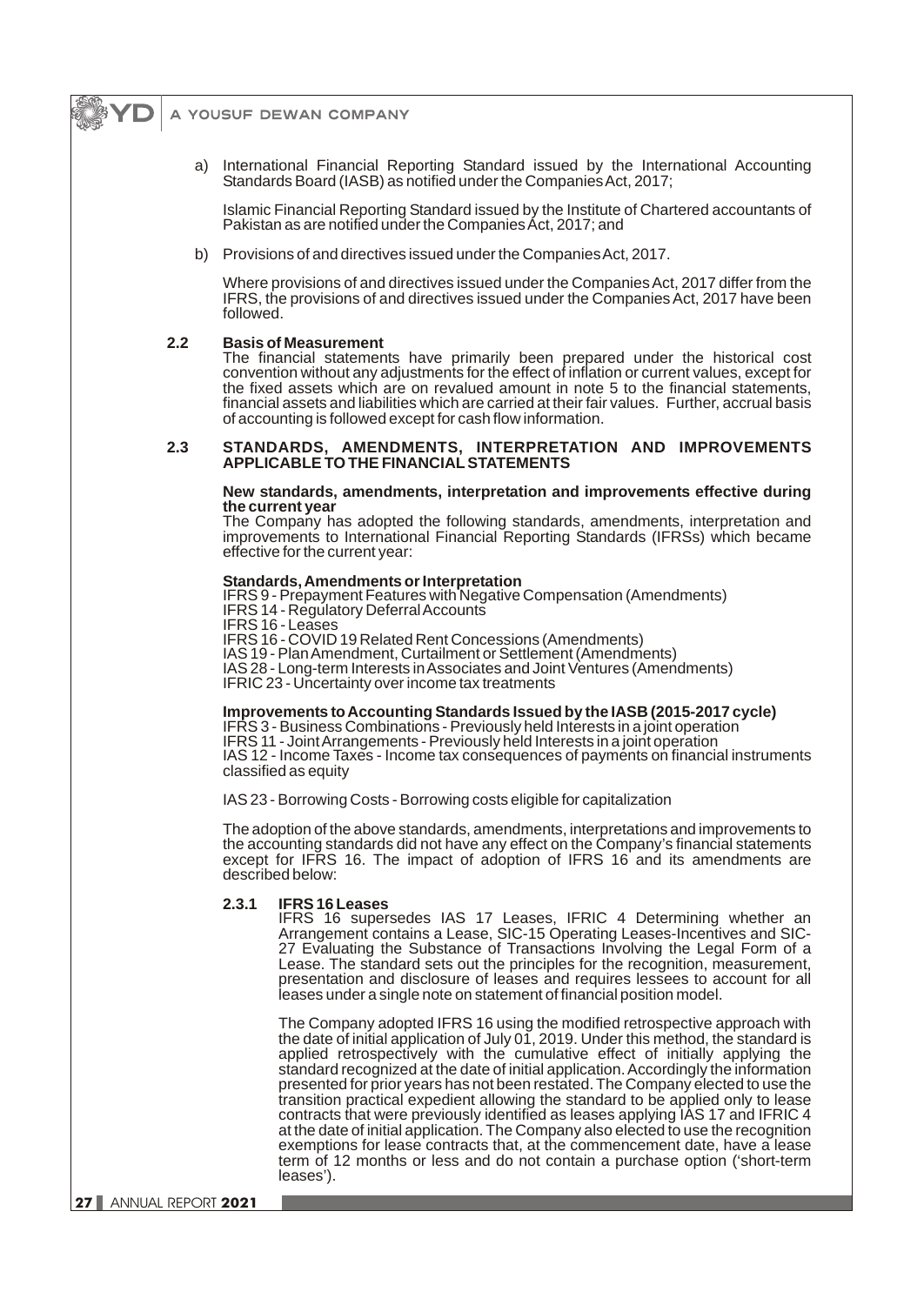a) International Financial Reporting Standard issued by the International Accounting Standards Board (IASB) as notified under the Companies Act, 2017;

Islamic Financial Reporting Standard issued by the Institute of Chartered accountants of Pakistan as are notified under the Companies Act, 2017; and

b) Provisions of and directives issued under the Companies Act, 2017.

Where provisions of and directives issued under the Companies Act, 2017 differ from the IFRS, the provisions of and directives issued under the Companies Act, 2017 have been followed.

#### **2.2 Basis of Measurement**

The financial statements have primarily been prepared under the historical cost convention without any adjustments for the effect of inflation or current values, except for the fixed assets which are on revalued amount in note 5 to the financial statements, financial assets and liabilities which are carried at their fair values. Further, accrual basis of accounting is followed except for cash flow information.

#### **2.3 STANDARDS, AMENDMENTS, INTERPRETATION AND IMPROVEMENTS APPLICABLE TO THE FINANCIAL STATEMENTS**

#### **New standards, amendments, interpretation and improvements effective during the current year**

The Company has adopted the following standards, amendments, interpretation and improvements to International Financial Reporting Standards (IFRSs) which became effective for the current year:

#### **Standards, Amendments or Interpretation**

IFRS 9 - Prepayment Features with Negative Compensation (Amendments) IFRS 14 - Regulatory Deferral Accounts

IFRS 16 - Leases

IFRS 16 - COVID 19 Related Rent Concessions (Amendments)

IAS 19 - Plan Amendment, Curtailment or Settlement (Amendments)

IAS 28 - Long-term Interests in Associates and Joint Ventures (Amendments) IFRIC 23 - Uncertainty over income tax treatments

#### **Improvements to Accounting Standards Issued by the IASB (2015-2017 cycle)**

IFRS 3 - Business Combinations - Previously held Interests in a joint operation IFRS 11 - Joint Arrangements - Previously held Interests in a joint operation IAS 12 - Income Taxes - Income tax consequences of payments on financial instruments classified as equity

IAS 23 - Borrowing Costs - Borrowing costs eligible for capitalization

The adoption of the above standards, amendments, interpretations and improvements to the accounting standards did not have any effect on the Company's financial statements except for IFRS 16. The impact of adoption of IFRS 16 and its amendments are described below:

#### **2.3.1 IFRS 16 Leases**

IFRS 16 supersedes IAS 17 Leases, IFRIC 4 Determining whether an Arrangement contains a Lease, SIC-15 Operating Leases-Incentives and SIC-27 Evaluating the Substance of Transactions Involving the Legal Form of a Lease. The standard sets out the principles for the recognition, measurement, presentation and disclosure of leases and requires lessees to account for all leases under a single note on statement of financial position model.

The Company adopted IFRS 16 using the modified retrospective approach with the date of initial application of July 01, 2019. Under this method, the standard is applied retrospectively with the cumulative effect of initially applying the standard recognized at the date of initial application. Accordingly the information presented for prior years has not been restated. The Company elected to use the transition practical expedient allowing the standard to be applied only to lease contracts that were previously identified as leases applying IAS 17 and IFRIC 4 at the date of initial application. The Company also elected to use the recognition exemptions for lease contracts that, at the commencement date, have a lease term of 12 months or less and do not contain a purchase option ('short-term leases').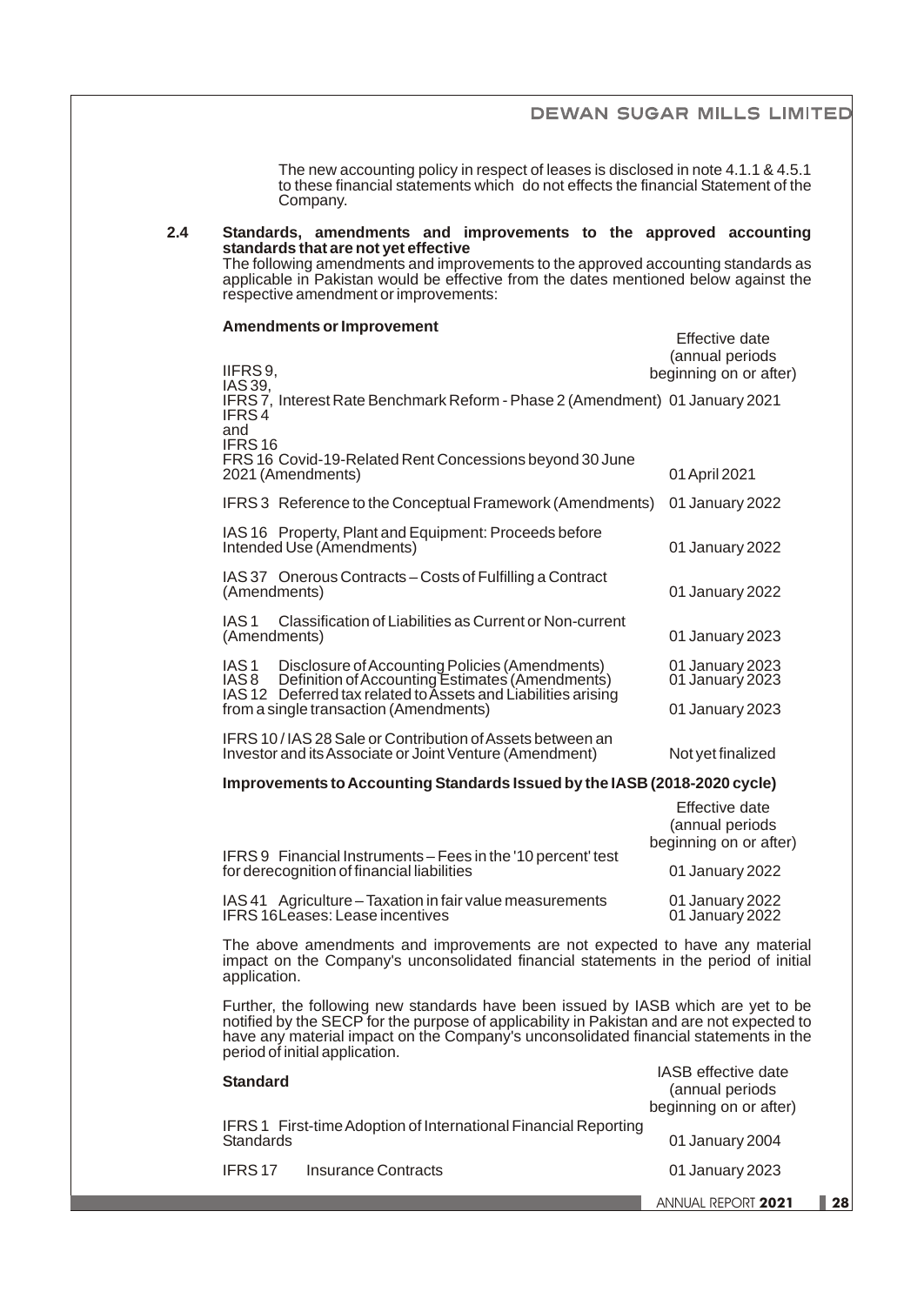Effective date

The new accounting policy in respect of leases is disclosed in note 4.1.1 & 4.5.1 to these financial statements which do not effects the financial Statement of the Company.

#### **2.4 Standards, amendments and improvements to the approved accounting standards that are not yet effective**

The following amendments and improvements to the approved accounting standards as applicable in Pakistan would be effective from the dates mentioned below against the respective amendment or improvements:

#### **Amendments or Improvement**

| IIFRS9.<br>IAS 39,                                                                                                                                                                              | (annual periods<br>beginning on or after)                   |
|-------------------------------------------------------------------------------------------------------------------------------------------------------------------------------------------------|-------------------------------------------------------------|
| IFRS 7, Interest Rate Benchmark Reform - Phase 2 (Amendment) 01 January 2021<br>IFRS4<br>and                                                                                                    |                                                             |
| IFRS <sub>16</sub><br>FRS 16 Covid-19-Related Rent Concessions beyond 30 June<br>2021 (Amendments)                                                                                              | 01 April 2021                                               |
| IFRS 3 Reference to the Conceptual Framework (Amendments)                                                                                                                                       | 01 January 2022                                             |
| IAS 16 Property, Plant and Equipment: Proceeds before<br>Intended Use (Amendments)                                                                                                              | 01 January 2022                                             |
| IAS 37 Onerous Contracts – Costs of Fulfilling a Contract<br>(Amendments)                                                                                                                       | 01 January 2022                                             |
| IAS <sub>1</sub><br>Classification of Liabilities as Current or Non-current<br>(Amendments)                                                                                                     | 01 January 2023                                             |
| Disclosure of Accounting Policies (Amendments)<br>IAS <sub>1</sub><br>IAS 8<br>Definition of Accounting Estimates (Amendments)<br>IAS 12 Deferred tax related to Assets and Liabilities arising | 01 January 2023<br>01 January 2023                          |
| from a single transaction (Amendments)                                                                                                                                                          | 01 January 2023                                             |
| IFRS 10/IAS 28 Sale or Contribution of Assets between an<br>Investor and its Associate or Joint Venture (Amendment)                                                                             | Not yet finalized                                           |
| Improvements to Accounting Standards Issued by the IASB (2018-2020 cycle)                                                                                                                       |                                                             |
|                                                                                                                                                                                                 | Effective date<br>(annual periods<br>beginning on or after) |
| IFRS 9 Financial Instruments - Fees in the '10 percent' test<br>for derecognition of financial liabilities                                                                                      | 01 January 2022                                             |
| IAS 41 Agriculture - Taxation in fair value measurements<br><b>IFRS 16Leases: Lease incentives</b>                                                                                              | 01 January 2022<br>01 January 2022                          |
| The above amondmente and improvemente are not evanted to boye any motori                                                                                                                        |                                                             |

The above amendments and improvements are not expected to have any material impact on the Company's unconsolidated financial statements in the period of initial application.

Further, the following new standards have been issued by IASB which are yet to be notified by the SECP for the purpose of applicability in Pakistan and are not expected to have any material impact on the Company's unconsolidated financial statements in the period of initial application. IASB effective date

| <b>Standard</b>    |                                                                 | <b>IASB effective date</b><br>(annual periods<br>beginning on or after) |    |
|--------------------|-----------------------------------------------------------------|-------------------------------------------------------------------------|----|
| <b>Standards</b>   | IFRS 1 First-time Adoption of International Financial Reporting | 01 January 2004                                                         |    |
| IFRS <sub>17</sub> | Insurance Contracts                                             | 01 January 2023                                                         |    |
|                    |                                                                 | ANNUAL REPORT 2021                                                      | 28 |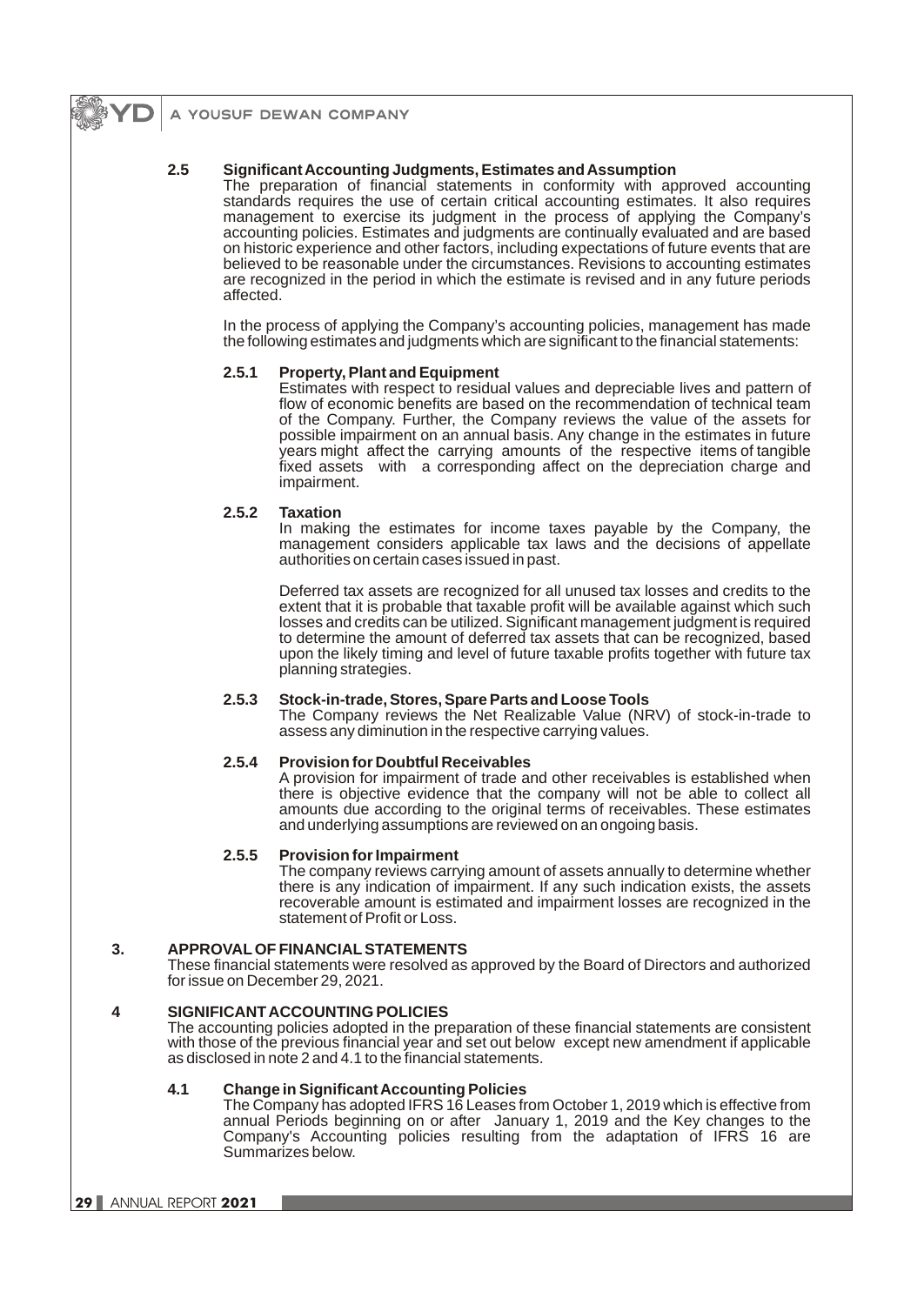#### **2.5 Significant Accounting Judgments, Estimates and Assumption**

The preparation of financial statements in conformity with approved accounting standards requires the use of certain critical accounting estimates. It also requires management to exercise its judgment in the process of applying the Company's accounting policies. Estimates and judgments are continually evaluated and are based on historic experience and other factors, including expectations of future events that are believed to be reasonable under the circumstances. Revisions to accounting estimates are recognized in the period in which the estimate is revised and in any future periods affected.

In the process of applying the Company's accounting policies, management has made the following estimates and judgments which are significant to the financial statements:

#### **2.5.1 Property, Plant and Equipment**

Estimates with respect to residual values and depreciable lives and pattern of flow of economic benefits are based on the recommendation of technical team of the Company. Further, the Company reviews the value of the assets for possible impairment on an annual basis. Any change in the estimates in future years might affect the carrying amounts of the respective items of tangible fixed assets with a corresponding affect on the depreciation charge and impairment.

#### **2.5.2 Taxation**

In making the estimates for income taxes payable by the Company, the management considers applicable tax laws and the decisions of appellate authorities on certain cases issued in past.

Deferred tax assets are recognized for all unused tax losses and credits to the extent that it is probable that taxable profit will be available against which such losses and credits can be utilized. Significant management judgment is required to determine the amount of deferred tax assets that can be recognized, based upon the likely timing and level of future taxable profits together with future tax planning strategies.

#### **2.5.3 Stock-in-trade, Stores, Spare Parts and Loose Tools**

The Company reviews the Net Realizable Value (NRV) of stock-in-trade to assess any diminution in the respective carrying values.

#### **2.5.4 Provision for Doubtful Receivables**

A provision for impairment of trade and other receivables is established when there is objective evidence that the company will not be able to collect all amounts due according to the original terms of receivables. These estimates and underlying assumptions are reviewed on an ongoing basis.

### **2.5.5 Provision for Impairment**

The company reviews carrying amount of assets annually to determine whether there is any indication of impairment. If any such indication exists, the assets recoverable amount is estimated and impairment losses are recognized in the statement of Profit or Loss.

### **3. APPROVAL OF FINANCIAL STATEMENTS**

These financial statements were resolved as approved by the Board of Directors and authorized for issue on December 29, 2021.

#### **4 SIGNIFICANT ACCOUNTING POLICIES**

The accounting policies adopted in the preparation of these financial statements are consistent with those of the previous financial year and set out below except new amendment if applicable as disclosed in note 2 and 4.1 to the financial statements.

#### **4.1 Change in Significant Accounting Policies**

The Company has adopted IFRS 16 Leases from October 1, 2019 which is effective from annual Periods beginning on or after January 1, 2019 and the Key changes to the Company's Accounting policies resulting from the adaptation of IFRS 16 are Summarizes below.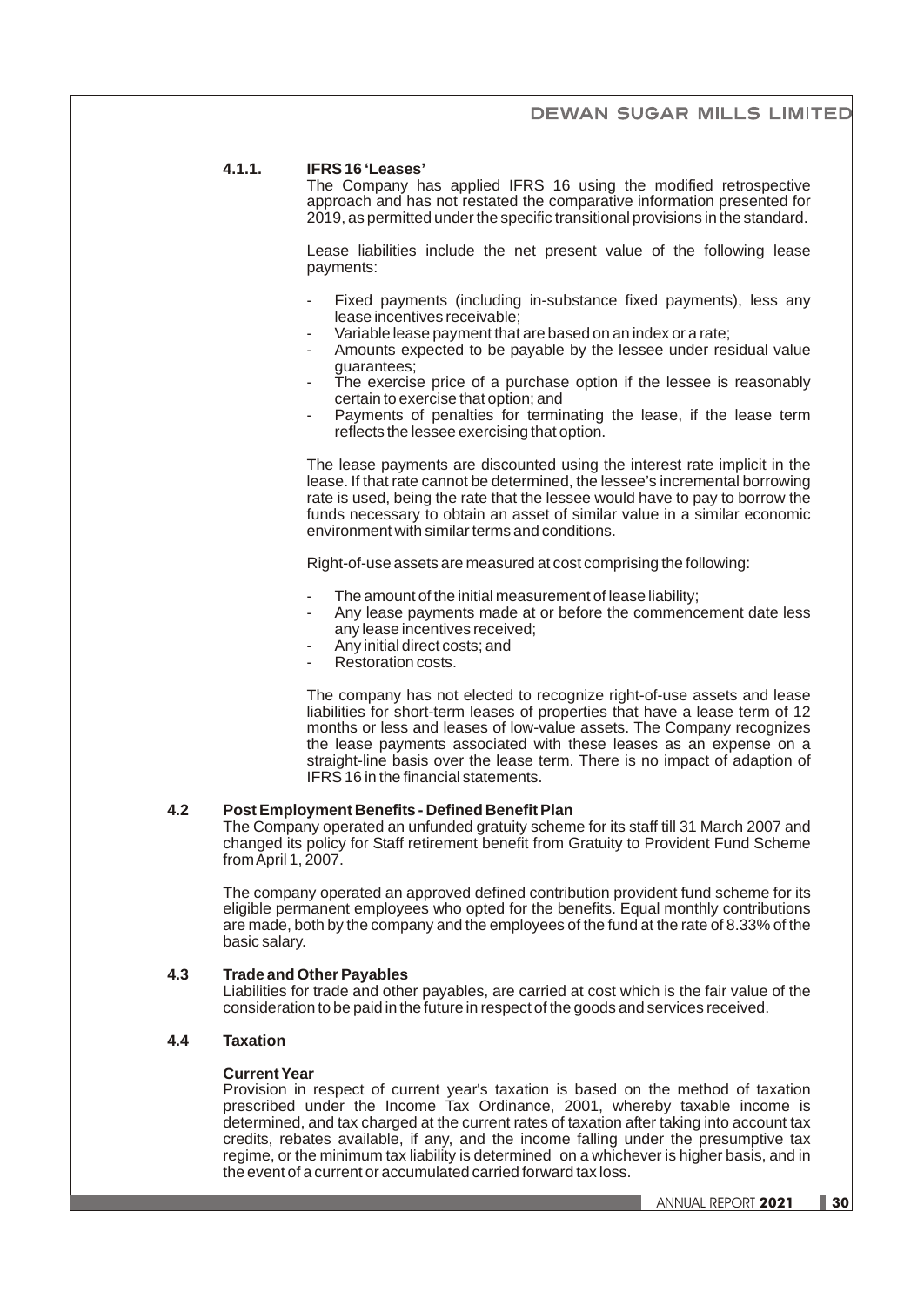## **4.1.1. IFRS 16 'Leases'**

The Company has applied IFRS 16 using the modified retrospective approach and has not restated the comparative information presented for 2019, as permitted under the specific transitional provisions in the standard.

Lease liabilities include the net present value of the following lease payments:

- Fixed payments (including in-substance fixed payments), less any lease incentives receivable;
- Variable lease payment that are based on an index or a rate;
- Amounts expected to be payable by the lessee under residual value guarantees;
- The exercise price of a purchase option if the lessee is reasonably certain to exercise that option; and
- Payments of penalties for terminating the lease, if the lease term reflects the lessee exercising that option.

The lease payments are discounted using the interest rate implicit in the lease. If that rate cannot be determined, the lessee's incremental borrowing rate is used, being the rate that the lessee would have to pay to borrow the funds necessary to obtain an asset of similar value in a similar economic environment with similar terms and conditions.

Right-of-use assets are measured at cost comprising the following:

- The amount of the initial measurement of lease liability;
- Any lease payments made at or before the commencement date less any lease incentives received;
- Any initial direct costs; and
- Restoration costs.

The company has not elected to recognize right-of-use assets and lease liabilities for short-term leases of properties that have a lease term of 12 months or less and leases of low-value assets. The Company recognizes the lease payments associated with these leases as an expense on a straight-line basis over the lease term. There is no impact of adaption of IFRS 16 in the financial statements.

## **4.2 Post Employment Benefits - Defined Benefit Plan**

The Company operated an unfunded gratuity scheme for its staff till 31 March 2007 and changed its policy for Staff retirement benefit from Gratuity to Provident Fund Scheme from April 1, 2007.

The company operated an approved defined contribution provident fund scheme for its eligible permanent employees who opted for the benefits. Equal monthly contributions are made, both by the company and the employees of the fund at the rate of 8.33% of the basic salary.

## **4.3 Trade and Other Payables**

Liabilities for trade and other payables, are carried at cost which is the fair value of the consideration to be paid in the future in respect of the goods and services received.

## **4.4 Taxation**

#### **Current Year**

Provision in respect of current year's taxation is based on the method of taxation prescribed under the Income Tax Ordinance, 2001, whereby taxable income is determined, and tax charged at the current rates of taxation after taking into account tax credits, rebates available, if any, and the income falling under the presumptive tax regime, or the minimum tax liability is determined on a whichever is higher basis, and in the event of a current or accumulated carried forward tax loss.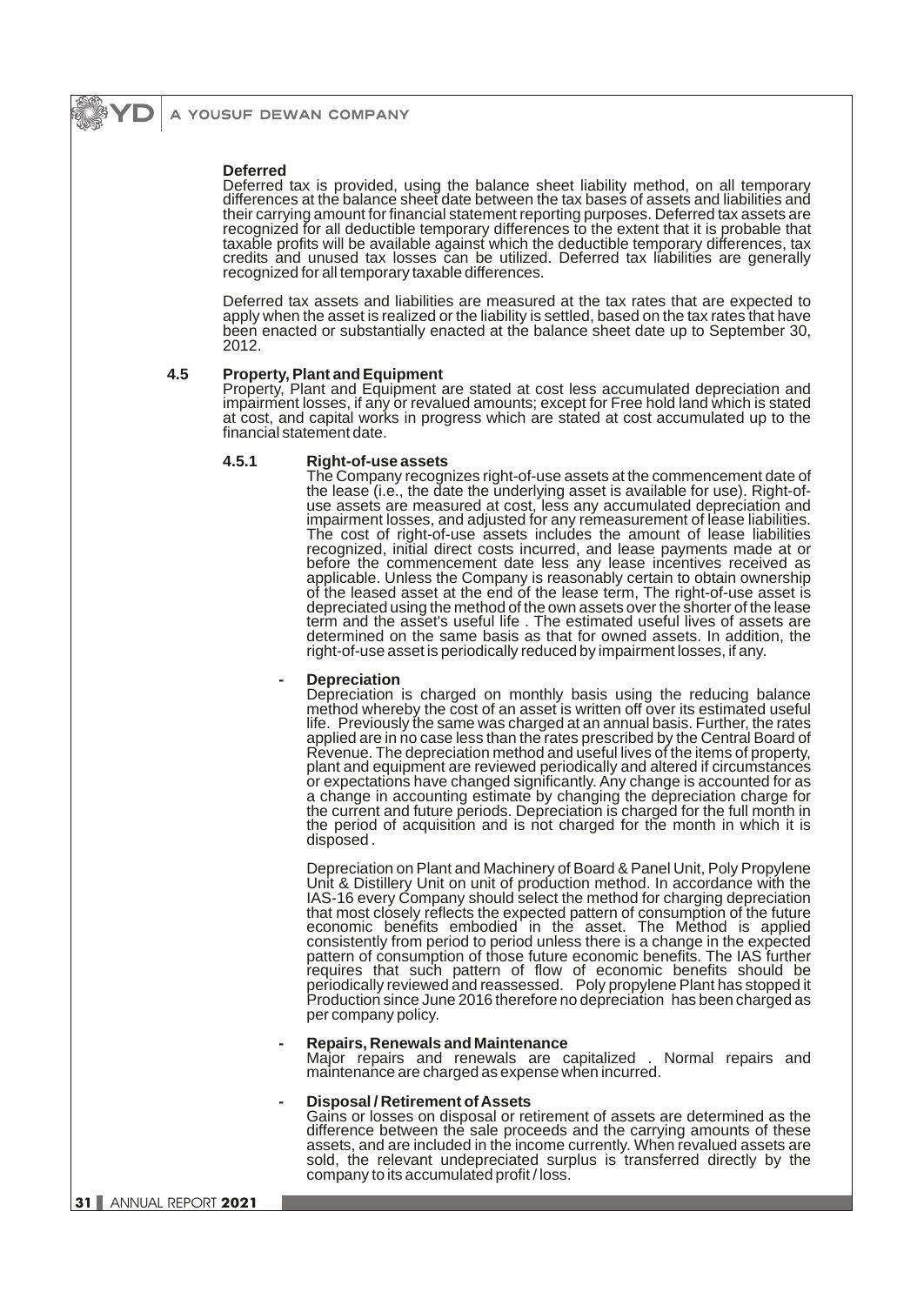#### **Deferred**

Deferred tax is provided, using the balance sheet liability method, on all temporary differences at the balance sheet date between the tax bases of assets and liabilities and their carrying amount for financial statement reporting purposes. Deferred tax assets are recognized for all deductible temporary differences to the extent that it is probable that taxable profits will be available against which the deductible temporary differences, tax credits and unused tax losses can be utilized. Deferred tax liabilities are generally recognized for all temporary taxable differences.

Deferred tax assets and liabilities are measured at the tax rates that are expected to apply when the asset is realized or the liability is settled, based on the tax rates that have been enacted or substantially enacted at the balance sheet date up to September 30, 2012.

#### **4.5 Property, Plant and Equipment**

Property, Plant and Equipment are stated at cost less accumulated depreciation and impairment losses, if any or revalued amounts; except for Free hold land which is stated at cost, and capital works in progress which are stated at cost accumulated up to the financial statement date.

#### **4.5.1 Right-of-use assets**

The Company recognizes right-of-use assets at the commencement date of the lease (i.e., the date the underlying asset is available for use). Right-ofuse assets are measured at cost, less any accumulated depreciation and impairment losses, and adjusted for any remeasurement of lease liabilities. The cost of right-of-use assets includes the amount of lease liabilities recognized, initial direct costs incurred, and lease payments made at or before the commencement date less any lease incentives received as applicable. Unless the Company is reasonably certain to obtain ownership of the leased asset at the end of the lease term, The right-of-use asset is depreciated using the method of the own assets over the shorter of the lease term and the asset's useful life . The estimated useful lives of assets are determined on the same basis as that for owned assets. In addition, the right-of-use asset is periodically reduced by impairment losses, if any.

#### **- Depreciation**

Depreciation is charged on monthly basis using the reducing balance method whereby the cost of an asset is written off over its estimated useful life. Previously the same was charged at an annual basis. Further, the rates applied are in no case less than the rates prescribed by the Central Board of Revenue. The depreciation method and useful lives of the items of property, plant and equipment are reviewed periodically and altered if circumstances or expectations have changed significantly. Any change is accounted for as a change in accounting estimate by changing the depreciation charge for the current and future periods. Depreciation is charged for the full month in the period of acquisition and is not charged for the month in which it is disposed .

Depreciation on Plant and Machinery of Board & Panel Unit, Poly Propylene Unit & Distillery Unit on unit of production method. In accordance with the IAS-16 every Company should select the method for charging depreciation that most closely reflects the expected pattern of consumption of the future economic benefits embodied in the asset. The Method is applied consistently from period to period unless there is a change in the expected pattern of consumption of those future economic benefits. The IAS further requires that such pattern of flow of economic benefits should be periodically reviewed and reassessed. Poly propylene Plant has stopped it Production since June 2016 therefore no depreciation has been charged as per company policy.

#### **- Repairs, Renewals and Maintenance**

Major repairs and renewals are capitalized . Normal repairs and maintenance are charged as expense when incurred.

#### **- Disposal / Retirement of Assets**

Gains or losses on disposal or retirement of assets are determined as the difference between the sale proceeds and the carrying amounts of these assets, and are included in the income currently. When revalued assets are sold, the relevant undepreciated surplus is transferred directly by the company to its accumulated profit / loss.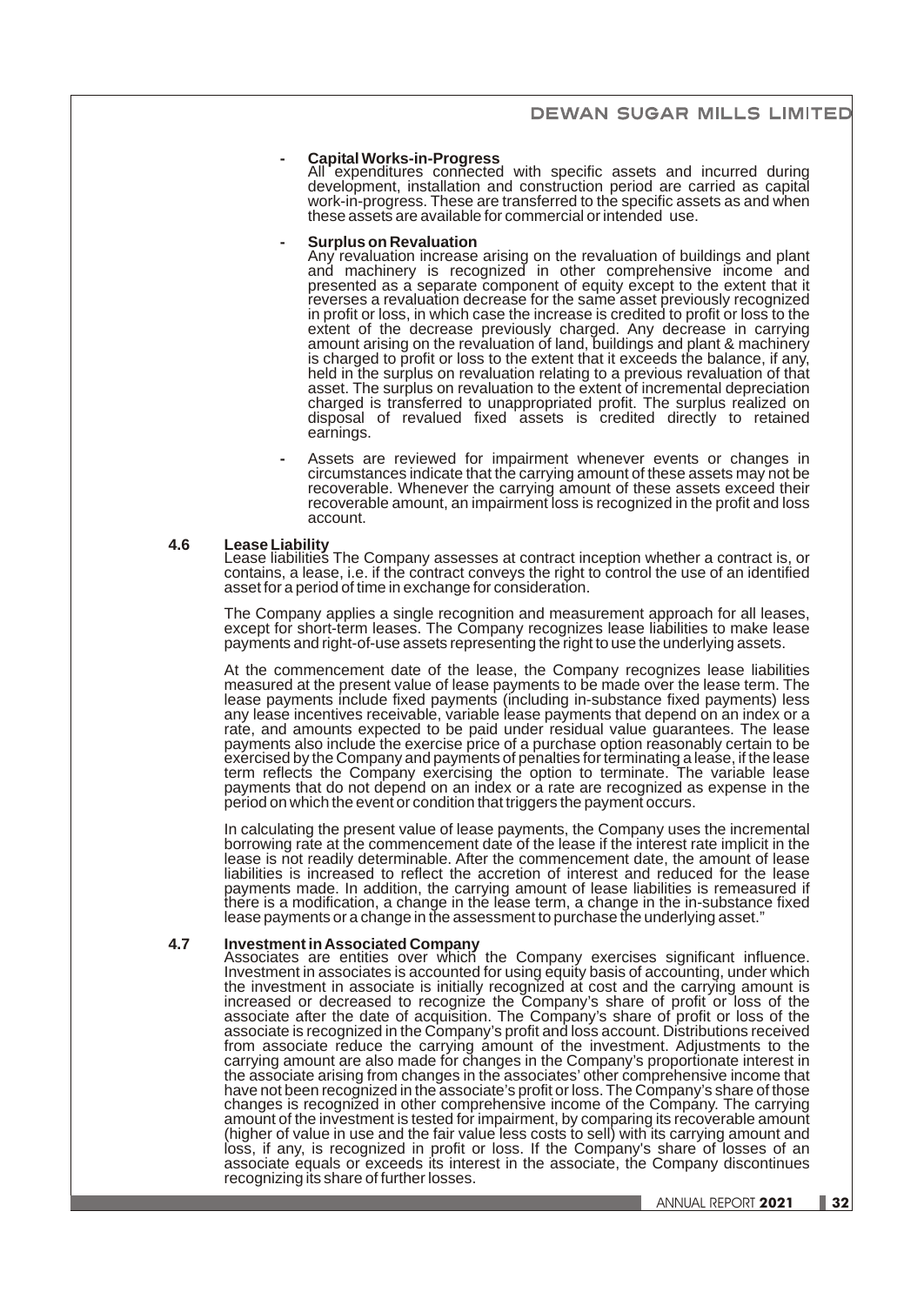**- Capital Works-in-Progress** All expenditures connected with specific assets and incurred during development, installation and construction period are carried as capital work-in-progress. These are transferred to the specific assets as and when these assets are available for commercial or intended use.

#### **- Surplus on Revaluation**

Any revaluation increase arising on the revaluation of buildings and plant and machinery is recognized in other comprehensive income and presented as a separate component of equity except to the extent that it reverses a revaluation decrease for the same asset previously recognized in profit or loss, in which case the increase is credited to profit or loss to the extent of the decrease previously charged. Any decrease in carrying amount arising on the revaluation of land, buildings and plant & machinery is charged to profit or loss to the extent that it exceeds the balance, if any, held in the surplus on revaluation relating to a previous revaluation of that asset. The surplus on revaluation to the extent of incremental depreciation charged is transferred to unappropriated profit. The surplus realized on disposal of revalued fixed assets is credited directly to retained earnings.

**-** Assets are reviewed for impairment whenever events or changes in circumstances indicate that the carrying amount of these assets may not be recoverable. Whenever the carrying amount of these assets exceed their recoverable amount, an impairment loss is recognized in the profit and loss account.

#### **4.6 Lease Liability**

Lease liabilities The Company assesses at contract inception whether a contract is, or contains, a lease, i.e. if the contract conveys the right to control the use of an identified asset for a period of time in exchange for consideration.

The Company applies a single recognition and measurement approach for all leases, except for short-term leases. The Company recognizes lease liabilities to make lease payments and right-of-use assets representing the right to use the underlying assets.

At the commencement date of the lease, the Company recognizes lease liabilities measured at the present value of lease payments to be made over the lease term. The lease payments include fixed payments (including in-substance fixed payments) less any lease incentives receivable, variable lease payments that depend on an index or a rate, and amounts expected to be paid under residual value guarantees. The lease payments also include the exercise price of a purchase option reasonably certain to be exercised by the Company and payments of penalties for terminating a lease, if the lease term reflects the Company exercising the option to terminate. The variable lease payments that do not depend on an index or a rate are recognized as expense in the period on which the event or condition that triggers the payment occurs.

In calculating the present value of lease payments, the Company uses the incremental borrowing rate at the commencement date of the lease if the interest rate implicit in the lease is not readily determinable. After the commencement date, the amount of lease liabilities is increased to reflect the accretion of interest and reduced for the lease payments made. In addition, the carrying amount of lease liabilities is remeasured if there is a modification, a change in the lease term, a change in the in-substance fixed lease payments or a change in the assessment to purchase the underlying asset."

#### **4.7 Investment in Associated Company**

Associates are entities over which the Company exercises significant influence. Investment in associates is accounted for using equity basis of accounting, under which the investment in associate is initially recognized at cost and the carrying amount is increased or decreased to recognize the Company's share of profit or loss of the associate after the date of acquisition. The Company's share of profit or loss of the associate is recognized in the Company's profit and loss account. Distributions received from associate reduce the carrying amount of the investment. Adjustments to the carrying amount are also made for changes in the Company's proportionate interest in the associate arising from changes in the associates' other comprehensive income that have not been recognized in the associate's profit or loss. The Company's share of those changes is recognized in other comprehensive income of the Company. The carrying amount of the investment is tested for impairment, by comparing its recoverable amount (higher of value in use and the fair value less costs to sell) with its carrying amount and loss, if any, is recognized in profit or loss. If the Company's share of losses of an associate equals or exceeds its interest in the associate, the Company discontinues recognizing its share of further losses.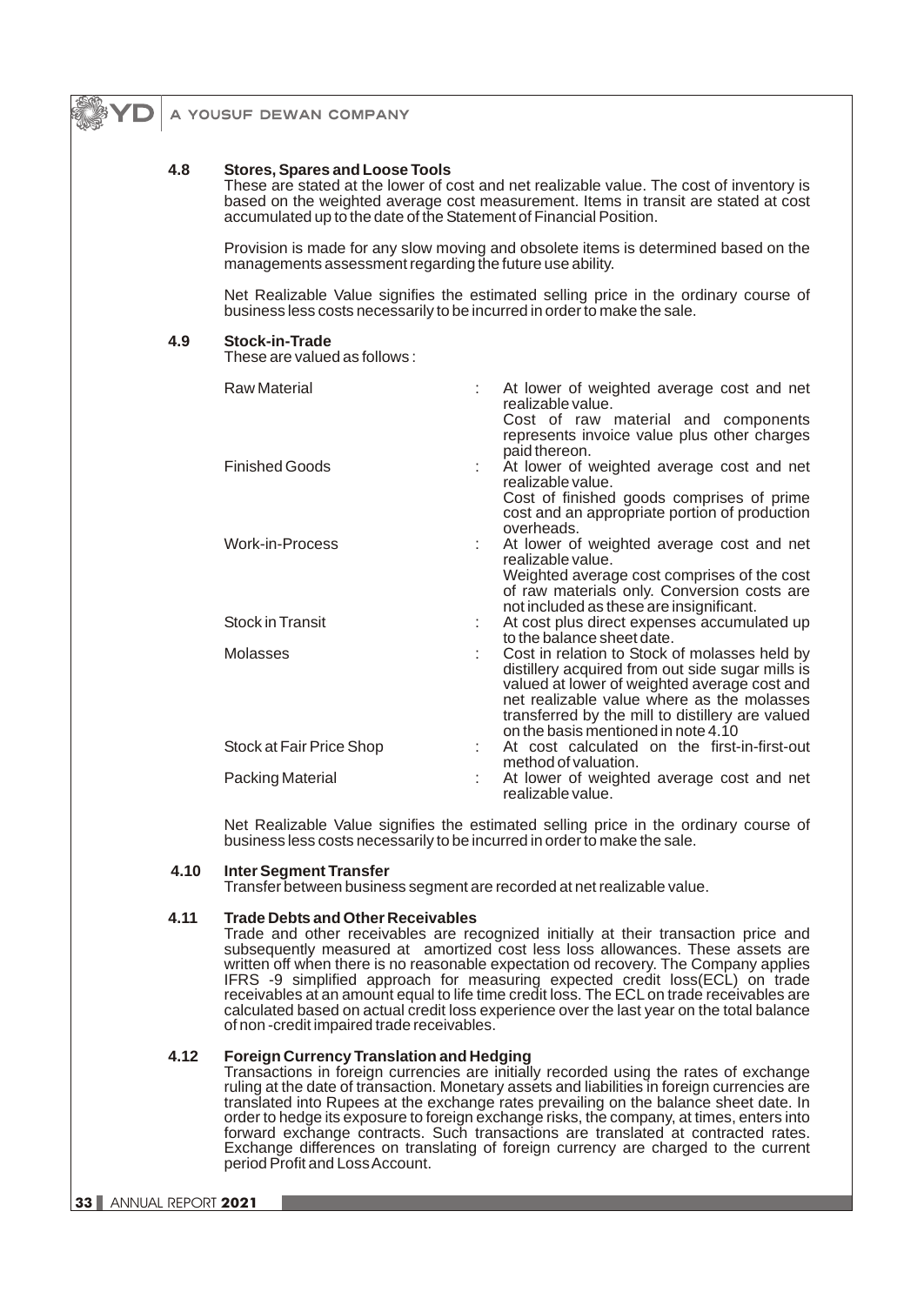#### **4.8 Stores, Spares and Loose Tools**

These are stated at the lower of cost and net realizable value. The cost of inventory is based on the weighted average cost measurement. Items in transit are stated at cost accumulated up to the date of the Statement of Financial Position.

Provision is made for any slow moving and obsolete items is determined based on the managements assessment regarding the future use ability.

Net Realizable Value signifies the estimated selling price in the ordinary course of business less costs necessarily to be incurred in order to make the sale.

#### **4.9 Stock-in-Trade**

These are valued as follows :

| <b>Raw Material</b>      | : At lower of weighted average cost and net<br>realizable value.<br>Cost of raw material and components<br>represents invoice value plus other charges<br>paid thereon.                                                                                                                    |
|--------------------------|--------------------------------------------------------------------------------------------------------------------------------------------------------------------------------------------------------------------------------------------------------------------------------------------|
| <b>Finished Goods</b>    | At lower of weighted average cost and net<br>realizable value.<br>Cost of finished goods comprises of prime<br>cost and an appropriate portion of production<br>overheads.                                                                                                                 |
| <b>Work-in-Process</b>   | At lower of weighted average cost and net<br>realizable value.<br>Weighted average cost comprises of the cost<br>of raw materials only. Conversion costs are<br>not included as these are insignificant.                                                                                   |
| <b>Stock in Transit</b>  | At cost plus direct expenses accumulated up<br>to the balance sheet date.                                                                                                                                                                                                                  |
| Molasses                 | Cost in relation to Stock of molasses held by<br>distillery acquired from out side sugar mills is<br>valued at lower of weighted average cost and<br>net realizable value where as the molasses<br>transferred by the mill to distillery are valued<br>on the basis mentioned in note 4.10 |
| Stock at Fair Price Shop | At cost calculated on the first-in-first-out<br>method of valuation.                                                                                                                                                                                                                       |
| Packing Material         | At lower of weighted average cost and net<br>realizable value.                                                                                                                                                                                                                             |

Net Realizable Value signifies the estimated selling price in the ordinary course of business less costs necessarily to be incurred in order to make the sale.

#### **4.10 Inter Segment Transfer**

Transfer between business segment are recorded at net realizable value.

#### **4.11 Trade Debts and Other Receivables**

Trade and other receivables are recognized initially at their transaction price and subsequently measured at amortized cost less loss allowances. These assets are written off when there is no reasonable expectation od recovery. The Company applies IFRS -9 simplified approach for measuring expected credit loss(ECL) on trade receivables at an amount equal to life time credit loss. The ECL on trade receivables are calculated based on actual credit loss experience over the last year on the total balance of non -credit impaired trade receivables.

#### **4.12 Foreign Currency Translation and Hedging**

Transactions in foreign currencies are initially recorded using the rates of exchange ruling at the date of transaction. Monetary assets and liabilities in foreign currencies are translated into Rupees at the exchange rates prevailing on the balance sheet date. In order to hedge its exposure to foreign exchange risks, the company, at times, enters into forward exchange contracts. Such transactions are translated at contracted rates. Exchange differences on translating of foreign currency are charged to the current period Profit and Loss Account.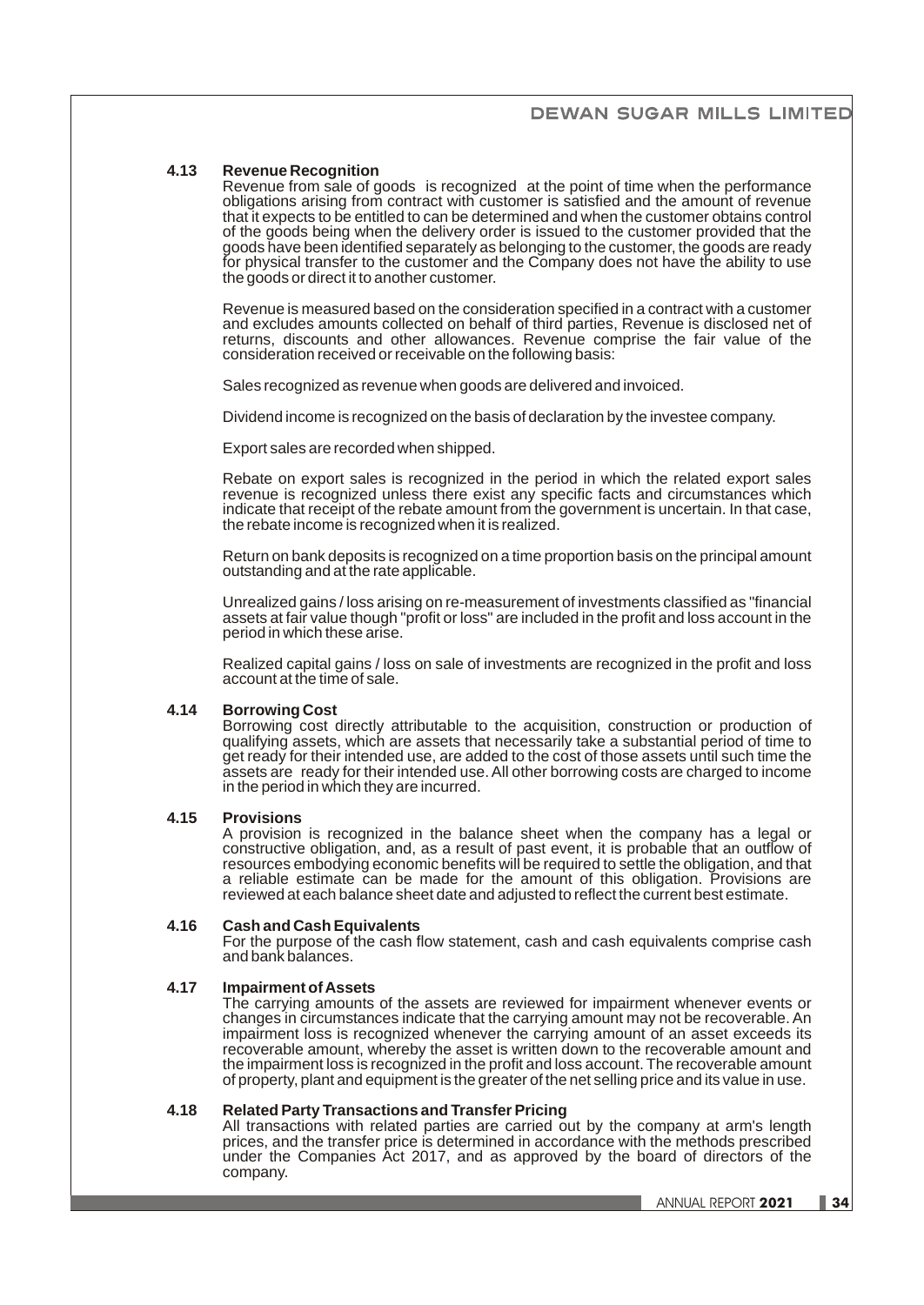### **4.13 Revenue Recognition**

Revenue from sale of goods is recognized at the point of time when the performance obligations arising from contract with customer is satisfied and the amount of revenue that it expects to be entitled to can be determined and when the customer obtains control of the goods being when the delivery order is issued to the customer provided that the goods have been identified separately as belonging to the customer, the goods are ready for physical transfer to the customer and the Company does not have the ability to use the goods or direct it to another customer.

Revenue is measured based on the consideration specified in a contract with a customer and excludes amounts collected on behalf of third parties, Revenue is disclosed net of returns, discounts and other allowances. Revenue comprise the fair value of the consideration received or receivable on the following basis:

Sales recognized as revenue when goods are delivered and invoiced.

Dividend income is recognized on the basis of declaration by the investee company.

Export sales are recorded when shipped.

Rebate on export sales is recognized in the period in which the related export sales revenue is recognized unless there exist any specific facts and circumstances which indicate that receipt of the rebate amount from the government is uncertain. In that case, the rebate income is recognized when it is realized.

Return on bank deposits is recognized on a time proportion basis on the principal amount outstanding and at the rate applicable.

Unrealized gains / loss arising on re-measurement of investments classified as "financial assets at fair value though "profit or loss" are included in the profit and loss account in the period in which these arise.

Realized capital gains / loss on sale of investments are recognized in the profit and loss account at the time of sale.

## **4.14 Borrowing Cost**

Borrowing cost directly attributable to the acquisition, construction or production of qualifying assets, which are assets that necessarily take a substantial period of time to get ready for their intended use, are added to the cost of those assets until such time the assets are ready for their intended use. All other borrowing costs are charged to income in the period in which they are incurred.

#### **4.15 Provisions**

A provision is recognized in the balance sheet when the company has a legal or constructive obligation, and, as a result of past event, it is probable that an outflow of resources embodying economic benefits will be required to settle the obligation, and that a reliable estimate can be made for the amount of this obligation. Provisions are reviewed at each balance sheet date and adjusted to reflect the current best estimate.

#### **4.16 Cash and Cash Equivalents**

For the purpose of the cash flow statement, cash and cash equivalents comprise cash and bank balances.

#### **4.17 Impairment of Assets**

The carrying amounts of the assets are reviewed for impairment whenever events or changes in circumstances indicate that the carrying amount may not be recoverable. An impairment loss is recognized whenever the carrying amount of an asset exceeds its recoverable amount, whereby the asset is written down to the recoverable amount and the impairment loss is recognized in the profit and loss account. The recoverable amount of property, plant and equipment is the greater of the net selling price and its value in use.

#### **4.18 Related Party Transactions and Transfer Pricing**

All transactions with related parties are carried out by the company at arm's length prices, and the transfer price is determined in accordance with the methods prescribed under the Companies Act 2017, and as approved by the board of directors of the company.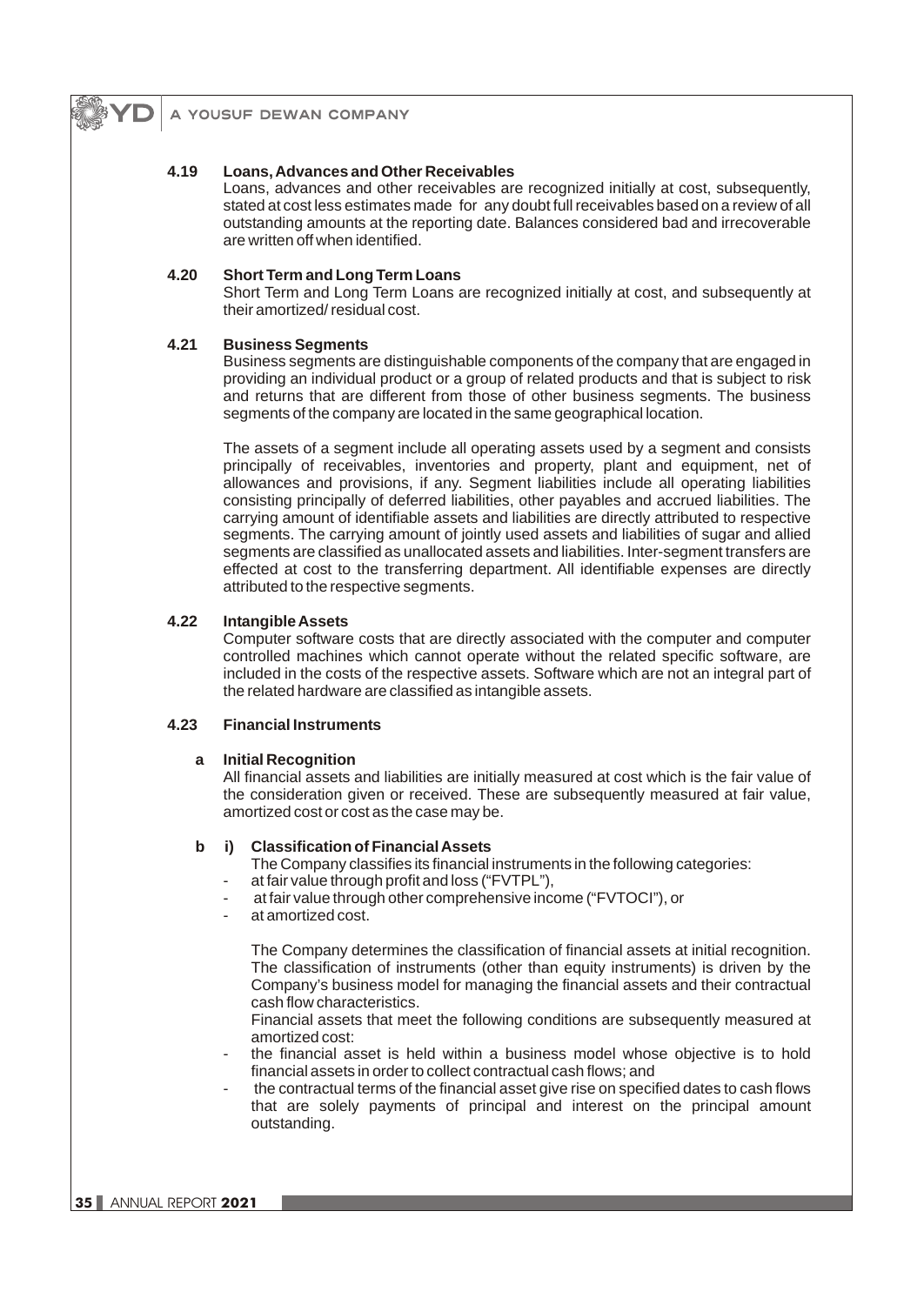#### **4.19 Loans, Advances and Other Receivables**

Loans, advances and other receivables are recognized initially at cost, subsequently, stated at cost less estimates made for any doubt full receivables based on a review of all outstanding amounts at the reporting date. Balances considered bad and irrecoverable are written off when identified.

#### **4.20 Short Term and Long Term Loans**

Short Term and Long Term Loans are recognized initially at cost, and subsequently at their amortized/ residual cost.

#### **4.21 Business Segments**

Business segments are distinguishable components of the company that are engaged in providing an individual product or a group of related products and that is subject to risk and returns that are different from those of other business segments. The business segments of the company are located in the same geographical location.

The assets of a segment include all operating assets used by a segment and consists principally of receivables, inventories and property, plant and equipment, net of allowances and provisions, if any. Segment liabilities include all operating liabilities consisting principally of deferred liabilities, other payables and accrued liabilities. The carrying amount of identifiable assets and liabilities are directly attributed to respective segments. The carrying amount of jointly used assets and liabilities of sugar and allied segments are classified as unallocated assets and liabilities. Inter-segment transfers are effected at cost to the transferring department. All identifiable expenses are directly attributed to the respective segments.

#### **4.22 Intangible Assets**

Computer software costs that are directly associated with the computer and computer controlled machines which cannot operate without the related specific software, are included in the costs of the respective assets. Software which are not an integral part of the related hardware are classified as intangible assets.

## **4.23 Financial Instruments**

#### **a Initial Recognition**

All financial assets and liabilities are initially measured at cost which is the fair value of the consideration given or received. These are subsequently measured at fair value, amortized cost or cost as the case may be.

## **b i) Classification of Financial Assets**

The Company classifies its financial instruments in the following categories:

- at fair value through profit and loss ("FVTPL"),
- at fair value through other comprehensive income ("FVTOCI"), or
- at amortized cost.

The Company determines the classification of financial assets at initial recognition. The classification of instruments (other than equity instruments) is driven by the Company's business model for managing the financial assets and their contractual cash flow characteristics.

Financial assets that meet the following conditions are subsequently measured at amortized cost:

- the financial asset is held within a business model whose objective is to hold financial assets in order to collect contractual cash flows; and
- the contractual terms of the financial asset give rise on specified dates to cash flows that are solely payments of principal and interest on the principal amount outstanding.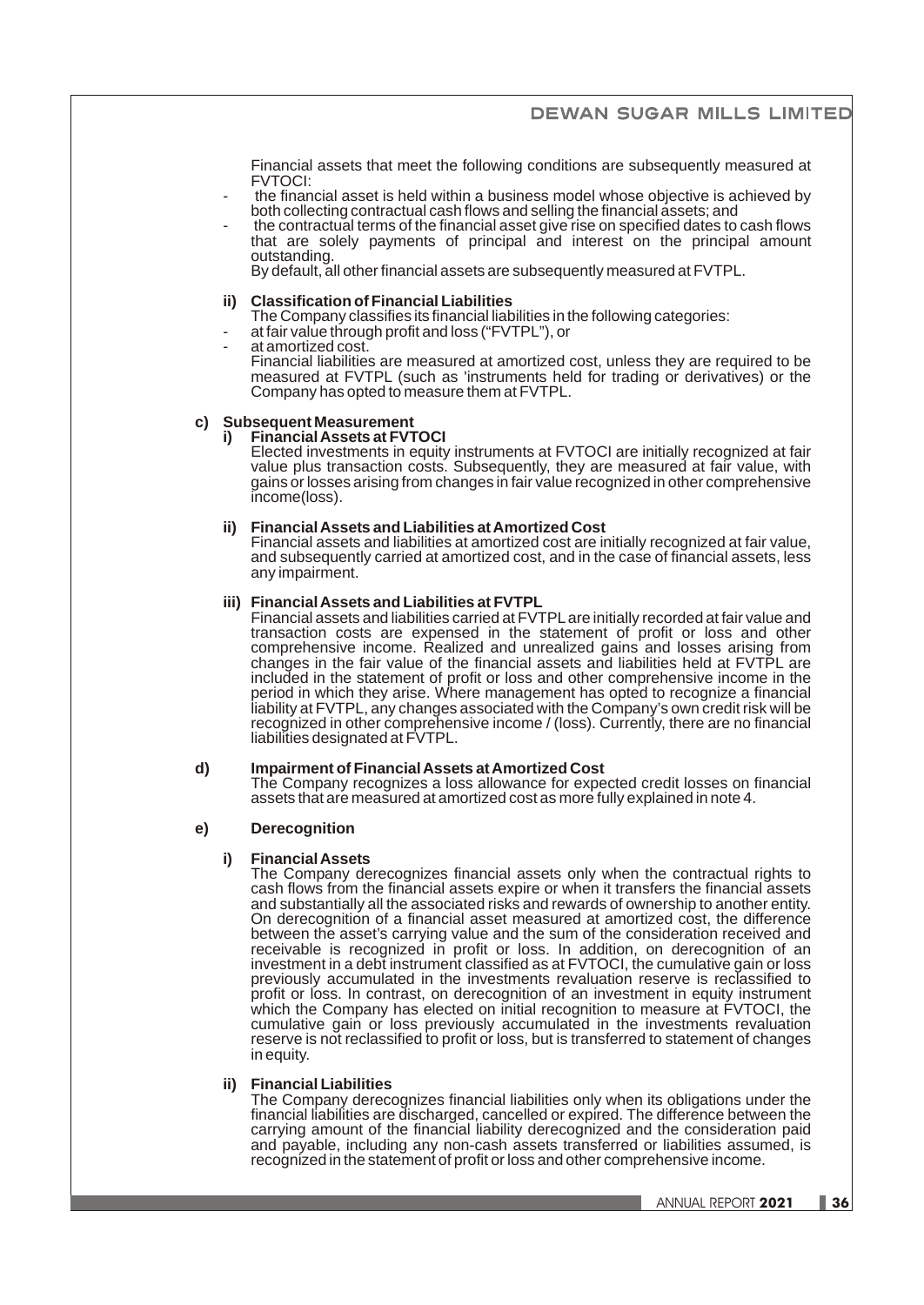Financial assets that meet the following conditions are subsequently measured at FVTOCI:

- the financial asset is held within a business model whose objective is achieved by both collecting contractual cash flows and selling the financial assets; and
- the contractual terms of the financial asset give rise on specified dates to cash flows that are solely payments of principal and interest on the principal amount outstanding.

By default, all other financial assets are subsequently measured at FVTPL.

### **ii) Classification of Financial Liabilities**

- The Company classifies its financial liabilities in the following categories:
- at fair value through profit and loss ("FVTPL"), or
- at amortized cost.

Financial liabilities are measured at amortized cost, unless they are required to be measured at FVTPL (such as 'instruments held for trading or derivatives) or the Company has opted to measure them at FVTPL.

## **c) Subsequent Measurement**

## **i) Financial Assets at FVTOCI**

Elected investments in equity instruments at FVTOCI are initially recognized at fair value plus transaction costs. Subsequently, they are measured at fair value, with gains or losses arising from changes in fair value recognized in other comprehensive income(loss).

#### **ii) Financial Assets and Liabilities at Amortized Cost**

Financial assets and liabilities at amortized cost are initially recognized at fair value, and subsequently carried at amortized cost, and in the case of financial assets, less any impairment.

#### **iii) Financial Assets and Liabilities at FVTPL**

Financial assets and liabilities carried at FVTPL are initially recorded at fair value and transaction costs are expensed in the statement of profit or loss and other comprehensive income. Realized and unrealized gains and losses arising from changes in the fair value of the financial assets and liabilities held at FVTPL are included in the statement of profit or loss and other comprehensive income in the period in which they arise. Where management has opted to recognize a financial liability at FVTPL, any changes associated with the Company's own credit risk will be recognized in other comprehensive income / (loss). Currently, there are no financial liabilities designated at FVTPL.

#### **d) Impairment of Financial Assets at Amortized Cost**

The Company recognizes a loss allowance for expected credit losses on financial assets that are measured at amortized cost as more fully explained in note 4.

#### **e) Derecognition**

#### **i) Financial Assets**

The Company derecognizes financial assets only when the contractual rights to cash flows from the financial assets expire or when it transfers the financial assets and substantially all the associated risks and rewards of ownership to another entity. On derecognition of a financial asset measured at amortized cost, the difference between the asset's carrying value and the sum of the consideration received and receivable is recognized in profit or loss. In addition, on derecognition of an investment in a debt instrument classified as at FVTOCI, the cumulative gain or loss previously accumulated in the investments revaluation reserve is reclassified to profit or loss. In contrast, on derecognition of an investment in equity instrument which the Company has elected on initial recognition to measure at FVTOCI, the cumulative gain or loss previously accumulated in the investments revaluation reserve is not reclassified to profit or loss, but is transferred to statement of changes in equity.

#### **ii) Financial Liabilities**

The Company derecognizes financial liabilities only when its obligations under the financial liabilities are discharged, cancelled or expired. The difference between the carrying amount of the financial liability derecognized and the consideration paid and payable, including any non-cash assets transferred or liabilities assumed, is recognized in the statement of profit or loss and other comprehensive income.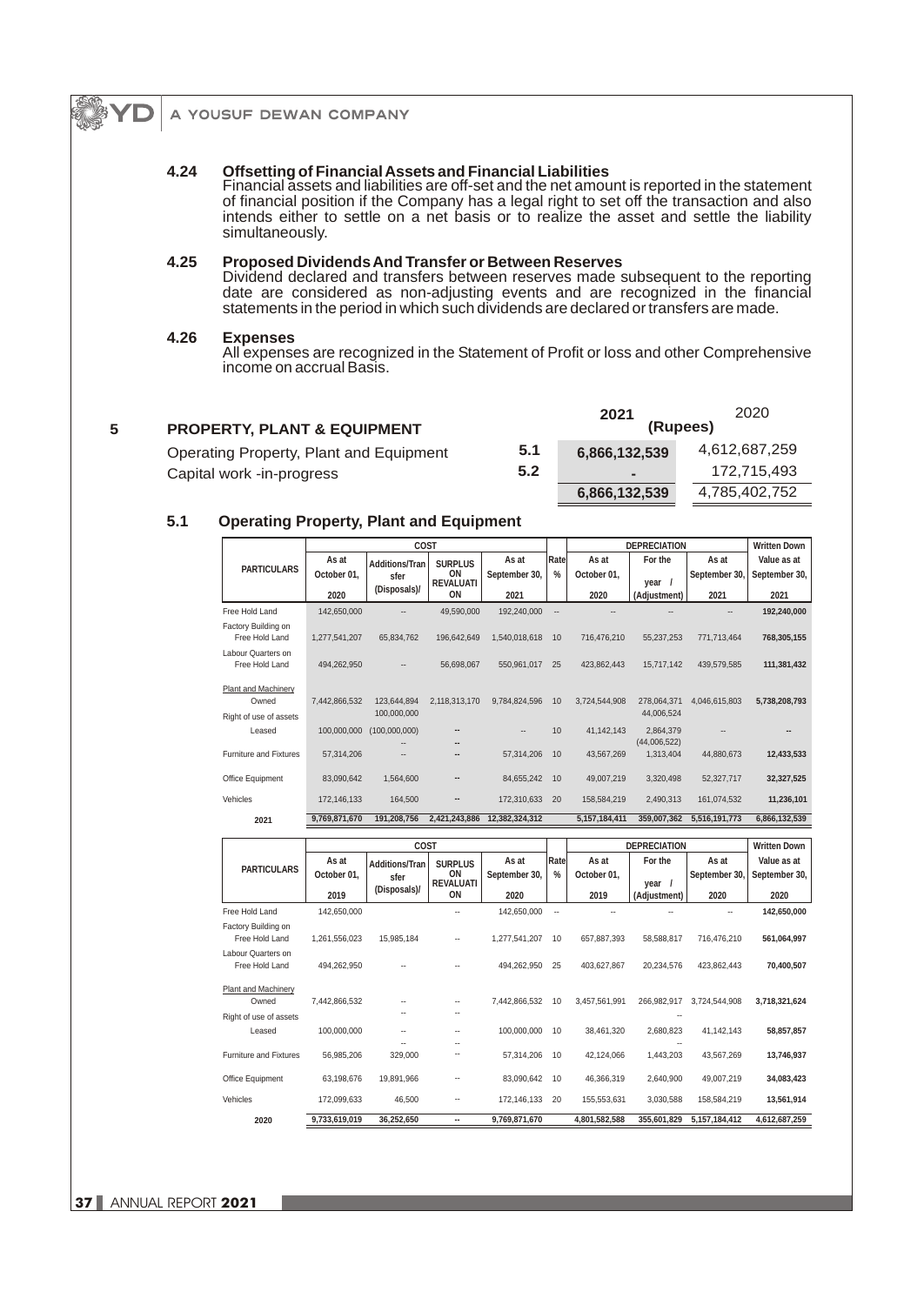#### **4.24 Offsetting of Financial Assets and Financial Liabilities**

Financial assets and liabilities are off-set and the net amount is reported in the statement of financial position if the Company has a legal right to set off the transaction and also intends either to settle on a net basis or to realize the asset and settle the liability simultaneously.

## **4.25 Proposed Dividends And Transfer or Between Reserves**

Dividend declared and transfers between reserves made subsequent to the reporting date are considered as non-adjusting events and are recognized in the financial statements in the period in which such dividends are declared or transfers are made.

#### **4.26 Expenses**

All expenses are recognized in the Statement of Profit or loss and other Comprehensive income on accrual Basis.

| <b>PROPERTY, PLANT &amp; EQUIPMENT</b>  |     | 2021<br>(Rupees) | 2020          |
|-----------------------------------------|-----|------------------|---------------|
| Operating Property, Plant and Equipment | 5.1 | 6,866,132,539    | 4,612,687,259 |
| Capital work -in-progress               | 5.2 |                  | 172,715,493   |
|                                         |     | 6,866,132,539    | 4,785,402,752 |

## **5.1 Operating Property, Plant and Equipment**

|                                                        | COST                 |                               |                        |                        |                          | <b>DEPRECIATION</b>  |                           |                        | <b>Written Down</b>          |
|--------------------------------------------------------|----------------------|-------------------------------|------------------------|------------------------|--------------------------|----------------------|---------------------------|------------------------|------------------------------|
| <b>PARTICULARS</b>                                     | As at<br>October 01. | <b>Additions/Tran</b><br>sfer | <b>SURPLUS</b><br>ON   | As at<br>September 30, | Ratel<br>$\%$            | As at<br>October 01. | For the                   | As at<br>September 30. | Value as at<br>September 30, |
|                                                        | 2020                 | (Disposals)/                  | <b>REVALUATI</b><br>ON | 2021                   |                          | 2020                 | year /<br>(Adjustment)    | 2021                   | 2021                         |
| Free Hold Land                                         | 142,650,000          |                               | 49,590,000             | 192,240,000            | $\overline{\phantom{a}}$ |                      |                           | $\qquad \qquad \cdots$ | 192,240,000                  |
| Factory Building on<br>Free Hold Land                  | 1,277,541,207        | 65,834,762                    | 196,642,649            | 1,540,018,618          | 10                       | 716,476,210          | 55,237,253                | 771,713,464            | 768,305,155                  |
| Labour Quarters on<br>Free Hold Land                   | 494,262,950          | $\qquad \qquad \cdots$        | 56,698,067             | 550,961,017            | 25                       | 423.862.443          | 15,717,142                | 439,579,585            | 111,381,432                  |
| Plant and Machinery<br>Owned<br>Right of use of assets | 7,442,866,532        | 123,644,894<br>100,000,000    | 2,118,313,170          | 9.784.824.596          | 10                       | 3,724,544,908        | 278,064,371<br>44,006,524 | 4,046,615,803          | 5,738,208,793                |
| Leased                                                 | 100,000,000          | (100,000,000)                 | --                     |                        | 10                       | 41, 142, 143         | 2,864,379<br>(44,006,522) |                        |                              |
| Furniture and Fixtures                                 | 57.314.206           | $\qquad \qquad \cdots$        | --                     | 57,314,206             | 10                       | 43.567.269           | 1,313,404                 | 44,880,673             | 12,433,533                   |
| Office Equipment                                       | 83.090.642           | 1,564,600                     |                        | 84,655,242             | 10                       | 49,007,219           | 3,320,498                 | 52,327,717             | 32,327,525                   |
| Vehicles                                               | 172, 146, 133        | 164,500                       | --                     | 172,310,633            | 20                       | 158,584,219          | 2,490,313                 | 161,074,532            | 11,236,101                   |
| 2021                                                   | 9,769,871,670        | 191,208,756                   | 2,421,243,886          | 12.382.324.312         |                          | 5,157,184,411        | 359,007,362               | 5,516,191,773          | 6,866,132,539                |

|                                       | COST                 |                               |                                          |                        |               | <b>DEPRECIATION</b>  | <b>Written Down</b> |                        |                              |
|---------------------------------------|----------------------|-------------------------------|------------------------------------------|------------------------|---------------|----------------------|---------------------|------------------------|------------------------------|
| <b>PARTICULARS</b>                    | As at<br>October 01, | <b>Additions/Tran</b><br>sfer | <b>SURPLUS</b><br>ON<br><b>REVALUATI</b> | As at<br>September 30, | Ratel<br>$\%$ | As at<br>October 01, | For the<br>year /   | As at<br>September 30, | Value as at<br>September 30, |
|                                       | 2019                 | (Disposals)/                  | ON                                       | 2020                   |               | 2019                 | (Adjustment)        | 2020                   | 2020                         |
| Free Hold Land                        | 142,650,000          |                               |                                          | 142,650,000            | ٠.            |                      |                     | ۰.                     | 142,650,000                  |
| Factory Building on<br>Free Hold Land | 1,261,556,023        | 15,985,184                    | --                                       | 1,277,541,207          | 10            | 657,887,393          | 58,588,817          | 716.476.210            | 561,064,997                  |
| Labour Quarters on<br>Free Hold Land  | 494,262,950          | $\sim$                        | ۰.                                       | 494,262,950            | 25            | 403,627,867          | 20,234,576          | 423,862,443            | 70,400,507                   |
| Plant and Machinery<br>Owned          | 7,442,866,532        | ٠.                            | ۰.                                       | 7,442,866,532          | 10            | 3,457,561,991        | 266,982,917         | 3,724,544,908          | 3,718,321,624                |
| Right of use of assets                |                      |                               |                                          |                        |               |                      |                     |                        |                              |
| Leased                                | 100,000,000          | ٠.                            | ۰.                                       | 100,000,000            | 10            | 38,461,320           | 2,680,823           | 41, 142, 143           | 58,857,857                   |
| Furniture and Fixtures                | 56,985,206           | 329,000                       | --                                       | 57,314,206             | 10            | 42,124,066           | 1,443,203           | 43,567,269             | 13,746,937                   |
| Office Equipment                      | 63.198.676           | 19.891.966                    | ۰.                                       | 83,090,642             | 10            | 46,366,319           | 2.640.900           | 49,007,219             | 34,083,423                   |
| Vehicles                              | 172,099,633          | 46,500                        | ۰.                                       | 172,146,133            | 20            | 155.553.631          | 3,030,588           | 158.584.219            | 13,561,914                   |
| 2020                                  | 9,733,619,019        | 36,252,650                    | --                                       | 9,769,871,670          |               | 4,801,582,588        | 355,601,829         | 5, 157, 184, 412       | 4,612,687,259                |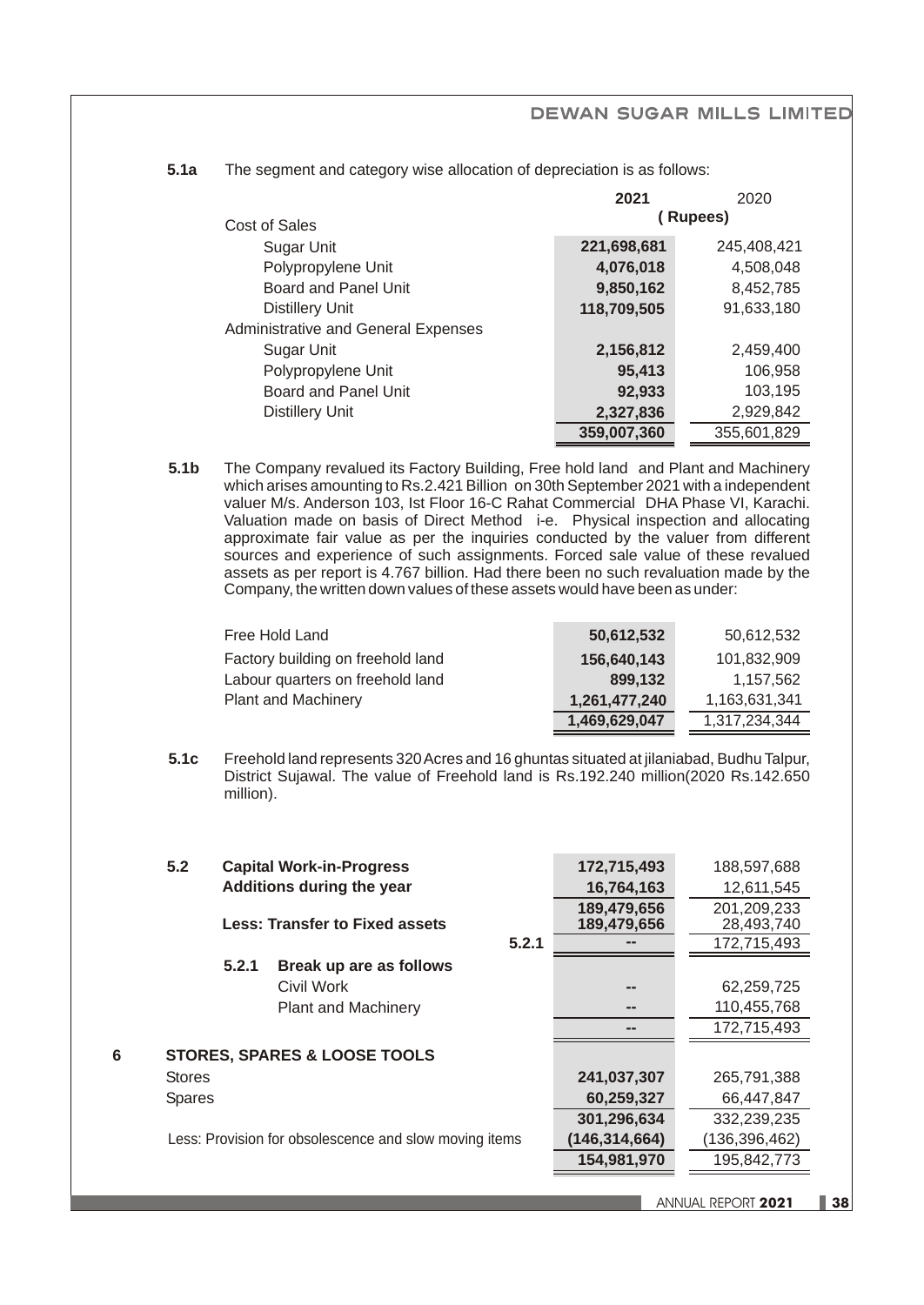|                                            | 2021        | 2020        |
|--------------------------------------------|-------------|-------------|
| Cost of Sales                              |             | (Rupees)    |
| Sugar Unit                                 | 221,698,681 | 245,408,421 |
| Polypropylene Unit                         | 4,076,018   | 4,508,048   |
| Board and Panel Unit                       | 9,850,162   | 8,452,785   |
| <b>Distillery Unit</b>                     | 118,709,505 | 91,633,180  |
| <b>Administrative and General Expenses</b> |             |             |
| Sugar Unit                                 | 2,156,812   | 2,459,400   |
| Polypropylene Unit                         | 95,413      | 106,958     |
| <b>Board and Panel Unit</b>                | 92,933      | 103,195     |
| <b>Distillery Unit</b>                     | 2,327,836   | 2,929,842   |
|                                            | 359,007,360 | 355,601,829 |

**5.1a** The segment and category wise allocation of depreciation is as follows:

**5.1b** The Company revalued its Factory Building, Free hold land and Plant and Machinery which arises amounting to Rs.2.421 Billion on 30th September 2021 with a independent valuer M/s. Anderson 103, Ist Floor 16-C Rahat Commercial DHA Phase VI, Karachi. Valuation made on basis of Direct Method i-e. Physical inspection and allocating approximate fair value as per the inquiries conducted by the valuer from different sources and experience of such assignments. Forced sale value of these revalued assets as per report is 4.767 billion. Had there been no such revaluation made by the Company, the written down values of these assets would have been as under:

| Free Hold Land                    | 50,612,532    | 50,612,532    |
|-----------------------------------|---------------|---------------|
| Factory building on freehold land | 156,640,143   | 101.832.909   |
| Labour quarters on freehold land  | 899.132       | 1.157.562     |
| <b>Plant and Machinery</b>        | 1,261,477,240 | 1,163,631,341 |
|                                   | 1,469,629,047 | 1,317,234,344 |

**5.1c** Freehold land represents 320 Acres and 16 ghuntas situated at jilaniabad, Budhu Talpur, District Sujawal. The value of Freehold land is Rs.192.240 million(2020 Rs.142.650 million).

|   | 5.2                                                    | <b>Capital Work-in-Progress</b><br><b>Additions during the year</b> |                                         | 172,715,493     | 188,597,688 |             |
|---|--------------------------------------------------------|---------------------------------------------------------------------|-----------------------------------------|-----------------|-------------|-------------|
|   |                                                        |                                                                     |                                         | 16,764,163      | 12,611,545  |             |
|   |                                                        |                                                                     |                                         |                 | 189,479,656 | 201,209,233 |
|   |                                                        |                                                                     | <b>Less: Transfer to Fixed assets</b>   |                 | 189,479,656 | 28,493,740  |
|   |                                                        |                                                                     |                                         | 5.2.1           |             | 172,715,493 |
|   |                                                        | 5.2.1                                                               | Break up are as follows                 |                 |             |             |
|   |                                                        |                                                                     | Civil Work                              |                 | --          | 62,259,725  |
|   |                                                        |                                                                     | <b>Plant and Machinery</b>              |                 | --          | 110,455,768 |
|   |                                                        |                                                                     |                                         |                 | --          | 172,715,493 |
| 6 |                                                        |                                                                     | <b>STORES, SPARES &amp; LOOSE TOOLS</b> |                 |             |             |
|   | <b>Stores</b>                                          |                                                                     |                                         |                 | 241,037,307 | 265,791,388 |
|   | <b>Spares</b>                                          |                                                                     |                                         |                 | 60,259,327  | 66,447,847  |
|   |                                                        |                                                                     |                                         |                 | 301,296,634 | 332,239,235 |
|   | Less: Provision for obsolescence and slow moving items |                                                                     | (146,314,664)                           | (136, 396, 462) |             |             |
|   |                                                        |                                                                     |                                         |                 | 154,981,970 | 195,842,773 |
|   |                                                        |                                                                     |                                         |                 |             |             |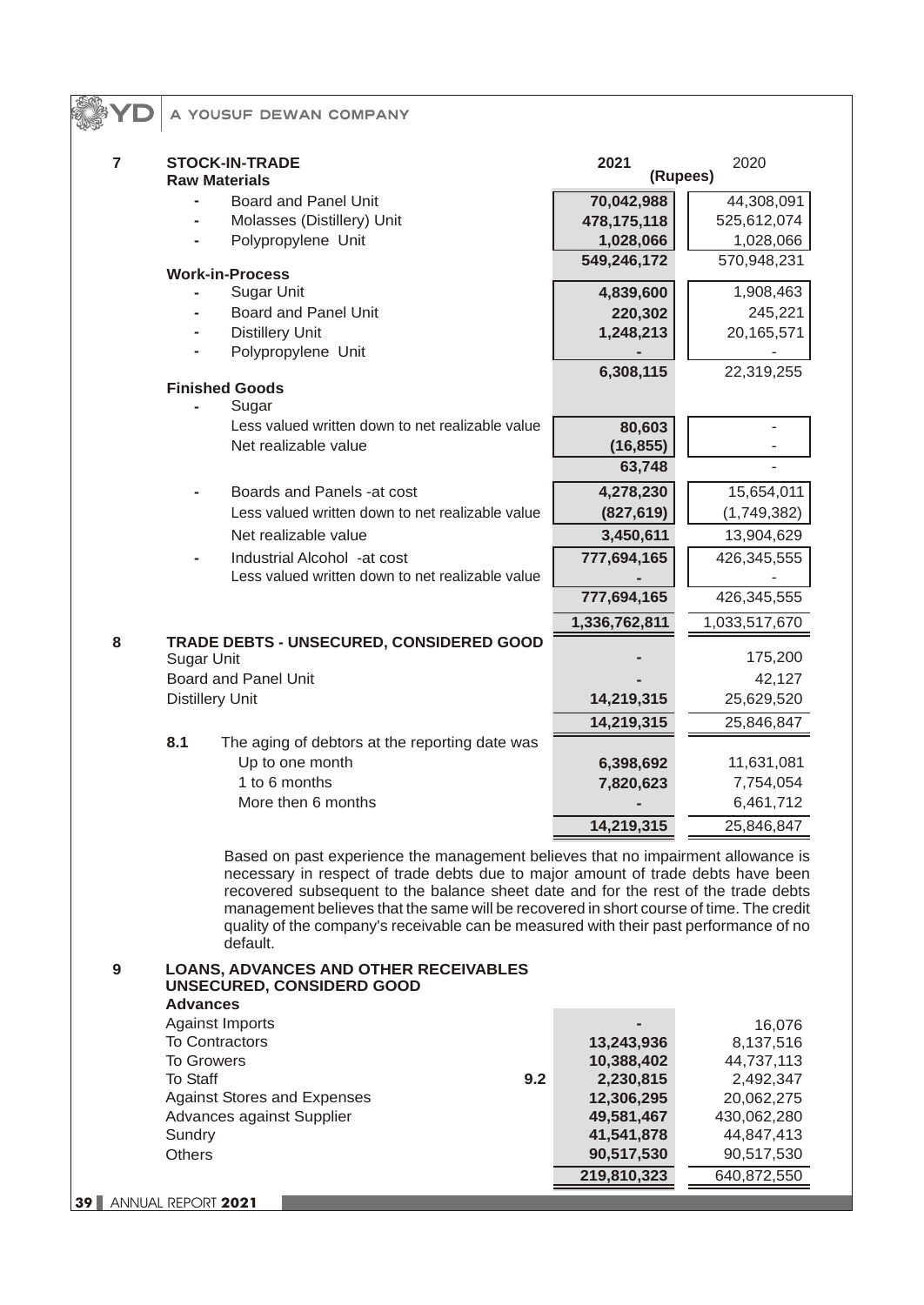## $\sqrt[\mathbb{Z}]{\mathbf{D}}$  a yousuf dewan company

| $\overline{7}$ |                   | <b>STOCK-IN-TRADE</b><br><b>Raw Materials</b>                                                                                                                        | 2021<br>(Rupees) | 2020                  |
|----------------|-------------------|----------------------------------------------------------------------------------------------------------------------------------------------------------------------|------------------|-----------------------|
|                |                   | <b>Board and Panel Unit</b>                                                                                                                                          | 70,042,988       | 44,308,091            |
|                |                   | Molasses (Distillery) Unit                                                                                                                                           | 478,175,118      | 525,612,074           |
|                |                   | Polypropylene Unit                                                                                                                                                   | 1,028,066        | 1,028,066             |
|                |                   |                                                                                                                                                                      | 549,246,172      | 570,948,231           |
|                |                   | <b>Work-in-Process</b>                                                                                                                                               |                  |                       |
|                |                   | Sugar Unit<br><b>Board and Panel Unit</b>                                                                                                                            | 4,839,600        | 1,908,463             |
|                |                   | <b>Distillery Unit</b>                                                                                                                                               | 220,302          | 245,221<br>20,165,571 |
|                |                   | Polypropylene Unit                                                                                                                                                   | 1,248,213        |                       |
|                |                   |                                                                                                                                                                      | 6,308,115        | 22,319,255            |
|                |                   | <b>Finished Goods</b>                                                                                                                                                |                  |                       |
|                |                   | Sugar                                                                                                                                                                |                  |                       |
|                |                   | Less valued written down to net realizable value                                                                                                                     | 80,603           |                       |
|                |                   | Net realizable value                                                                                                                                                 | (16, 855)        |                       |
|                |                   |                                                                                                                                                                      | 63,748           |                       |
|                |                   | Boards and Panels -at cost                                                                                                                                           | 4,278,230        | 15,654,011            |
|                |                   | Less valued written down to net realizable value                                                                                                                     | (827, 619)       | (1,749,382)           |
|                |                   | Net realizable value                                                                                                                                                 | 3,450,611        | 13,904,629            |
|                |                   | Industrial Alcohol -at cost                                                                                                                                          | 777,694,165      | 426,345,555           |
|                |                   | Less valued written down to net realizable value                                                                                                                     |                  |                       |
|                |                   |                                                                                                                                                                      | 777,694,165      | 426,345,555           |
|                |                   |                                                                                                                                                                      | 1,336,762,811    | 1,033,517,670         |
| 8              |                   | TRADE DEBTS - UNSECURED, CONSIDERED GOOD                                                                                                                             |                  |                       |
|                | <b>Sugar Unit</b> |                                                                                                                                                                      |                  | 175,200               |
|                |                   | <b>Board and Panel Unit</b>                                                                                                                                          |                  | 42,127                |
|                |                   | <b>Distillery Unit</b>                                                                                                                                               | 14,219,315       | 25,629,520            |
|                |                   |                                                                                                                                                                      | 14,219,315       | 25,846,847            |
|                | 8.1               | The aging of debtors at the reporting date was                                                                                                                       |                  |                       |
|                |                   | Up to one month                                                                                                                                                      | 6,398,692        | 11,631,081            |
|                |                   | 1 to 6 months                                                                                                                                                        | 7,820,623        | 7,754,054             |
|                |                   | More then 6 months                                                                                                                                                   |                  | 6,461,712             |
|                |                   |                                                                                                                                                                      | 14,219,315       | 25,846,847            |
|                |                   | Based on past experience the management believes that no impairment allowance is<br>pecessary in respect of trade debts due to major amount of trade debts have been |                  |                       |

necessary in respect of trade debts due to major amount of trade debts have been recovered subsequent to the balance sheet date and for the rest of the trade debts management believes that the same will be recovered in short course of time. The credit quality of the company's receivable can be measured with their past performance of no default.

#### **9 LOANS, ADVANCES AND OTHER RECEIVABLES UNSECURED, CONSIDERD GOOD Advances**

| Against Imports                    |     | -           | 16,076      |
|------------------------------------|-----|-------------|-------------|
| <b>To Contractors</b>              |     | 13,243,936  | 8,137,516   |
| <b>To Growers</b>                  |     | 10,388,402  | 44,737,113  |
| To Staff                           | 9.2 | 2,230,815   | 2,492,347   |
| <b>Against Stores and Expenses</b> |     | 12,306,295  | 20,062,275  |
| Advances against Supplier          |     | 49,581,467  | 430,062,280 |
| Sundry                             |     | 41,541,878  | 44,847,413  |
| <b>Others</b>                      |     | 90,517,530  | 90,517,530  |
|                                    |     | 219,810,323 | 640,872,550 |
|                                    |     |             |             |

**39** ANNUAL REPORT **2021**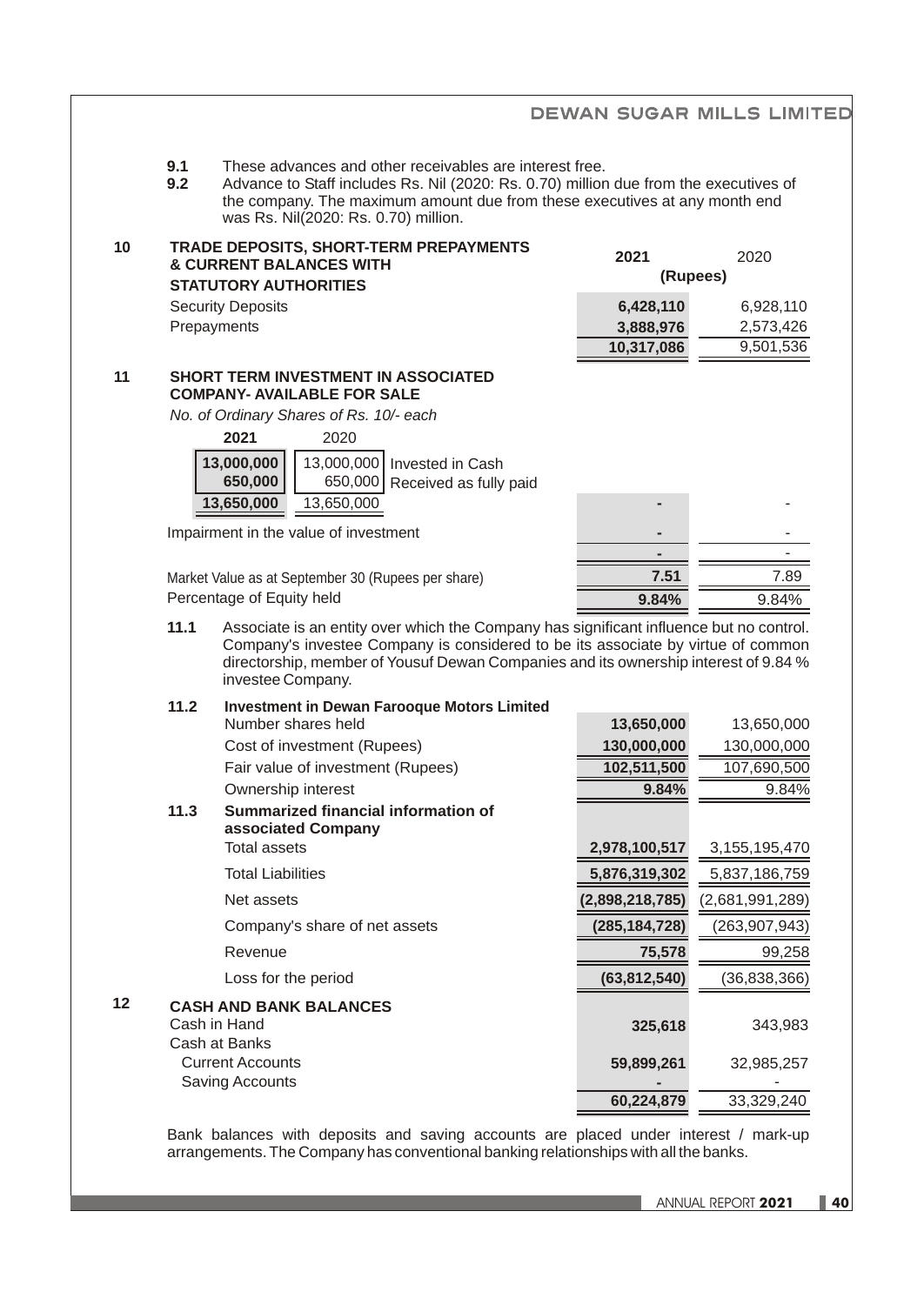- **9.1** These advances and other receivables are interest free.<br>**9.2** Advance to Staff includes Rs. Nil (2020: Rs. 0.70) million
- **9.2** Advance to Staff includes Rs. Nil (2020: Rs. 0.70) million due from the executives of the company. The maximum amount due from these executives at any month end was Rs. Nil(2020: Rs. 0.70) million.

| 10 | <b>TRADE DEPOSITS, SHORT-TERM PREPAYMENTS</b><br><b>&amp; CURRENT BALANCES WITH</b><br><b>STATUTORY AUTHORITIES</b> | 2021       | 2020<br>(Rupees) |
|----|---------------------------------------------------------------------------------------------------------------------|------------|------------------|
|    | <b>Security Deposits</b>                                                                                            | 6,428,110  | 6,928,110        |
|    | Prepayments                                                                                                         | 3,888,976  | 2,573,426        |
|    |                                                                                                                     | 10,317,086 | 9,501,536        |

## **11 SHORT TERM INVESTMENT IN ASSOCIATED COMPANY- AVAILABLE FOR SALE**

*No. of Ordinary Shares of Rs. 10/- each*

| 2021                                                                | 2020       |                                |
|---------------------------------------------------------------------|------------|--------------------------------|
| $\begin{array}{ c c c }\n\hline\n13,000,000 & 650,000\n\end{array}$ |            | 13,000,000 Invested in Cash    |
|                                                                     |            | 650,000 Received as fully paid |
| 13,650,000                                                          | 13,650,000 |                                |

 Impairment in the value of investment

**12**

Market Value as at September 30 (Rupees per share) Percentage of Equity held

| 7.89  |
|-------|
| 9.84% |
|       |

**11.1** Associate is an entity over which the Company has significant influence but no control. Company's investee Company is considered to be its associate by virtue of common directorship, member of Yousuf Dewan Companies and its ownership interest of 9.84 % investee Company.

| 11.2 | <b>Investment in Dewan Farooque Motors Limited</b><br>Number shares held | 13,650,000      | 13,650,000       |
|------|--------------------------------------------------------------------------|-----------------|------------------|
|      | Cost of investment (Rupees)                                              | 130,000,000     | 130,000,000      |
|      | Fair value of investment (Rupees)                                        | 102,511,500     | 107,690,500      |
|      | Ownership interest                                                       | 9.84%           | 9.84%            |
| 11.3 | Summarized financial information of<br>associated Company                |                 |                  |
|      | <b>Total assets</b>                                                      | 2,978,100,517   | 3, 155, 195, 470 |
|      | <b>Total Liabilities</b>                                                 | 5,876,319,302   | 5,837,186,759    |
|      | Net assets                                                               | (2,898,218,785) | (2,681,991,289)  |
|      | Company's share of net assets                                            | (285, 184, 728) | (263,907,943)    |
|      | Revenue                                                                  | 75,578          | 99,258           |
|      | Loss for the period                                                      | (63, 812, 540)  | (36, 838, 366)   |
|      | <b>CASH AND BANK BALANCES</b><br>Cash in Hand<br>Cash at Banks           | 325,618         | 343,983          |
|      | <b>Current Accounts</b><br>Saving Accounts                               | 59,899,261      | 32,985,257       |
|      |                                                                          | 60,224,879      | 33,329,240       |

Bank balances with deposits and saving accounts are placed under interest / mark-up arrangements. The Company has conventional banking relationships with all the banks.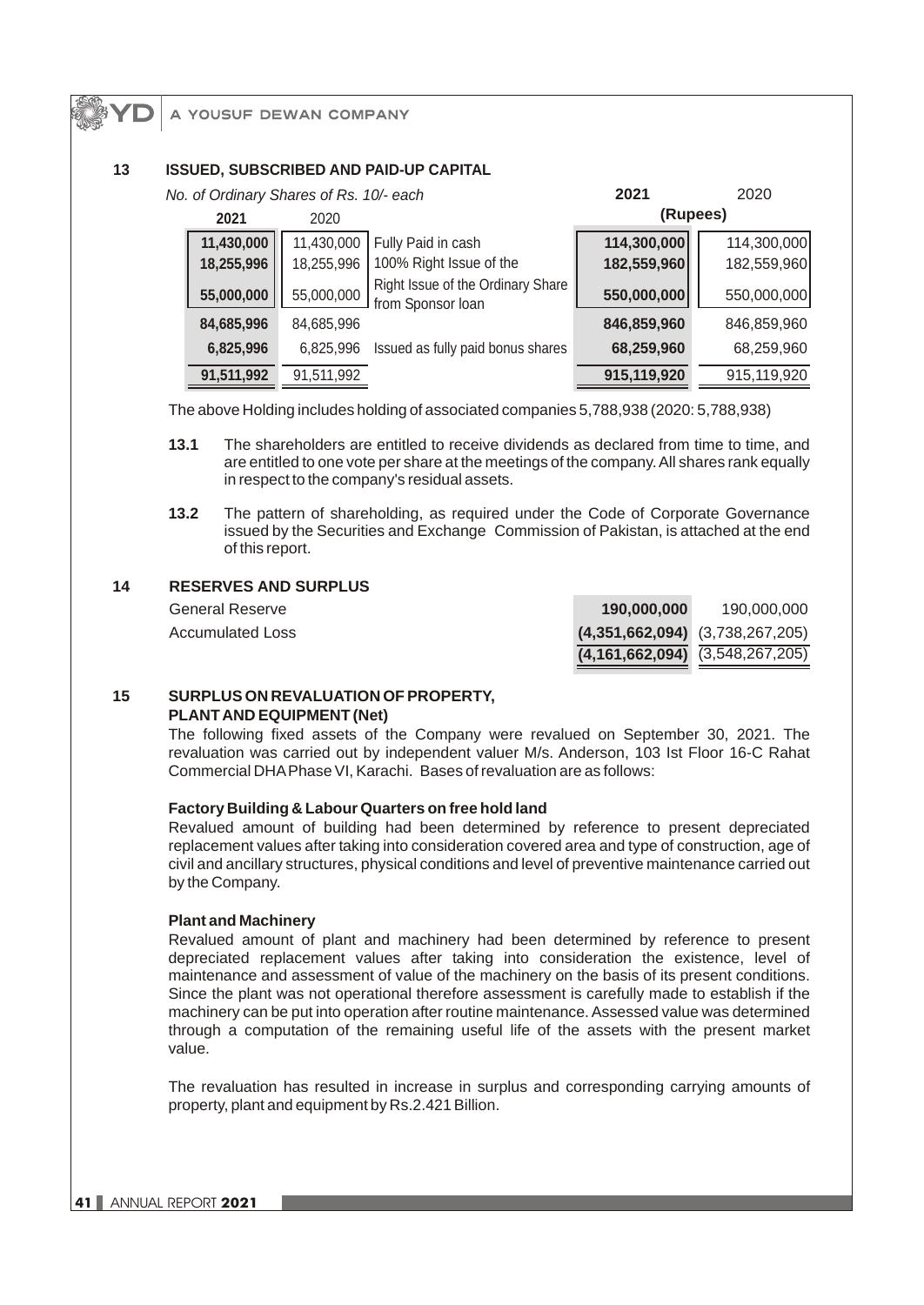## **13 ISSUED, SUBSCRIBED AND PAID-UP CAPITAL**

A YOUSUF DEWAN COMPANY

| No. of Ordinary Shares of Rs. 10/- each |            | 2021       | 2020                                                   |             |             |
|-----------------------------------------|------------|------------|--------------------------------------------------------|-------------|-------------|
|                                         | 2021       | 2020       |                                                        | (Rupees)    |             |
|                                         | 11,430,000 | 11,430,000 | Fully Paid in cash                                     | 114,300,000 | 114,300,000 |
|                                         | 18,255,996 | 18,255,996 | 100% Right Issue of the                                | 182,559,960 | 182,559,960 |
|                                         | 55,000,000 | 55,000,000 | Right Issue of the Ordinary Share<br>from Sponsor loan | 550,000,000 | 550,000,000 |
|                                         | 84,685,996 | 84,685,996 |                                                        | 846,859,960 | 846,859,960 |
|                                         | 6,825,996  | 6,825,996  | Issued as fully paid bonus shares                      | 68,259,960  | 68,259,960  |
|                                         | 91,511,992 | 91,511,992 |                                                        | 915,119,920 | 915,119,920 |

The above Holding includes holding of associated companies 5,788,938 (2020: 5,788,938)

- **13.1** The shareholders are entitled to receive dividends as declared from time to time, and are entitled to one vote per share at the meetings of the company. All shares rank equally in respect to the company's residual assets.
- **13.2** The pattern of shareholding, as required under the Code of Corporate Governance issued by the Securities and Exchange Commission of Pakistan, is attached at the end of this report.

#### **RESERVES AND SURPLUS 14**

| General Reserve         | 190.000.000                               | 190.000.000 |
|-------------------------|-------------------------------------------|-------------|
| <b>Accumulated Loss</b> | $(4,351,662,094)$ $(3,738,267,205)$       |             |
|                         | $(4, 161, 662, 094)$ $(3, 548, 267, 205)$ |             |

## **15 SURPLUS ON REVALUATION OF PROPERTY, PLANT AND EQUIPMENT (Net)**

The following fixed assets of the Company were revalued on September 30, 2021. The revaluation was carried out by independent valuer M/s. Anderson, 103 Ist Floor 16-C Rahat Commercial DHA Phase VI, Karachi. Bases of revaluation are as follows:

## **Factory Building & Labour Quarters on free hold land**

Revalued amount of building had been determined by reference to present depreciated replacement values after taking into consideration covered area and type of construction, age of civil and ancillary structures, physical conditions and level of preventive maintenance carried out by the Company.

## **Plant and Machinery**

Revalued amount of plant and machinery had been determined by reference to present depreciated replacement values after taking into consideration the existence, level of maintenance and assessment of value of the machinery on the basis of its present conditions. Since the plant was not operational therefore assessment is carefully made to establish if the machinery can be put into operation after routine maintenance. Assessed value was determined through a computation of the remaining useful life of the assets with the present market value.

The revaluation has resulted in increase in surplus and corresponding carrying amounts of property, plant and equipment by Rs.2.421 Billion.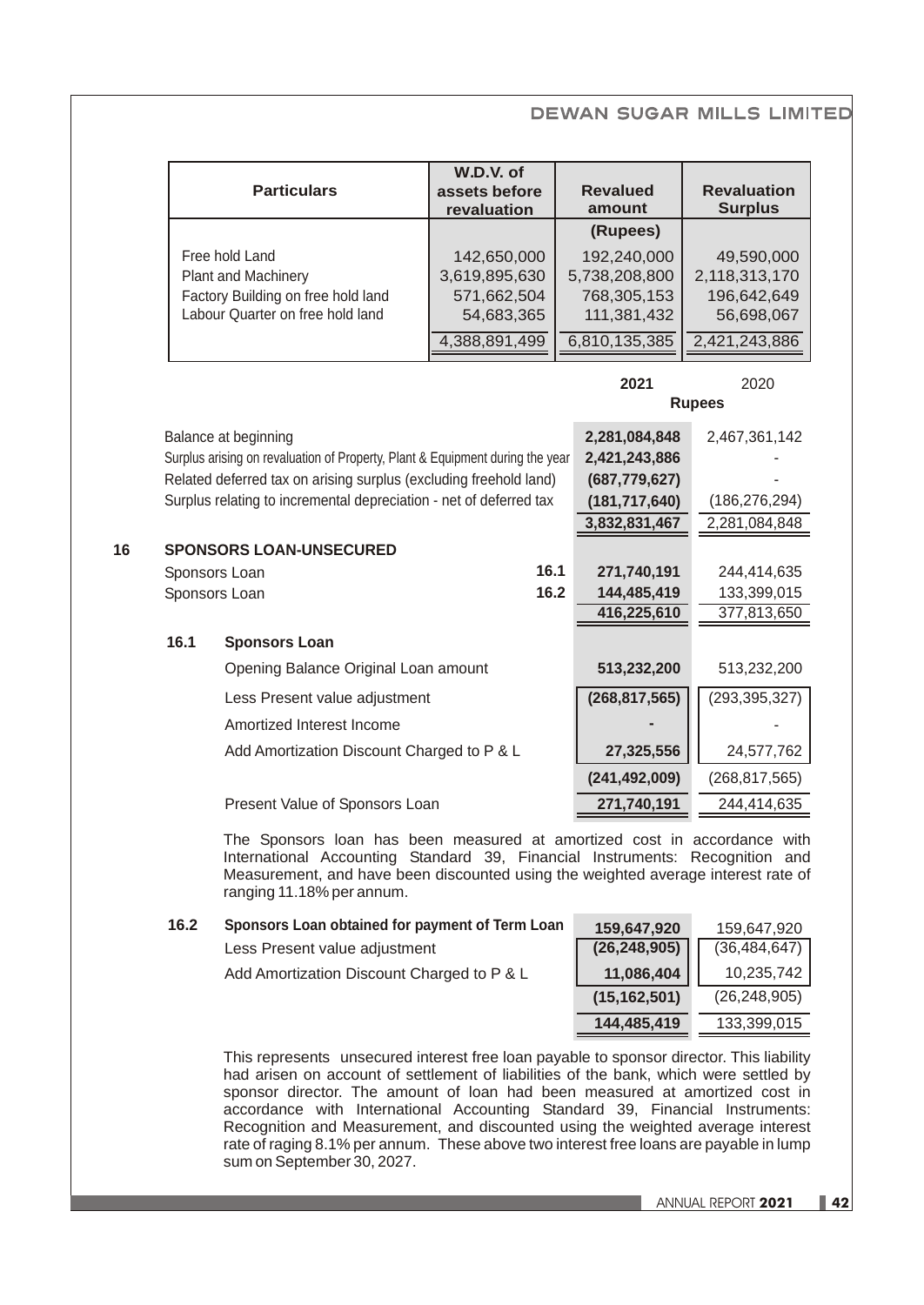| <b>Particulars</b>                 | W.D.V. of<br>assets before<br>revaluation | <b>Revalued</b><br>amount | <b>Revaluation</b><br><b>Surplus</b> |
|------------------------------------|-------------------------------------------|---------------------------|--------------------------------------|
|                                    |                                           | (Rupees)                  |                                      |
| Free hold Land                     | 142,650,000                               | 192,240,000               | 49,590,000                           |
| <b>Plant and Machinery</b>         | 3,619,895,630                             | 5,738,208,800             | 2,118,313,170                        |
| Factory Building on free hold land | 571,662,504                               | 768,305,153               | 196,642,649                          |
| Labour Quarter on free hold land   | 54,683,365                                | 111,381,432               | 56,698,067                           |
|                                    | 4,388,891,499                             | 6,810,135,385             | 2,421,243,886                        |
|                                    |                                           | 2021                      | 2020                                 |
|                                    |                                           |                           | <b>Rupees</b>                        |

|    |                                                                               | Balance at beginning                                               |      | 2,281,084,848   | 2,467,361,142   |
|----|-------------------------------------------------------------------------------|--------------------------------------------------------------------|------|-----------------|-----------------|
|    | Surplus arising on revaluation of Property, Plant & Equipment during the year |                                                                    |      | 2,421,243,886   |                 |
|    |                                                                               | Related deferred tax on arising surplus (excluding freehold land)  |      | (687, 779, 627) |                 |
|    |                                                                               | Surplus relating to incremental depreciation - net of deferred tax |      | (181, 717, 640) | (186, 276, 294) |
|    |                                                                               |                                                                    |      | 3,832,831,467   | 2,281,084,848   |
| 16 |                                                                               | <b>SPONSORS LOAN-UNSECURED</b>                                     |      |                 |                 |
|    |                                                                               | Sponsors Loan                                                      | 16.1 | 271,740,191     | 244,414,635     |
|    |                                                                               | Sponsors Loan                                                      | 16.2 | 144,485,419     | 133,399,015     |
|    |                                                                               |                                                                    |      | 416,225,610     | 377,813,650     |
|    | 16.1                                                                          | <b>Sponsors Loan</b>                                               |      |                 |                 |
|    |                                                                               | Opening Balance Original Loan amount                               |      | 513,232,200     | 513,232,200     |
|    |                                                                               | Less Present value adjustment                                      |      | (268, 817, 565) | (293, 395, 327) |
|    |                                                                               | Amortized Interest Income                                          |      |                 |                 |
|    |                                                                               | Add Amortization Discount Charged to P & L                         |      | 27,325,556      | 24,577,762      |
|    |                                                                               |                                                                    |      | (241, 492, 009) | (268, 817, 565) |
|    |                                                                               | Present Value of Sponsors Loan                                     |      | 271,740,191     | 244,414,635     |

The Sponsors loan has been measured at amortized cost in accordance with International Accounting Standard 39, Financial Instruments: Recognition and Measurement, and have been discounted using the weighted average interest rate of ranging 11.18% per annum.

## **16.2 Sponsors Loan obtained for payment of Term Loan**

Less Present value adjustment

Add Amortization Discount Charged to P & L

| 159,647,920    | 159,647,920    |
|----------------|----------------|
| (26, 248, 905) | (36, 484, 647) |
| 11,086,404     | 10,235,742     |
| (15, 162, 501) | (26, 248, 905) |
| 144,485,419    | 133,399,015    |

**DEWAN SUGAR MILLS LIMITED** 

This represents unsecured interest free loan payable to sponsor director. This liability had arisen on account of settlement of liabilities of the bank, which were settled by sponsor director. The amount of loan had been measured at amortized cost in accordance with International Accounting Standard 39, Financial Instruments: Recognition and Measurement, and discounted using the weighted average interest rate of raging 8.1% per annum. These above two interest free loans are payable in lump sum on September 30, 2027.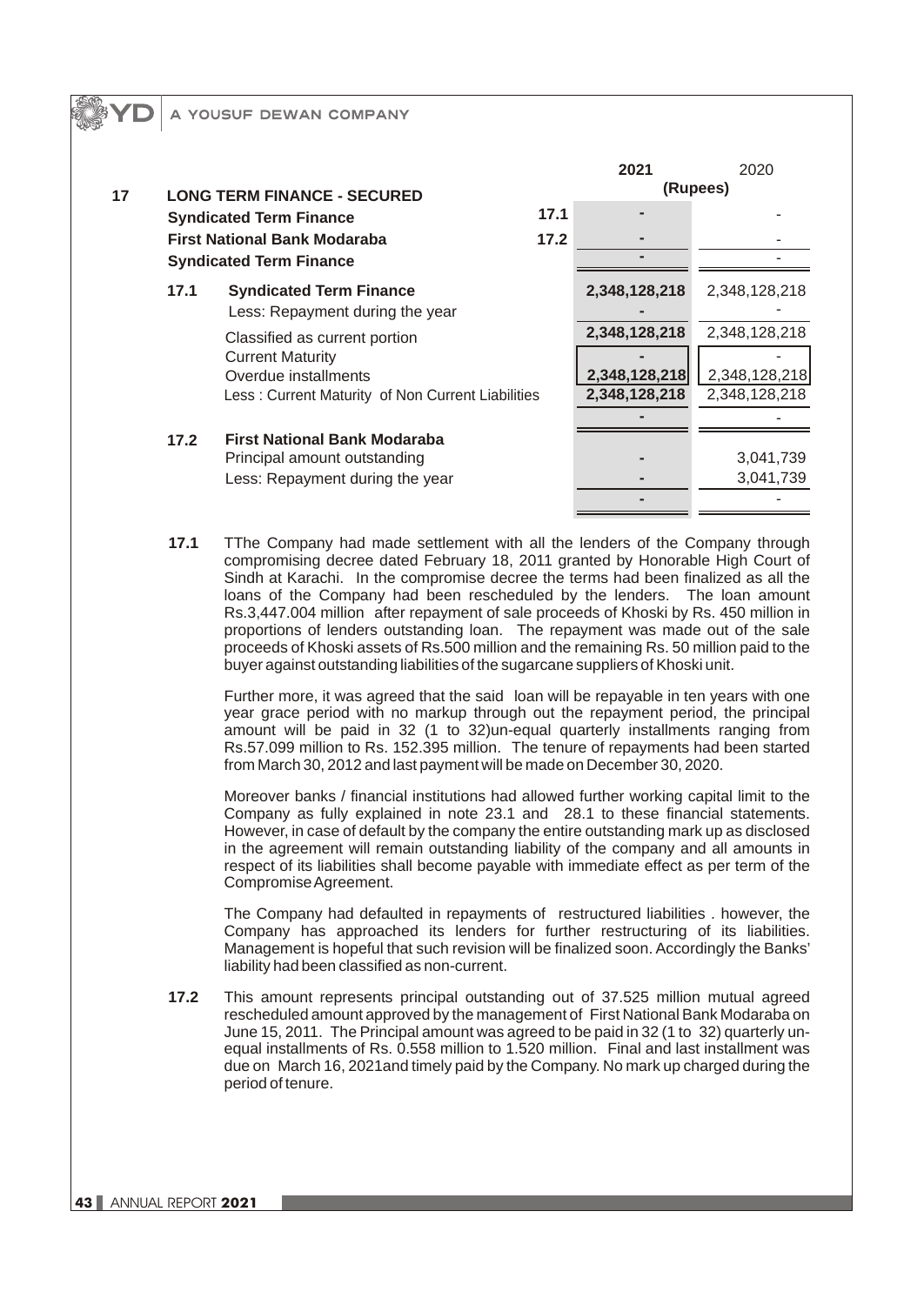**17**

|      |                                                                                                        |      | 2021                           | 2020                           |
|------|--------------------------------------------------------------------------------------------------------|------|--------------------------------|--------------------------------|
|      | <b>LONG TERM FINANCE - SECURED</b>                                                                     |      | (Rupees)                       |                                |
|      | <b>Syndicated Term Finance</b>                                                                         | 17.1 |                                |                                |
|      | <b>First National Bank Modaraba</b>                                                                    | 17.2 |                                |                                |
|      | <b>Syndicated Term Finance</b>                                                                         |      |                                |                                |
| 17.1 | <b>Syndicated Term Finance</b><br>Less: Repayment during the year                                      |      | 2,348,128,218                  | 2,348,128,218                  |
|      | Classified as current portion<br><b>Current Maturity</b><br>Overdue installments                       |      | 2,348,128,218<br>2,348,128,218 | 2,348,128,218<br>2,348,128,218 |
|      | Less: Current Maturity of Non Current Liabilities                                                      |      | 2,348,128,218                  | 2,348,128,218                  |
| 17.2 | <b>First National Bank Modaraba</b><br>Principal amount outstanding<br>Less: Repayment during the year |      |                                | 3,041,739<br>3,041,739         |
|      |                                                                                                        |      |                                |                                |

**17.1** TThe Company had made settlement with all the lenders of the Company through compromising decree dated February 18, 2011 granted by Honorable High Court of Sindh at Karachi. In the compromise decree the terms had been finalized as all the loans of the Company had been rescheduled by the lenders. The loan amount Rs.3,447.004 million after repayment of sale proceeds of Khoski by Rs. 450 million in proportions of lenders outstanding loan. The repayment was made out of the sale proceeds of Khoski assets of Rs.500 million and the remaining Rs. 50 million paid to the buyer against outstanding liabilities of the sugarcane suppliers of Khoski unit.

Further more, it was agreed that the said loan will be repayable in ten years with one year grace period with no markup through out the repayment period, the principal amount will be paid in 32 (1 to 32)un-equal quarterly installments ranging from Rs.57.099 million to Rs. 152.395 million. The tenure of repayments had been started from March 30, 2012 and last payment will be made on December 30, 2020.

Moreover banks / financial institutions had allowed further working capital limit to the Company as fully explained in note 23.1 and 28.1 to these financial statements. However, in case of default by the company the entire outstanding mark up as disclosed in the agreement will remain outstanding liability of the company and all amounts in respect of its liabilities shall become payable with immediate effect as per term of the Compromise Agreement.

The Company had defaulted in repayments of restructured liabilities . however, the Company has approached its lenders for further restructuring of its liabilities. Management is hopeful that such revision will be finalized soon. Accordingly the Banks' liability had been classified as non-current.

**17.2** This amount represents principal outstanding out of 37.525 million mutual agreed rescheduled amount approved by the management of First National Bank Modaraba on June 15, 2011. The Principal amount was agreed to be paid in 32 (1 to 32) quarterly unequal installments of Rs. 0.558 million to 1.520 million. Final and last installment was due on March 16, 2021and timely paid by the Company. No mark up charged during the period of tenure.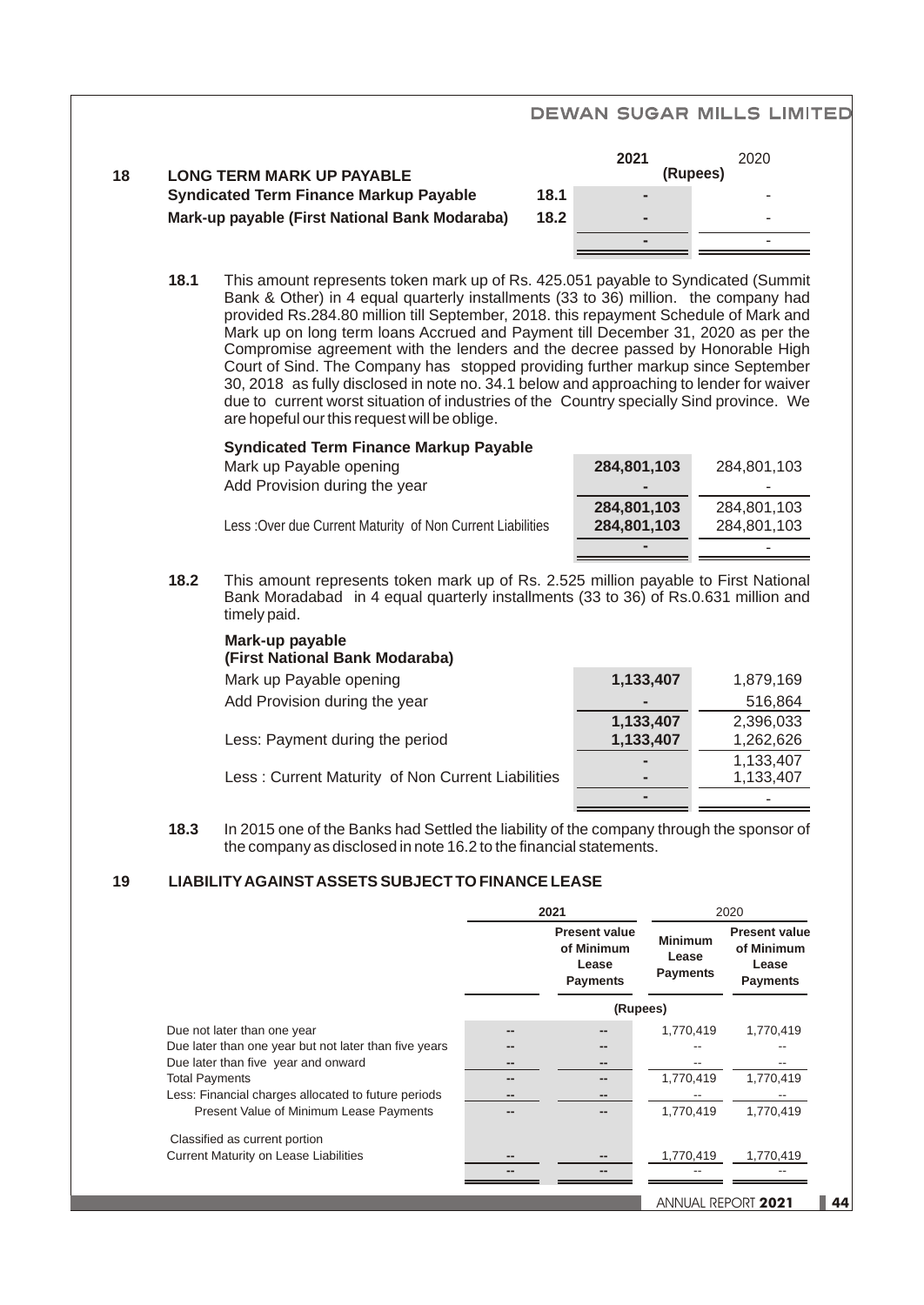#### **18 Syndicated Term Finance Markup Payable 18.1 Mark-up payable (First National Bank Modaraba) 18.2 - LONG TERM MARK UP PAYABLE**



**18.1** This amount represents token mark up of Rs. 425.051 payable to Syndicated (Summit Bank & Other) in 4 equal quarterly installments (33 to 36) million. the company had provided Rs.284.80 million till September, 2018. this repayment Schedule of Mark and Mark up on long term loans Accrued and Payment till December 31, 2020 as per the Compromise agreement with the lenders and the decree passed by Honorable High Court of Sind. The Company has stopped providing further markup since September 30, 2018 as fully disclosed in note no. 34.1 below and approaching to lender for waiver due to current worst situation of industries of the Country specially Sind province. We are hopeful our this request will be oblige.

| <b>Syndicated Term Finance Markup Payable</b>              |             |             |
|------------------------------------------------------------|-------------|-------------|
| Mark up Payable opening                                    | 284,801,103 | 284,801,103 |
| Add Provision during the year                              |             |             |
|                                                            | 284,801,103 | 284,801,103 |
| Less: Over due Current Maturity of Non Current Liabilities | 284,801,103 | 284,801,103 |
|                                                            | -           |             |

**18.2** This amount represents token mark up of Rs. 2.525 million payable to First National Bank Moradabad in 4 equal quarterly installments (33 to 36) of Rs.0.631 million and timely paid.

| 1,133,407 | 1,879,169 |
|-----------|-----------|
|           | 516,864   |
| 1,133,407 | 2,396,033 |
| 1,133,407 | 1,262,626 |
| -         | 1,133,407 |
| ٠         | 1,133,407 |
|           |           |
|           |           |

**18.3** In 2015 one of the Banks had Settled the liability of the company through the sponsor of the company as disclosed in note 16.2 to the financial statements.

## **19 LIABILITY AGAINST ASSETS SUBJECT TO FINANCE LEASE**

|                                                       | 2021 |                                                                | 2020                                       |                                                                |
|-------------------------------------------------------|------|----------------------------------------------------------------|--------------------------------------------|----------------------------------------------------------------|
|                                                       |      | <b>Present value</b><br>of Minimum<br>Lease<br><b>Payments</b> | <b>Minimum</b><br>Lease<br><b>Payments</b> | <b>Present value</b><br>of Minimum<br>Lease<br><b>Payments</b> |
|                                                       |      | (Rupees)                                                       |                                            |                                                                |
| Due not later than one year                           |      |                                                                | 1,770,419                                  | 1,770,419                                                      |
| Due later than one year but not later than five years |      | --                                                             |                                            |                                                                |
| Due later than five year and onward                   |      | --                                                             | --                                         |                                                                |
| <b>Total Payments</b>                                 |      | --                                                             | 1,770,419                                  | 1,770,419                                                      |
| Less: Financial charges allocated to future periods   |      | --                                                             |                                            |                                                                |
| Present Value of Minimum Lease Payments               |      | --                                                             | 1,770,419                                  | 1,770,419                                                      |
| Classified as current portion                         |      |                                                                |                                            |                                                                |
| <b>Current Maturity on Lease Liabilities</b>          |      | --                                                             | 1,770,419                                  | 1,770,419                                                      |
|                                                       |      |                                                                |                                            |                                                                |
|                                                       |      |                                                                |                                            | ANNUAL REPORT 2021                                             |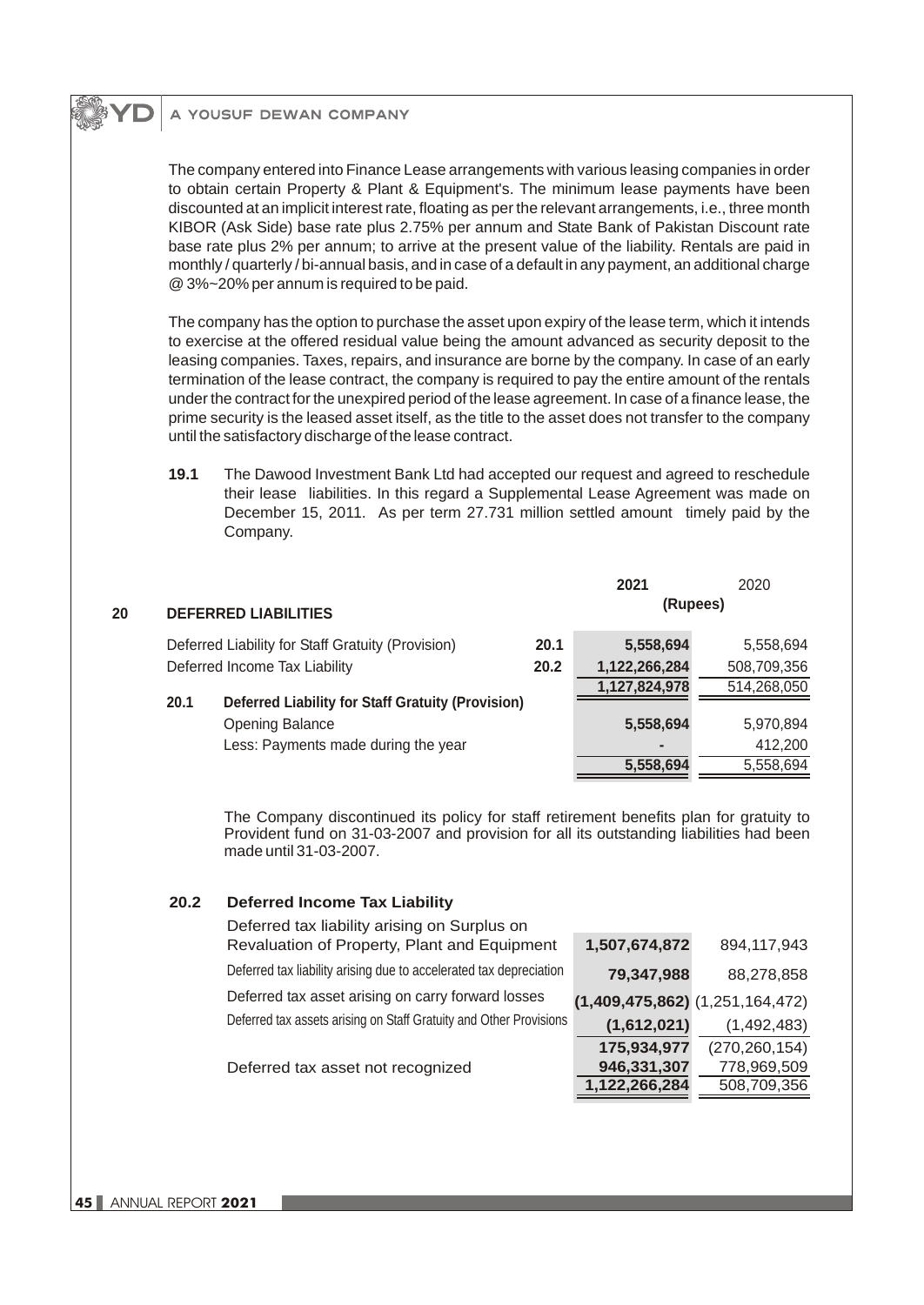The company entered into Finance Lease arrangements with various leasing companies in order to obtain certain Property & Plant & Equipment's. The minimum lease payments have been discounted at an implicit interest rate, floating as per the relevant arrangements, i.e., three month KIBOR (Ask Side) base rate plus 2.75% per annum and State Bank of Pakistan Discount rate base rate plus 2% per annum; to arrive at the present value of the liability. Rentals are paid in monthly / quarterly / bi-annual basis, and in case of a default in any payment, an additional charge @ 3%~20% per annum is required to be paid.

The company has the option to purchase the asset upon expiry of the lease term, which it intends to exercise at the offered residual value being the amount advanced as security deposit to the leasing companies. Taxes, repairs, and insurance are borne by the company. In case of an early termination of the lease contract, the company is required to pay the entire amount of the rentals under the contract for the unexpired period of the lease agreement. In case of a finance lease, the prime security is the leased asset itself, as the title to the asset does not transfer to the company until the satisfactory discharge of the lease contract.

**19.1** The Dawood Investment Bank Ltd had accepted our request and agreed to reschedule their lease liabilities. In this regard a Supplemental Lease Agreement was made on December 15, 2011. As per term 27.731 million settled amount timely paid by the Company.

|    |      |                                                          |      | 2021          | 2020        |
|----|------|----------------------------------------------------------|------|---------------|-------------|
| 20 |      | <b>DEFERRED LIABILITIES</b>                              |      | (Rupees)      |             |
|    |      | Deferred Liability for Staff Gratuity (Provision)        | 20.1 | 5,558,694     | 5,558,694   |
|    |      | Deferred Income Tax Liability                            | 20.2 | 1,122,266,284 | 508,709,356 |
|    |      |                                                          |      | 1,127,824,978 | 514,268,050 |
|    | 20.1 | <b>Deferred Liability for Staff Gratuity (Provision)</b> |      |               |             |
|    |      | <b>Opening Balance</b>                                   |      | 5,558,694     | 5,970,894   |
|    |      | Less: Payments made during the year                      |      | -             | 412,200     |
|    |      |                                                          |      | 5,558,694     | 5,558,694   |
|    |      |                                                          |      |               |             |

The Company discontinued its policy for staff retirement benefits plan for gratuity to Provident fund on 31-03-2007 and provision for all its outstanding liabilities had been made until 31-03-2007.

## **20.2 Deferred Income Tax Liability**

| Deferred tax liability arising on Surplus on<br>Revaluation of Property, Plant and Equipment | 1,507,674,872                       | 894,117,943     |
|----------------------------------------------------------------------------------------------|-------------------------------------|-----------------|
| Deferred tax liability arising due to accelerated tax depreciation                           | 79,347,988                          | 88,278,858      |
| Deferred tax asset arising on carry forward losses                                           | $(1,409,475,862)$ $(1,251,164,472)$ |                 |
| Deferred tax assets arising on Staff Gratuity and Other Provisions                           | (1,612,021)                         | (1,492,483)     |
|                                                                                              | 175,934,977                         | (270, 260, 154) |
| Deferred tax asset not recognized                                                            | 946,331,307                         | 778,969,509     |
|                                                                                              | 1,122,266,284                       | 508,709,356     |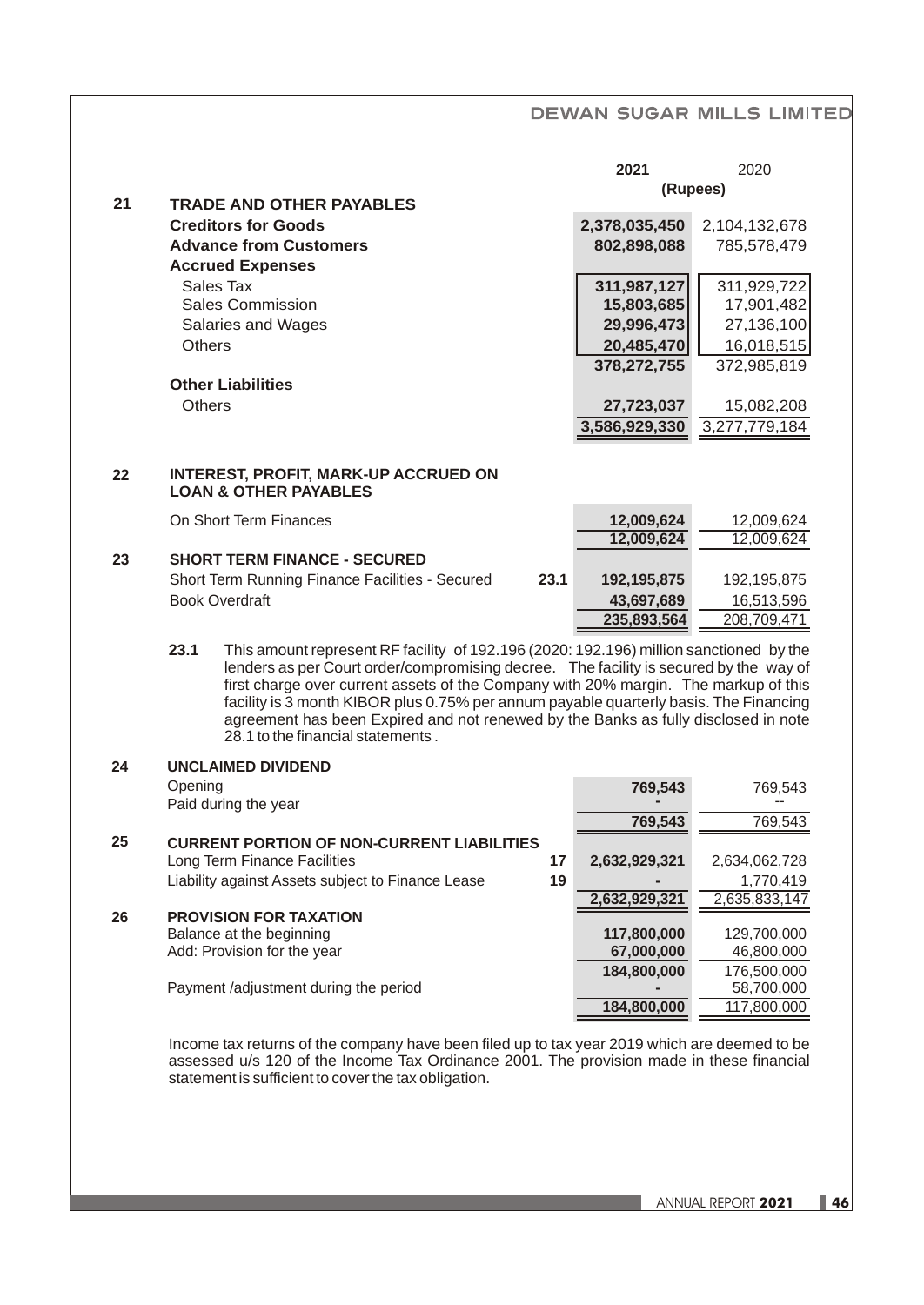|    |                                 | 2021          | 2020          |
|----|---------------------------------|---------------|---------------|
|    |                                 |               | (Rupees)      |
| 21 | <b>TRADE AND OTHER PAYABLES</b> |               |               |
|    | <b>Creditors for Goods</b>      | 2,378,035,450 | 2,104,132,678 |
|    | <b>Advance from Customers</b>   | 802,898,088   | 785,578,479   |
|    | <b>Accrued Expenses</b>         |               |               |
|    | Sales Tax                       | 311,987,127   | 311,929,722   |
|    | <b>Sales Commission</b>         | 15,803,685    | 17,901,482    |
|    | Salaries and Wages              | 29,996,473    | 27,136,100    |
|    | <b>Others</b>                   | 20,485,470    | 16,018,515    |
|    |                                 | 378,272,755   | 372,985,819   |
|    | <b>Other Liabilities</b>        |               |               |
|    | <b>Others</b>                   | 27,723,037    | 15,082,208    |
|    |                                 | 3,586,929,330 | 3,277,779,184 |
|    |                                 |               |               |
|    |                                 |               |               |

## **22 INTEREST, PROFIT, MARK-UP ACCRUED ON LOAN & OTHER PAYABLES**

|    | On Short Term Finances                          |      | 12,009,624  | 12,009,624  |
|----|-------------------------------------------------|------|-------------|-------------|
|    |                                                 |      | 12,009,624  | 12,009,624  |
| 23 | <b>SHORT TERM FINANCE - SECURED</b>             |      |             |             |
|    | Short Term Running Finance Facilities - Secured | 23.1 | 192,195,875 | 192,195,875 |
|    | <b>Book Overdraft</b>                           |      | 43,697,689  | 16,513,596  |
|    |                                                 |      | 235,893,564 | 208,709,471 |
|    |                                                 |      |             |             |

**23.1** This amount represent RF facility of 192.196 (2020: 192.196) million sanctioned by the lenders as per Court order/compromising decree. The facility is secured by the way of first charge over current assets of the Company with 20% margin. The markup of this facility is 3 month KIBOR plus 0.75% per annum payable quarterly basis. The Financing agreement has been Expired and not renewed by the Banks as fully disclosed in note 28.1 to the financial statements .

## **24 UNCLAIMED DIVIDEND**

|               | 769,543       |
|---------------|---------------|
|               |               |
| 769,543       | 769,543       |
|               |               |
| 2,632,929,321 | 2,634,062,728 |
|               | 1,770,419     |
| 2,632,929,321 | 2,635,833,147 |
|               |               |
| 117,800,000   | 129,700,000   |
| 67,000,000    | 46,800,000    |
| 184,800,000   | 176,500,000   |
|               | 58,700,000    |
| 184,800,000   | 117,800,000   |
|               | 769,543       |

Income tax returns of the company have been filed up to tax year 2019 which are deemed to be assessed u/s 120 of the Income Tax Ordinance 2001. The provision made in these financial statement is sufficient to cover the tax obligation.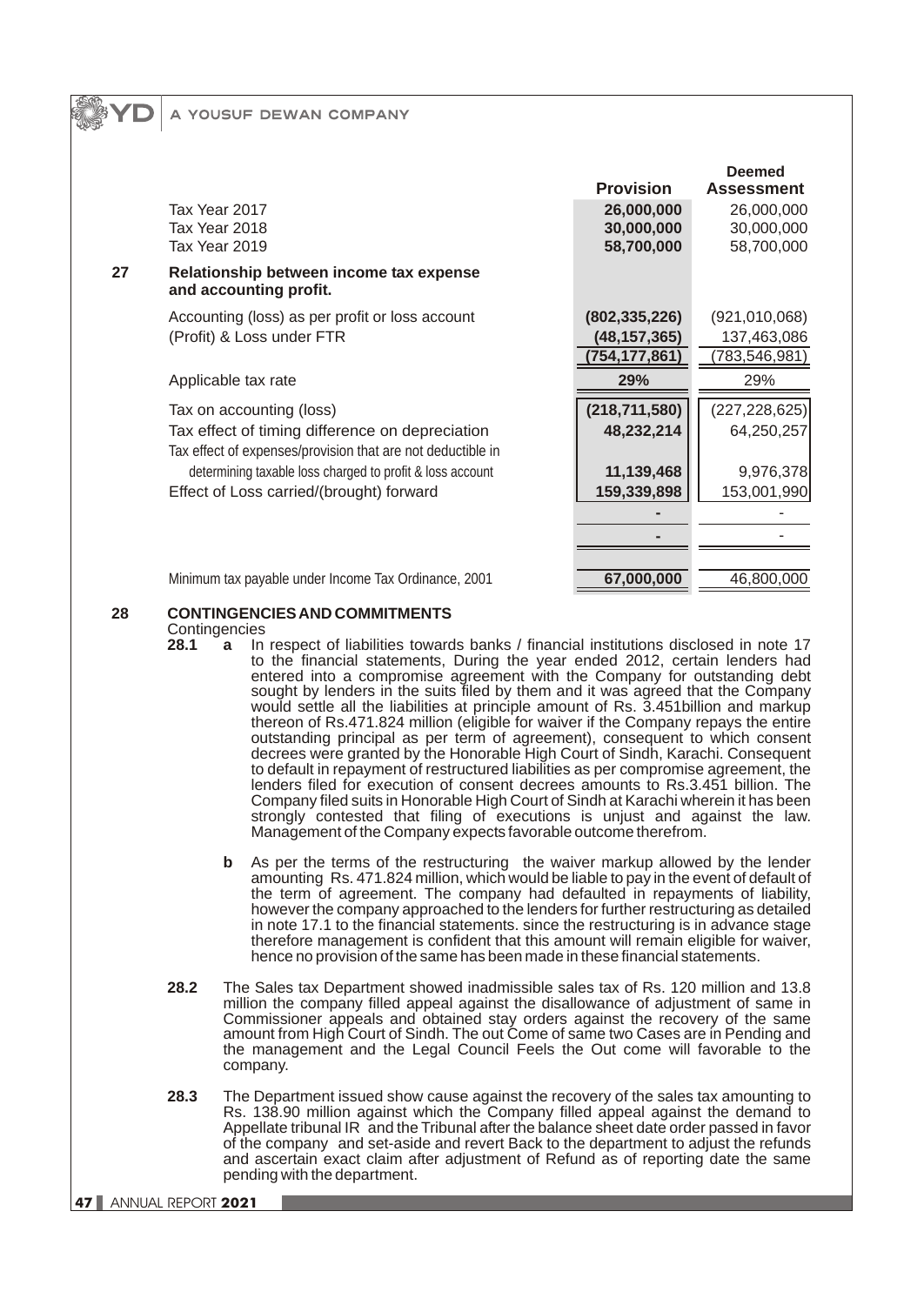| Tax Year 2017 |  |
|---------------|--|
| Tax Year 2018 |  |
| Tax Year 2019 |  |

**27 Relationship between income tax expense and accounting profit.**

> Accounting (loss) as per profit or loss account (Profit) & Loss under FTR

Applicable tax rate

Tax on accounting (loss)

Tax effect of timing difference on depreciation Tax effect of expenses/provision that are not deductible in determining taxable loss charged to profit & loss account Effect of Loss carried/(brought) forward

Minimum tax payable under Income Tax Ordinance, 2001

| Provision       | Deemed<br>Assessment |
|-----------------|----------------------|
| 26,000,000      | 26,000,000           |
| 30,000,000      | 30,000,000           |
| 58,700,000      | 58,700,000           |
|                 |                      |
| (802, 335, 226) | (921, 010, 068)      |
| (48, 157, 365)  | 137,463,086          |
| (754, 177, 861) | (783, 546, 981)      |
| 29%             | 29%                  |
| (218, 711, 580) | (227, 228, 625)      |
| 48,232,214      | 64,250,257           |
|                 |                      |
| 11,139,468      | 9,976,378            |
| 159,339,898     | 153,001,990          |
|                 |                      |
|                 |                      |
|                 |                      |
| 67,000,000      | 46,800,000           |

**28 CONTINGENCIES AND COMMITMENTS**

## Contingencies<br>28.1 a In

- **28.1 a** In respect of liabilities towards banks / financial institutions disclosed in note 17 to the financial statements, During the year ended 2012, certain lenders had entered into a compromise agreement with the Company for outstanding debt sought by lenders in the suits filed by them and it was agreed that the Company would settle all the liabilities at principle amount of Rs. 3.451billion and markup thereon of Rs.471.824 million (eligible for waiver if the Company repays the entire outstanding principal as per term of agreement), consequent to which consent decrees were granted by the Honorable High Court of Sindh, Karachi. Consequent to default in repayment of restructured liabilities as per compromise agreement, the lenders filed for execution of consent decrees amounts to Rs.3.451 billion. The Company filed suits in Honorable High Court of Sindh at Karachi wherein it has been strongly contested that filing of executions is unjust and against the law. Management of the Company expects favorable outcome therefrom.
- **b** As per the terms of the restructuring the waiver markup allowed by the lender amounting Rs. 471.824 million, which would be liable to pay in the event of default of the term of agreement. The company had defaulted in repayments of liability, however the company approached to the lenders for further restructuring as detailed in note 17.1 to the financial statements. since the restructuring is in advance stage therefore management is confident that this amount will remain eligible for waiver, hence no provision of the same has been made in these financial statements.
- **28.2** The Sales tax Department showed inadmissible sales tax of Rs. 120 million and 13.8 million the company filled appeal against the disallowance of adjustment of same in Commissioner appeals and obtained stay orders against the recovery of the same amount from High Court of Sindh. The out Come of same two Cases are in Pending and the management and the Legal Council Feels the Out come will favorable to the company.
- **28.3** The Department issued show cause against the recovery of the sales tax amounting to Rs. 138.90 million against which the Company filled appeal against the demand to Appellate tribunal IR and the Tribunal after the balance sheet date order passed in favor of the company and set-aside and revert Back to the department to adjust the refunds and ascertain exact claim after adjustment of Refund as of reporting date the same pending with the department.

**47** ANNUAL REPORT **2021**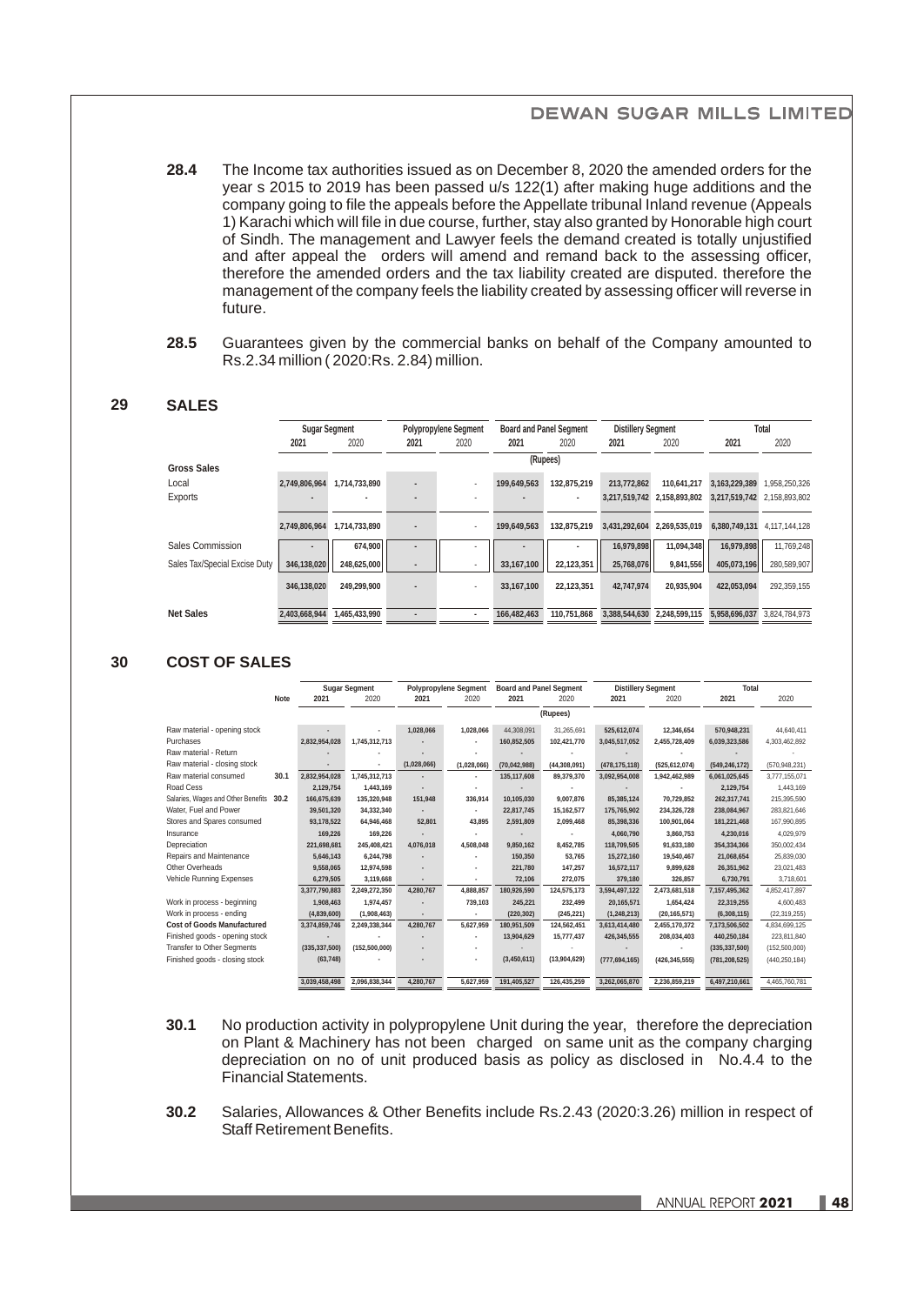- **28.4** The Income tax authorities issued as on December 8, 2020 the amended orders for the year s 2015 to 2019 has been passed u/s 122(1) after making huge additions and the company going to file the appeals before the Appellate tribunal Inland revenue (Appeals 1) Karachi which will file in due course, further, stay also granted by Honorable high court of Sindh. The management and Lawyer feels the demand created is totally unjustified and after appeal the orders will amend and remand back to the assessing officer, therefore the amended orders and the tax liability created are disputed. therefore the management of the company feels the liability created by assessing officer will reverse in future.
- **28.5** Guarantees given by the commercial banks on behalf of the Company amounted to Rs.2.34 million ( 2020:Rs. 2.84) million.

#### **29 SALES**

|                               | <b>Sugar Segment</b> |                          | <b>Polypropylene Segment</b> |                          | <b>Board and Panel Segment</b> |                | <b>Distillery Segment</b> |               | Total         |               |
|-------------------------------|----------------------|--------------------------|------------------------------|--------------------------|--------------------------------|----------------|---------------------------|---------------|---------------|---------------|
|                               | 2021                 | 2020                     | 2021                         | 2020                     | 2021                           | 2020           | 2021                      | 2020          | 2021          | 2020          |
| <b>Gross Sales</b>            |                      |                          |                              |                          |                                | (Rupees)       |                           |               |               |               |
| Local                         | 2,749,806,964        | 1,714,733,890            |                              | ۰                        | 199,649,563                    | 132.875.219    | 213,772,862               | 110.641.217   | 3,163,229,389 | 1,958,250,326 |
| Exports                       | $\blacksquare$       | $\overline{\phantom{a}}$ |                              |                          | ۰                              | ٠              | 3,217,519,742             | 2,158,893,802 | 3,217,519,742 | 2,158,893,802 |
|                               |                      |                          |                              |                          |                                |                |                           |               |               |               |
|                               | 2,749,806,964        | 1,714,733,890            | $\blacksquare$               |                          | 199,649,563                    | 132,875,219    | 3.431.292.604             | 2,269,535,019 | 6,380,749,131 | 4.117.144.128 |
| Sales Commission              |                      | 674,900                  |                              |                          |                                | $\blacksquare$ | 16,979,898                | 11,094,348    | 16,979,898    | 11,769,248    |
| Sales Tax/Special Excise Duty | 346,138,020          | 248,625,000              |                              |                          | 33,167,100                     | 22,123,351     | 25,768,076                | 9,841,556     | 405,073,196   | 280,589,907   |
|                               | 346.138.020          | 249.299.900              | $\blacksquare$               | $\overline{\phantom{a}}$ | 33,167,100                     | 22,123,351     | 42,747,974                | 20.935.904    | 422,053,094   | 292,359,155   |
| <b>Net Sales</b>              | 2,403,668,944        | 1,465,433,990            | $\overline{\phantom{a}}$     |                          | 166.482.463                    | 110.751.868    | 3,388,544,630             | 2.248.599.115 | 5,958,696,037 | 3.824.784.973 |

## **30 COST OF SALES**

|                                            |               | <b>Sugar Segment</b> |             | <b>Polypropylene Segment</b> | <b>Board and Panel Segment</b> |              | <b>Distillery Seament</b> |               | Total           |                 |
|--------------------------------------------|---------------|----------------------|-------------|------------------------------|--------------------------------|--------------|---------------------------|---------------|-----------------|-----------------|
| Note                                       | 2021          | 2020                 | 2021        | 2020                         | 2021                           | 2020         | 2021                      | 2020          | 2021            | 2020            |
|                                            |               |                      |             |                              |                                | (Rupees)     |                           |               |                 |                 |
| Raw material - opening stock               |               |                      | 1.028.066   | 1.028.066                    | 44.308.091                     | 31.265.691   | 525.612.074               | 12.346.654    | 570.948.231     | 44.640.411      |
| Purchases                                  | 2.832.954.028 | 1,745,312,713        |             |                              | 160,852,505                    | 102.421.770  | 3,045,517,052             | 2.455.728.409 | 6,039,323,586   | 4.303.462.892   |
| Raw material - Return                      |               |                      |             |                              |                                |              |                           |               |                 |                 |
| Raw material - closing stock               |               |                      | (1,028,066) | (1.028.066)                  | (70.042.988)                   | (44.308.091) | (478.175.118)             | (525.612.074) | (549.246.172)   | (570.948.231)   |
| 30.1<br>Raw material consumed              | 2.832.954.028 | 1.745.312.713        |             |                              | 135,117,608                    | 89,379,370   | 3,092,954,008             | 1,942,462,989 | 6,061,025,645   | 3,777,155,071   |
| Road Cess                                  | 2.129.754     | 1.443.169            |             | $\blacksquare$               |                                |              |                           |               | 2,129,754       | 1.443.169       |
| Salaries, Wages and Other Benefits<br>30.2 | 166.675.639   | 135.320.948          | 151.948     | 336.914                      | 10.105.030                     | 9.007.876    | 85.385.124                | 70.729.852    | 262.317.741     | 215.395.590     |
| Water, Fuel and Power                      | 39.501.320    | 34.332.340           |             |                              | 22.817.745                     | 15.162.577   | 175.765.902               | 234.326.728   | 238.084.967     | 283.821.646     |
| Stores and Spares consumed                 | 93.178.522    | 64.946.468           | 52.801      | 43.895                       | 2,591,809                      | 2.099.468    | 85,398,336                | 100.901.064   | 181.221.468     | 167,990,895     |
| Insurance                                  | 169.226       | 169.226              |             |                              |                                |              | 4.060.790                 | 3.860.753     | 4.230.016       | 4.029.979       |
| Depreciation                               | 221.698.681   | 245.408.421          | 4.076.018   | 4.508.048                    | 9.850.162                      | 8.452.785    | 118.709.505               | 91.633.180    | 354.334.366     | 350.002.434     |
| Repairs and Maintenance                    | 5.646.143     | 6.244.798            |             |                              | 150.350                        | 53.765       | 15.272.160                | 19.540.467    | 21,068,654      | 25.839.030      |
| Other Overheads                            | 9.558.065     | 12.974.598           |             |                              | 221.780                        | 147.257      | 16,572,117                | 9.899.628     | 26,351,962      | 23.021.483      |
| Vehicle Running Expenses                   | 6.279.505     | 3.119.668            |             | $\blacksquare$               | 72.106                         | 272.075      | 379,180                   | 326.857       | 6.730.791       | 3.718.601       |
|                                            | 3.377.790.883 | 2.249.272.350        | 4.280.767   | 4,888,857                    | 180,926,590                    | 124.575.173  | 3.594.497.122             | 2.473.681.518 | 7.157.495.362   | 4.852.417.897   |
| Work in process - beginning                | 1.908.463     | 1,974,457            |             | 739.103                      | 245.221                        | 232.499      | 20.165.571                | 1.654.424     | 22.319.255      | 4.600.483       |
| Work in process - ending                   | (4.839.600)   | (1.908.463)          |             |                              | (220, 302)                     | (245.221)    | (1, 248, 213)             | (20.165.571)  | (6.308.115)     | (22, 319, 255)  |
| <b>Cost of Goods Manufactured</b>          | 3.374.859.746 | 2.249.338.344        | 4.280.767   | 5.627.959                    | 180.951.509                    | 124.562.451  | 3.613.414.480             | 2.455.170.372 | 7,173,506,502   | 4.834.699.125   |
| Finished goods - opening stock             |               |                      |             |                              | 13,904,629                     | 15,777,437   | 426,345,555               | 208.034.403   | 440.250.184     | 223.811.840     |
| Transfer to Other Segments                 | (335.337.500) | (152.500.000)        |             | $\sim$                       |                                |              |                           |               | (335, 337, 500) | (152, 500, 000) |
| Finished goods - closing stock             | (63, 748)     |                      |             | $\sim$                       | (3,450,611)                    | (13.904.629) | (777.694.165)             | (426.345.555) | (781, 208, 525) | (440, 250, 184) |
|                                            |               |                      |             |                              |                                |              |                           |               |                 |                 |
|                                            | 3,039,458,498 | 2,096,838,344        | 4,280,767   | 5,627,959                    | 191,405,527                    | 126,435,259  | 3,262,065,870             | 2,236,859,219 | 6,497,210,661   | 4,465,760,781   |

- **30.1** No production activity in polypropylene Unit during the year, therefore the depreciation on Plant & Machinery has not been charged on same unit as the company charging depreciation on no of unit produced basis as policy as disclosed in No.4.4 to the Financial Statements.
- **30.2** Salaries, Allowances & Other Benefits include Rs.2.43 (2020:3.26) million in respect of Staff Retirement Benefits.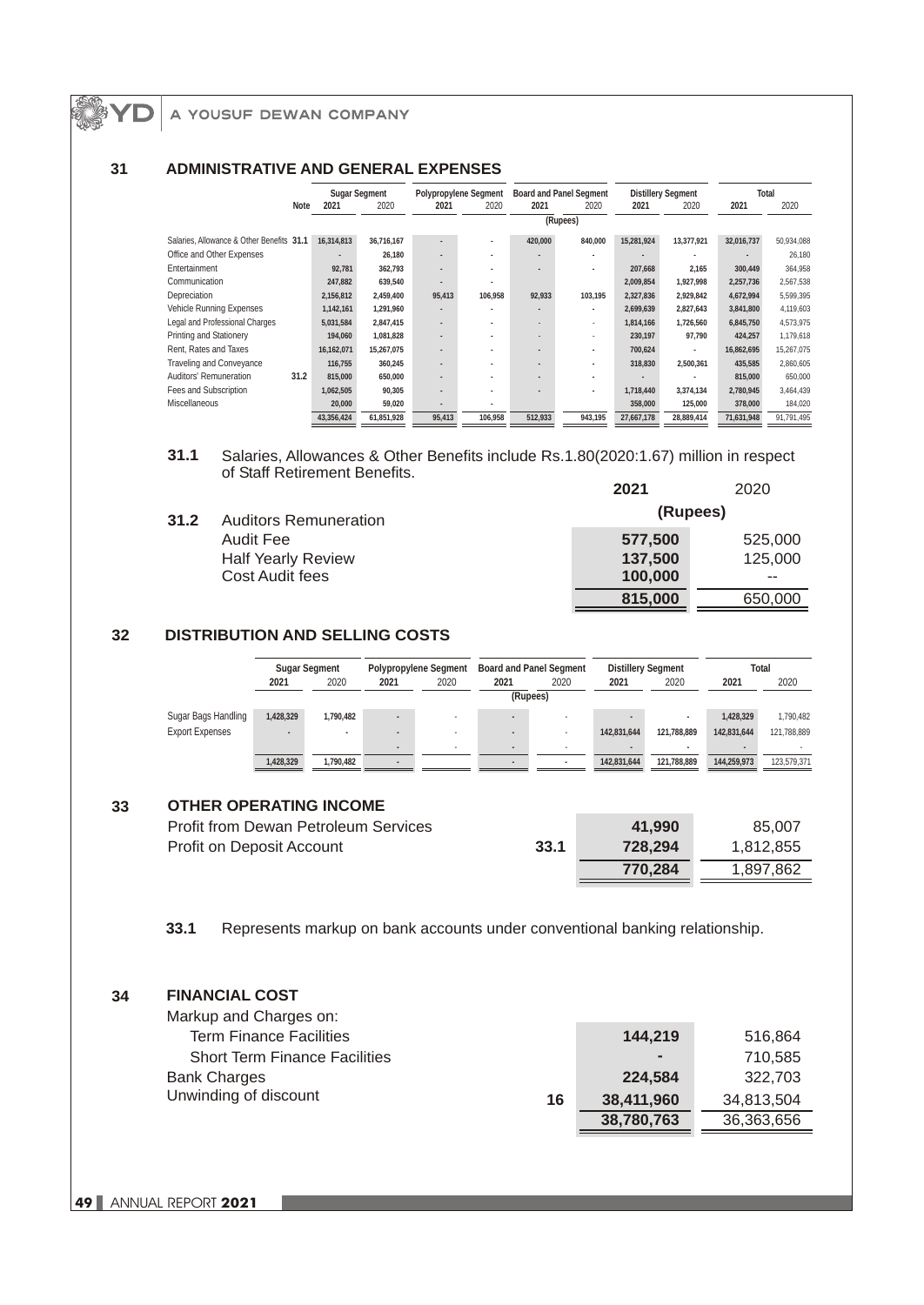## **31 ADMINISTRATIVE AND GENERAL EXPENSES**

|                                           |            | <b>Sugar Segment</b> |        | <b>Polypropylene Segment</b> |         | <b>Board and Panel Segment</b> |            | <b>Distillery Segment</b> |            | Total      |
|-------------------------------------------|------------|----------------------|--------|------------------------------|---------|--------------------------------|------------|---------------------------|------------|------------|
| Note                                      | 2021       | 2020                 | 2021   | 2020                         | 2021    | 2020                           | 2021       | 2020                      | 2021       | 2020       |
|                                           |            |                      |        |                              |         | (Rupees)                       |            |                           |            |            |
| Salaries. Allowance & Other Benefits 31.1 | 16,314,813 | 36,716,167           |        | ٠                            | 420,000 | 840,000                        | 15.281.924 | 13,377,921                | 32,016,737 | 50,934,088 |
| Office and Other Expenses                 |            | 26,180               |        | ۰                            |         |                                |            |                           |            | 26,180     |
| Entertainment                             | 92,781     | 362,793              |        | ٠                            |         |                                | 207,668    | 2,165                     | 300,449    | 364,958    |
| Communication                             | 247,882    | 639,540              |        | ۰                            |         |                                | 2,009,854  | 1,927,998                 | 2,257,736  | 2,567,538  |
| Depreciation                              | 2,156,812  | 2,459,400            | 95,413 | 106,958                      | 92,933  | 103,195                        | 2,327,836  | 2,929,842                 | 4,672,994  | 5,599,395  |
| Vehicle Running Expenses                  | 1,142,161  | 1,291,960            |        | ۰                            |         |                                | 2,699,639  | 2,827,643                 | 3,841,800  | 4,119,603  |
| Legal and Professional Charges            | 5,031,584  | 2,847,415            |        | ٠                            | ۰.      | ×.                             | 1,814,166  | 1,726,560                 | 6,845,750  | 4,573,975  |
| Printing and Stationery                   | 194,060    | 1,081,828            |        | ۰                            | ۰.      |                                | 230,197    | 97,790                    | 424,257    | 1,179,618  |
| Rent, Rates and Taxes                     | 16,162,071 | 15,267,075           |        | ۰                            |         | ٠                              | 700,624    | ٠                         | 16,862,695 | 15,267,075 |
| <b>Traveling and Conveyance</b>           | 116,755    | 360,245              |        | ۰                            |         |                                | 318,830    | 2,500,361                 | 435,585    | 2,860,605  |
| Auditors' Remuneration<br>31.2            | 815,000    | 650,000              |        | ۰                            |         |                                |            |                           | 815,000    | 650,000    |
| Fees and Subscription                     | 1,062,505  | 90,305               |        | ۰                            |         |                                | 1,718,440  | 3,374,134                 | 2,780,945  | 3,464,439  |
| Miscellaneous                             | 20,000     | 59,020               |        | ۰                            |         |                                | 358,000    | 125,000                   | 378,000    | 184,020    |
|                                           | 43,356,424 | 61,851,928           | 95,413 | 106.958                      | 512,933 | 943.195                        | 27.667.178 | 28.889.414                | 71.631.948 | 91.791.495 |

#### **31.1 2021** 2020 Salaries, Allowances & Other Benefits include Rs.1.80(2020:1.67) million in respect of Staff Retirement Benefits.

|      |                              | ZUZ I    | ∠∪∠∪    |
|------|------------------------------|----------|---------|
| 31.2 | <b>Auditors Remuneration</b> | (Rupees) |         |
|      | Audit Fee                    | 577,500  | 525,000 |
|      | <b>Half Yearly Review</b>    | 137,500  | 125,000 |
|      | Cost Audit fees              | 100,000  | $- -$   |
|      |                              | 815,000  | 650,000 |

## **32 DISTRIBUTION AND SELLING COSTS**

|                        | <b>Sugar Segment</b> |           | <b>Polypropylene Segment</b> |                | <b>Board and Panel Segment</b> |      | <b>Distillery Segment</b> |             | Total       |             |
|------------------------|----------------------|-----------|------------------------------|----------------|--------------------------------|------|---------------------------|-------------|-------------|-------------|
|                        | 2021                 | 2020      | 2021                         | 2020           | 2021                           | 2020 | 2021                      | 2020        | 2021        | 2020        |
|                        |                      |           |                              |                | (Rupees)                       |      |                           |             |             |             |
| Sugar Bags Handling    | 1,428,329            | 1,790,482 |                              |                | $\blacksquare$                 |      |                           |             | 1.428.329   | 1,790,482   |
| <b>Export Expenses</b> | ۰                    |           |                              |                |                                |      | 142.831.644               | 121.788.889 | 142,831,644 | 121,788,889 |
|                        |                      |           |                              | $\blacksquare$ | $\blacksquare$                 | ۰    |                           | ۰           |             |             |
|                        | 1,428,329            | 1.790.482 |                              |                | $\overline{\phantom{a}}$       |      | 142.831.644               | 121.788.889 | 144.259.973 | 123,579,371 |

### **33 OTHER OPERATING INCOME**

| <b>Profit from Dewan Petroleum Services</b> |      | 41.990  | 85,007    |
|---------------------------------------------|------|---------|-----------|
| Profit on Deposit Account                   | 33.1 | 728.294 | 1.812.855 |
|                                             |      | 770.284 | 1.897.862 |

**33.1** Represents markup on bank accounts under conventional banking relationship.

## **34 FINANCIAL COST**

| Markup and Charges on:               |    |            |            |
|--------------------------------------|----|------------|------------|
| <b>Term Finance Facilities</b>       |    | 144,219    | 516,864    |
| <b>Short Term Finance Facilities</b> |    |            | 710,585    |
| <b>Bank Charges</b>                  |    | 224.584    | 322.703    |
| Unwinding of discount                | 16 | 38,411,960 | 34,813,504 |
|                                      |    | 38,780,763 | 36,363,656 |
|                                      |    |            |            |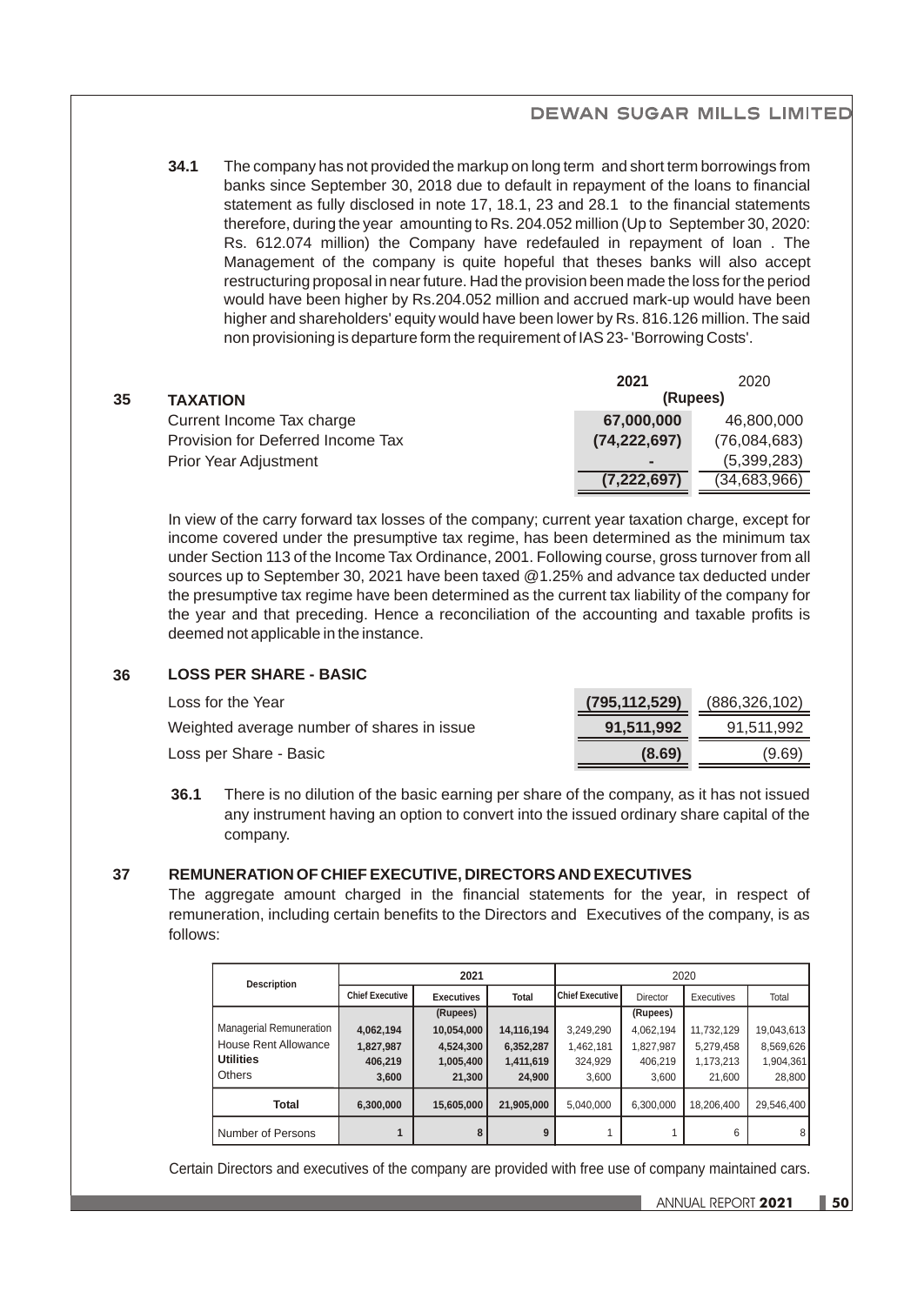**34.1** The company has not provided the markup on long term and short term borrowings from banks since September 30, 2018 due to default in repayment of the loans to financial statement as fully disclosed in note 17, 18.1, 23 and 28.1 to the financial statements therefore, during the year amounting to Rs. 204.052 million (Up to September 30, 2020: Rs. 612.074 million) the Company have redefauled in repayment of loan . The Management of the company is quite hopeful that theses banks will also accept restructuring proposal in near future. Had the provision been made the loss for the period would have been higher by Rs.204.052 million and accrued mark-up would have been higher and shareholders' equity would have been lower by Rs. 816.126 million. The said non provisioning is departure form the requirement of IAS 23- 'Borrowing Costs'.

|                                   | 2021           | 2020         |
|-----------------------------------|----------------|--------------|
| <b>TAXATION</b>                   |                | (Rupees)     |
| Current Income Tax charge         | 67,000,000     | 46,800,000   |
| Provision for Deferred Income Tax | (74, 222, 697) | (76,084,683) |
| <b>Prior Year Adjustment</b>      | $\blacksquare$ | (5,399,283)  |
|                                   | (7, 222, 697)  | (34,683,966) |

In view of the carry forward tax losses of the company; current year taxation charge, except for income covered under the presumptive tax regime, has been determined as the minimum tax under Section 113 of the Income Tax Ordinance, 2001. Following course, gross turnover from all sources up to September 30, 2021 have been taxed @1.25% and advance tax deducted under the presumptive tax regime have been determined as the current tax liability of the company for the year and that preceding. Hence a reconciliation of the accounting and taxable profits is deemed not applicable in the instance.

## **36 LOSS PER SHARE - BASIC**

**35 TAXATION** 

| Loss for the Year                          | (795, 112, 529) | (886, 326, 102) |
|--------------------------------------------|-----------------|-----------------|
| Weighted average number of shares in issue | 91,511,992      | 91,511,992      |
| Loss per Share - Basic                     | (8.69)          | (9.69)          |
|                                            |                 |                 |

 **36.1** There is no dilution of the basic earning per share of the company, as it has not issued any instrument having an option to convert into the issued ordinary share capital of the company.

## **37 REMUNERATION OF CHIEF EXECUTIVE, DIRECTORS AND EXECUTIVES**

The aggregate amount charged in the financial statements for the year, in respect of remuneration, including certain benefits to the Directors and Executives of the company, is as follows:

| <b>Description</b>             |                        | 2021              |              | 2020                   |           |            |                |
|--------------------------------|------------------------|-------------------|--------------|------------------------|-----------|------------|----------------|
|                                | <b>Chief Executive</b> | <b>Executives</b> | <b>Total</b> | <b>Chief Executive</b> | Director  | Executives | Total          |
|                                |                        | (Rupees)          |              |                        | (Rupees)  |            |                |
| <b>Managerial Remuneration</b> | 4,062,194              | 10,054,000        | 14,116,194   | 3,249,290              | 4,062,194 | 11,732,129 | 19,043,613     |
| <b>House Rent Allowance</b>    | 1,827,987              | 4,524,300         | 6,352,287    | 1,462,181              | 1,827,987 | 5,279,458  | 8,569,626      |
| <b>Utilities</b>               | 406,219                | 1,005,400         | 1,411,619    | 324,929                | 406,219   | 1,173,213  | 1,904,361      |
| <b>Others</b>                  | 3,600                  | 21,300            | 24,900       | 3,600                  | 3,600     | 21,600     | 28,800         |
| Total                          | 6,300,000              | 15,605,000        | 21,905,000   | 5,040,000              | 6,300,000 | 18,206,400 | 29,546,400     |
| Number of Persons              |                        | 8                 | 9            |                        |           | 6          | 8 <sup>1</sup> |

Certain Directors and executives of the company are provided with free use of company maintained cars.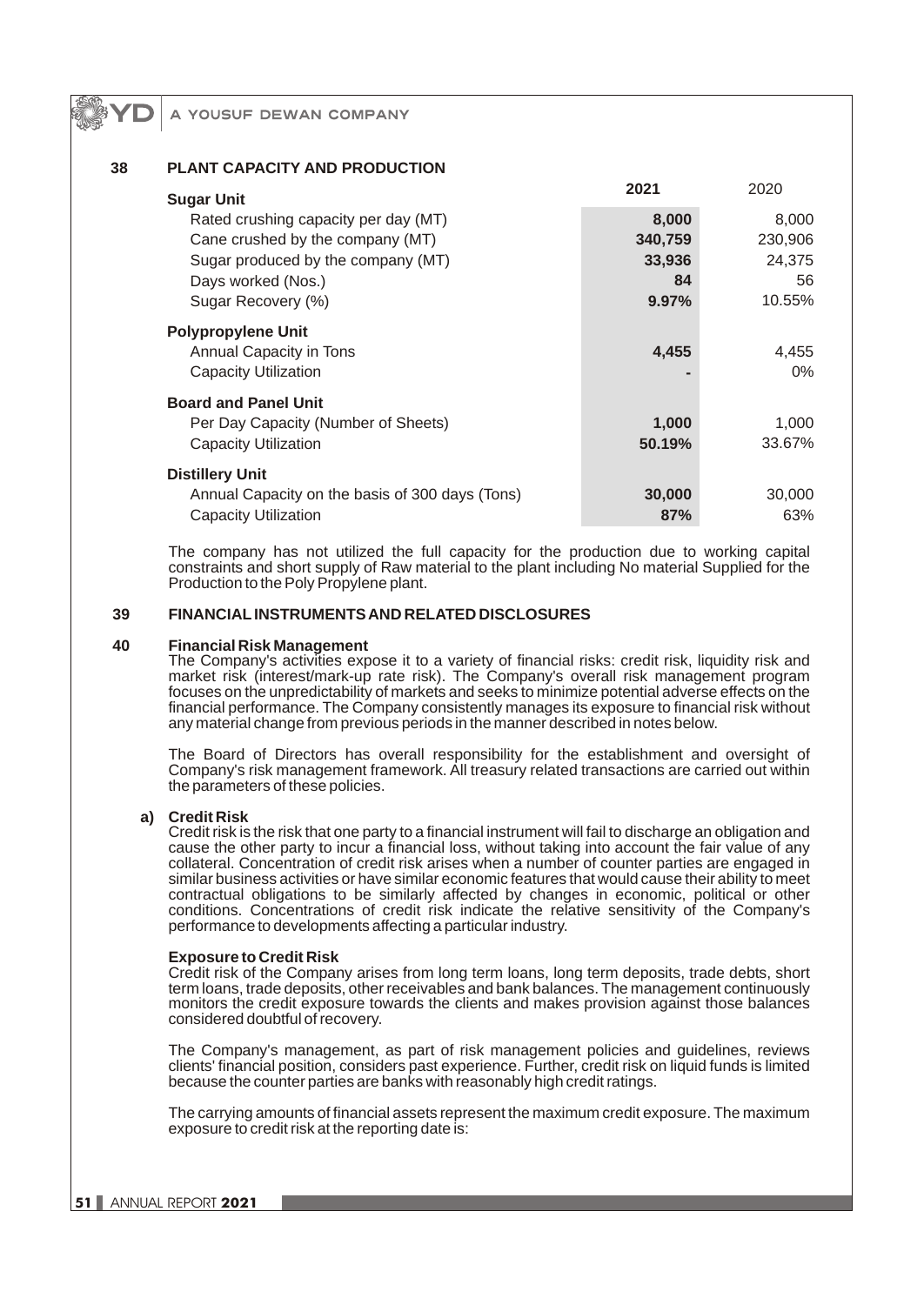## **38 PLANT CAPACITY AND PRODUCTION**

| <b>Sugar Unit</b>                                                            | 2021    | 2020           |
|------------------------------------------------------------------------------|---------|----------------|
| Rated crushing capacity per day (MT)                                         | 8,000   | 8,000          |
| Cane crushed by the company (MT)                                             | 340,759 | 230,906        |
| Sugar produced by the company (MT)                                           | 33,936  | 24,375         |
| Days worked (Nos.)                                                           | 84      | 56             |
| Sugar Recovery (%)                                                           | 9.97%   | 10.55%         |
| <b>Polypropylene Unit</b><br>Annual Capacity in Tons<br>Capacity Utilization | 4,455   | 4,455<br>$0\%$ |
| <b>Board and Panel Unit</b>                                                  |         |                |
| Per Day Capacity (Number of Sheets)                                          | 1,000   | 1,000          |
| <b>Capacity Utilization</b>                                                  | 50.19%  | 33.67%         |
| <b>Distillery Unit</b>                                                       |         |                |
| Annual Capacity on the basis of 300 days (Tons)                              | 30,000  | 30,000         |
| <b>Capacity Utilization</b>                                                  | 87%     | 63%            |

The company has not utilized the full capacity for the production due to working capital constraints and short supply of Raw material to the plant including No material Supplied for the Production to the Poly Propylene plant.

#### **39 FINANCIAL INSTRUMENTS AND RELATED DISCLOSURES**

#### **40 Financial Risk Management**

The Company's activities expose it to a variety of financial risks: credit risk, liquidity risk and market risk (interest/mark-up rate risk). The Company's overall risk management program focuses on the unpredictability of markets and seeks to minimize potential adverse effects on the financial performance. The Company consistently manages its exposure to financial risk without any material change from previous periods in the manner described in notes below.

The Board of Directors has overall responsibility for the establishment and oversight of Company's risk management framework. All treasury related transactions are carried out within the parameters of these policies.

#### **a) Credit Risk**

Credit risk is the risk that one party to a financial instrument will fail to discharge an obligation and cause the other party to incur a financial loss, without taking into account the fair value of any collateral. Concentration of credit risk arises when a number of counter parties are engaged in similar business activities or have similar economic features that would cause their ability to meet contractual obligations to be similarly affected by changes in economic, political or other conditions. Concentrations of credit risk indicate the relative sensitivity of the Company's performance to developments affecting a particular industry.

#### **Exposure to Credit Risk**

Credit risk of the Company arises from long term loans, long term deposits, trade debts, short term loans, trade deposits, other receivables and bank balances. The management continuously monitors the credit exposure towards the clients and makes provision against those balances considered doubtful of recovery.

The Company's management, as part of risk management policies and guidelines, reviews clients' financial position, considers past experience. Further, credit risk on liquid funds is limited because the counter parties are banks with reasonably high credit ratings.

The carrying amounts of financial assets represent the maximum credit exposure. The maximum exposure to credit risk at the reporting date is: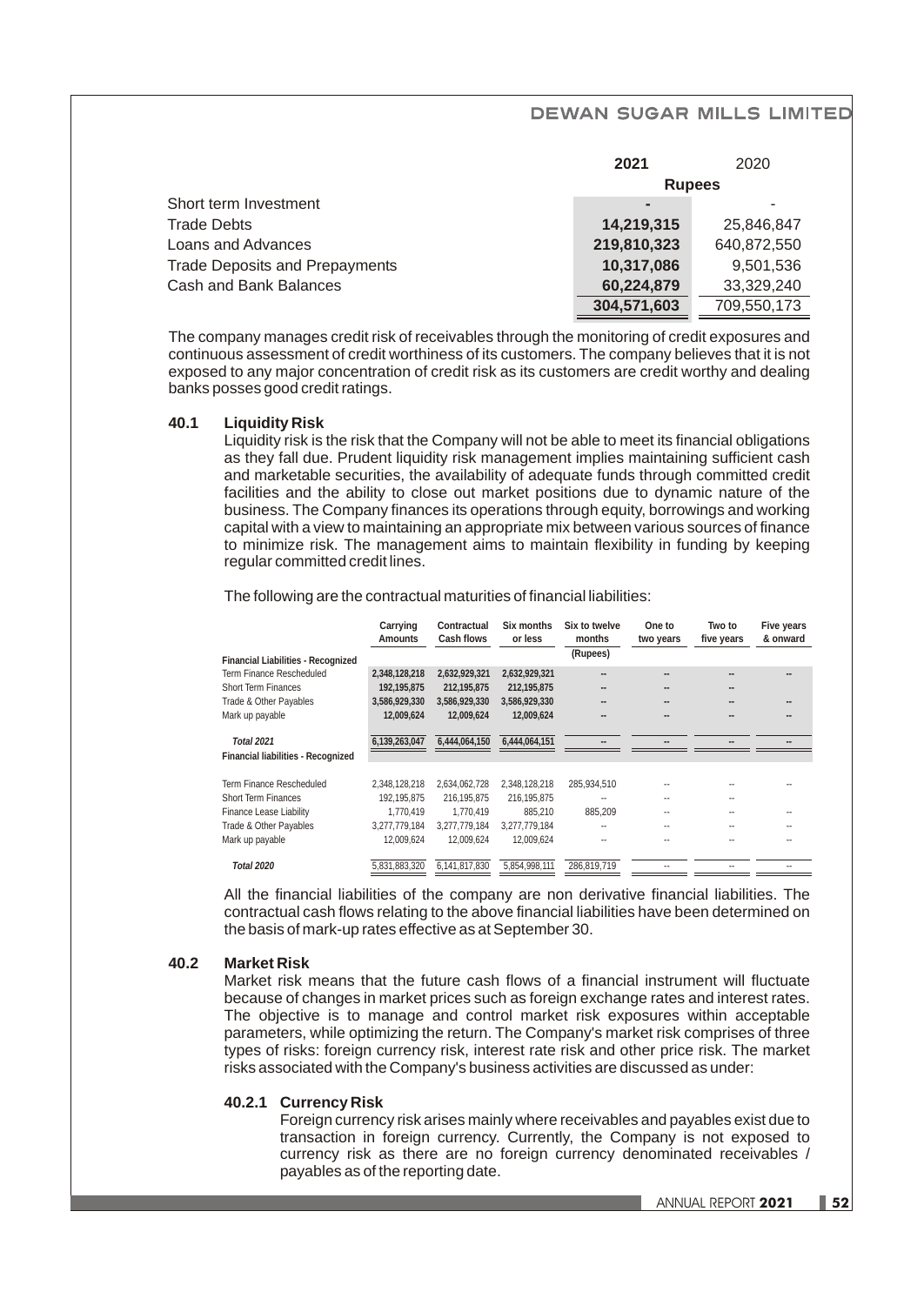|                                       | 2021        | 2020          |
|---------------------------------------|-------------|---------------|
|                                       |             | <b>Rupees</b> |
| Short term Investment                 |             |               |
| <b>Trade Debts</b>                    | 14,219,315  | 25,846,847    |
| Loans and Advances                    | 219,810,323 | 640,872,550   |
| <b>Trade Deposits and Prepayments</b> | 10,317,086  | 9,501,536     |
| Cash and Bank Balances                | 60,224,879  | 33,329,240    |
|                                       | 304,571,603 | 709,550,173   |

The company manages credit risk of receivables through the monitoring of credit exposures and continuous assessment of credit worthiness of its customers. The company believes that it is not exposed to any major concentration of credit risk as its customers are credit worthy and dealing banks posses good credit ratings.

#### **40.1 Liquidity Risk**

Liquidity risk is the risk that the Company will not be able to meet its financial obligations as they fall due. Prudent liquidity risk management implies maintaining sufficient cash and marketable securities, the availability of adequate funds through committed credit facilities and the ability to close out market positions due to dynamic nature of the business. The Company finances its operations through equity, borrowings and working capital with a view to maintaining an appropriate mix between various sources of finance to minimize risk. The management aims to maintain flexibility in funding by keeping regular committed credit lines.

The following are the contractual maturities of financial liabilities:

|                                           | Carrying<br><b>Amounts</b> | Contractual<br>Cash flows | Six months<br>or less | Six to twelve<br>months | One to<br>two years | Two to<br>five years | Five years<br>& onward |
|-------------------------------------------|----------------------------|---------------------------|-----------------------|-------------------------|---------------------|----------------------|------------------------|
| <b>Financial Liabilities - Recognized</b> |                            |                           |                       | (Rupees)                |                     |                      |                        |
| Term Finance Rescheduled                  | 2,348,128,218              | 2,632,929,321             | 2,632,929,321         | --                      | --                  |                      |                        |
| <b>Short Term Finances</b>                | 192,195,875                | 212,195,875               | 212,195,875           | --                      | --                  | --                   |                        |
| Trade & Other Payables                    | 3,586,929,330              | 3,586,929,330             | 3,586,929,330         | --                      | --                  | --                   |                        |
| Mark up payable                           | 12,009,624                 | 12,009,624                | 12,009,624            | --                      | --                  |                      |                        |
| Total 2021                                | 6,139,263,047              | 6,444,064,150             | 6,444,064,151         |                         |                     |                      |                        |
| <b>Financial liabilities - Recognized</b> |                            |                           |                       |                         |                     |                      |                        |
| Term Finance Rescheduled                  | 2,348,128,218              | 2,634,062,728             | 2,348,128,218         | 285,934,510             | --                  |                      |                        |
| <b>Short Term Finances</b>                | 192,195,875                | 216.195.875               | 216,195,875           | --                      | --                  | --                   |                        |
| <b>Finance Lease Liability</b>            | 1,770,419                  | 1.770.419                 | 885.210               | 885,209                 | --                  | --                   |                        |
| Trade & Other Payables                    | 3,277,779,184              | 3,277,779,184             | 3,277,779,184         | ٠.                      | --                  |                      |                        |
| Mark up payable                           | 12.009.624                 | 12.009.624                | 12.009.624            | --                      | --                  |                      |                        |
| <b>Total 2020</b>                         | 5,831,883,320              | 6.141.817.830             | 5.854.998.111         | 286.819.719             |                     |                      |                        |

All the financial liabilities of the company are non derivative financial liabilities. The contractual cash flows relating to the above financial liabilities have been determined on the basis of mark-up rates effective as at September 30.

### **40.2 Market Risk**

Market risk means that the future cash flows of a financial instrument will fluctuate because of changes in market prices such as foreign exchange rates and interest rates. The objective is to manage and control market risk exposures within acceptable parameters, while optimizing the return. The Company's market risk comprises of three types of risks: foreign currency risk, interest rate risk and other price risk. The market risks associated with the Company's business activities are discussed as under:

## **40.2.1 Currency Risk**

Foreign currency risk arises mainly where receivables and payables exist due to transaction in foreign currency. Currently, the Company is not exposed to currency risk as there are no foreign currency denominated receivables / payables as of the reporting date.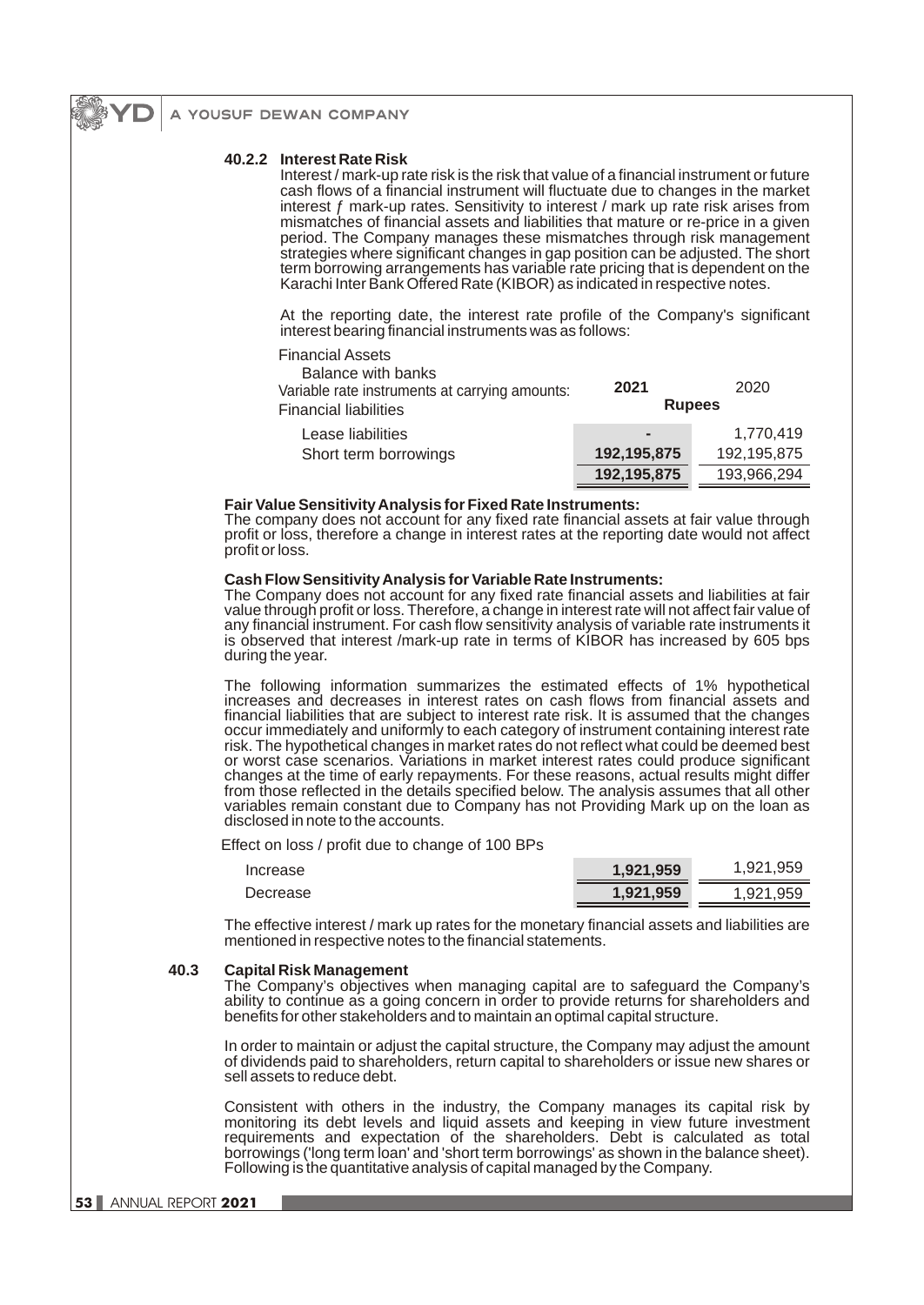#### **40.2.2 Interest Rate Risk**

Interest / mark-up rate risk is the risk that value of a financial instrument or future cash flows of a financial instrument will fluctuate due to changes in the market interest f mark-up rates. Sensitivity to interest / mark up rate risk arises from mismatches of financial assets and liabilities that mature or re-price in a given period. The Company manages these mismatches through risk management strategies where significant changes in gap position can be adjusted. The short term borrowing arrangements has variable rate pricing that is dependent on the Karachi Inter Bank Offered Rate (KIBOR) as indicated in respective notes.

At the reporting date, the interest rate profile of the Company's significant interest bearing financial instruments was as follows:

## Financial Assets

| Balance with banks<br>Variable rate instruments at carrying amounts:<br><b>Financial liabilities</b> | 2021<br><b>Rupees</b> | 2020        |
|------------------------------------------------------------------------------------------------------|-----------------------|-------------|
| Lease liabilities                                                                                    | $\blacksquare$        | 1.770.419   |
| Short term borrowings                                                                                | 192,195,875           | 192,195,875 |
|                                                                                                      | 192,195,875           | 193,966,294 |

#### **Fair Value Sensitivity Analysis for Fixed Rate Instruments:**

The company does not account for any fixed rate financial assets at fair value through profit or loss, therefore a change in interest rates at the reporting date would not affect profit or loss.

#### **Cash Flow Sensitivity Analysis for Variable Rate Instruments:**

The Company does not account for any fixed rate financial assets and liabilities at fair value through profit or loss. Therefore, a change in interest rate will not affect fair value of any financial instrument. For cash flow sensitivity analysis of variable rate instruments it is observed that interest /mark-up rate in terms of KIBOR has increased by 605 bps during the year.

The following information summarizes the estimated effects of 1% hypothetical increases and decreases in interest rates on cash flows from financial assets and financial liabilities that are subject to interest rate risk. It is assumed that the changes occur immediately and uniformly to each category of instrument containing interest rate risk. The hypothetical changes in market rates do not reflect what could be deemed best or worst case scenarios. Variations in market interest rates could produce significant changes at the time of early repayments. For these reasons, actual results might differ from those reflected in the details specified below. The analysis assumes that all other variables remain constant due to Company has not Providing Mark up on the loan as disclosed in note to the accounts.

Effect on loss / profit due to change of 100 BPs

| Increase | 1.921.959 | 1,921,959 |
|----------|-----------|-----------|
| Decrease | 1.921.959 | 1.921.959 |

The effective interest / mark up rates for the monetary financial assets and liabilities are mentioned in respective notes to the financial statements.

#### **40.3 Capital Risk Management**

The Company's objectives when managing capital are to safeguard the Company's ability to continue as a going concern in order to provide returns for shareholders and benefits for other stakeholders and to maintain an optimal capital structure.

In order to maintain or adjust the capital structure, the Company may adjust the amount of dividends paid to shareholders, return capital to shareholders or issue new shares or sell assets to reduce debt.

Consistent with others in the industry, the Company manages its capital risk by monitoring its debt levels and liquid assets and keeping in view future investment requirements and expectation of the shareholders. Debt is calculated as total borrowings ('long term loan' and 'short term borrowings' as shown in the balance sheet). Following is the quantitative analysis of capital managed by the Company.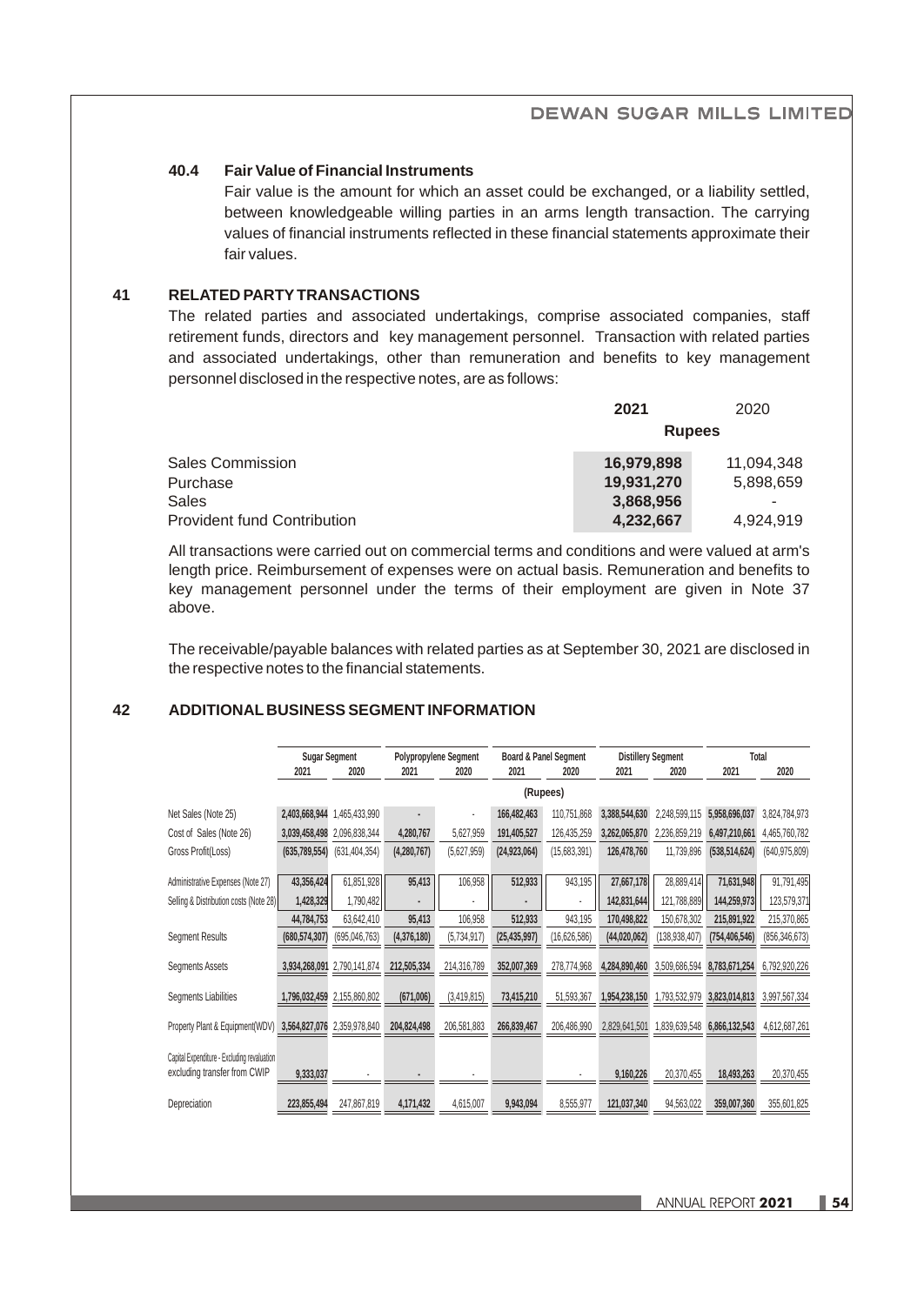## **40.4 Fair Value of Financial Instruments**

Fair value is the amount for which an asset could be exchanged, or a liability settled, between knowledgeable willing parties in an arms length transaction. The carrying values of financial instruments reflected in these financial statements approximate their fair values.

## **41 RELATED PARTY TRANSACTIONS**

The related parties and associated undertakings, comprise associated companies, staff retirement funds, directors and key management personnel. Transaction with related parties and associated undertakings, other than remuneration and benefits to key management personnel disclosed in the respective notes, are as follows:

|                             | 2021          | 2020       |
|-----------------------------|---------------|------------|
|                             | <b>Rupees</b> |            |
| Sales Commission            | 16,979,898    | 11,094,348 |
| Purchase                    | 19,931,270    | 5,898,659  |
| Sales                       | 3,868,956     |            |
| Provident fund Contribution | 4,232,667     | 4.924.919  |

All transactions were carried out on commercial terms and conditions and were valued at arm's length price. Reimbursement of expenses were on actual basis. Remuneration and benefits to key management personnel under the terms of their employment are given in Note 37 above.

The receivable/payable balances with related parties as at September 30, 2021 are disclosed in the respective notes to the financial statements.

## **42 ADDITIONAL BUSINESS SEGMENT INFORMATION**

|                                             | <b>Sugar Segment</b> |                             |             | <b>Polypropylene Segment</b> |                | Board & Panel Segment | <b>Distillery Segment</b> |                 | Total           |                 |
|---------------------------------------------|----------------------|-----------------------------|-------------|------------------------------|----------------|-----------------------|---------------------------|-----------------|-----------------|-----------------|
|                                             | 2021                 | 2020                        | 2021        | 2020                         | 2021           | 2020                  | 2021                      | 2020            | 2021            | 2020            |
|                                             |                      |                             |             |                              |                | (Rupees)              |                           |                 |                 |                 |
| Net Sales (Note 25)                         | 2,403,668,944        | 1,465,433,990               |             |                              | 166,482,463    | 110,751,868           | 3,388,544,630             | 2,248,599,115   | 5,958,696,037   | 3,824,784,973   |
| Cost of Sales (Note 26)                     | 3,039,458,498        | 2,096,838,344               | 4,280,767   | 5,627,959                    | 191,405,527    | 126,435,259           | 3,262,065,870             | 2,236,859,219   | 6,497,210,661   | 4,465,760,782   |
| Gross Profit(Loss)                          | (635, 789, 554)      | (631, 404, 354)             | (4,280,767) | (5,627,959)                  | (24, 923, 064) | (15,683,391)          | 126,478,760               | 11,739,896      | (538, 514, 624) | (640, 975, 809) |
|                                             |                      |                             |             |                              |                |                       |                           |                 |                 |                 |
| Administrative Expenses (Note 27)           | 43,356,424           | 61,851,928                  | 95,413      | 106,958                      | 512,933        | 943,195               | 27,667,178                | 28,889,414      | 71,631,948      | 91,791,495      |
| Selling & Distribution costs (Note 28)      | 1,428,329            | 1,790,482                   |             |                              |                |                       | 142,831,644               | 121,788,889     | 144,259,973     | 123,579,371     |
|                                             | 44,784,753           | 63,642,410                  | 95,413      | 106,958                      | 512,933        | 943,195               | 170,498,822               | 150,678,302     | 215,891,922     | 215,370,865     |
| <b>Segment Results</b>                      | (680, 574, 307)      | (695,046,763)               | (4,376,180) | (5,734,917)                  | (25, 435, 997) | (16, 626, 586)        | (44,020,062)              | (138, 938, 407) | (754, 406, 546) | (856, 346, 673) |
| <b>Segments Assets</b>                      | 3,934,268,091        | 2,790,141,874               | 212,505,334 | 214,316,789                  | 352,007,369    | 278,774,968           | 4,284,890,460             | 3,509,686,594   | 8,783,671,254   | 6,792,920,226   |
| Segments Liabilities                        |                      | 1,796,032,459 2,155,860,802 | (671,006)   | (3, 419, 815)                | 73,415,210     | 51,593,367            | 1,954,238,150             | 1,793,532,979   | 3,823,014,813   | 3,997,567,334   |
| Property Plant & Equipment(WDV)             | 3,564,827,076        | 2,359,978,840               | 204,824,498 | 206,581,883                  | 266,839,467    | 206,486,990           | 2,829,641,501             | 1,839,639,548   | 6,866,132,543   | 4,612,687,261   |
| Capital Expenditure - Excluding revaluation |                      |                             |             |                              |                |                       |                           |                 |                 |                 |
| excluding transfer from CWIP                | 9,333,037            |                             |             |                              |                |                       | 9,160,226                 | 20,370,455      | 18,493,263      | 20,370,455      |
| Depreciation                                | 223,855,494          | 247,867,819                 | 4,171,432   | 4,615,007                    | 9,943,094      | 8,555,977             | 121,037,340               | 94,563,022      | 359,007,360     | 355,601,825     |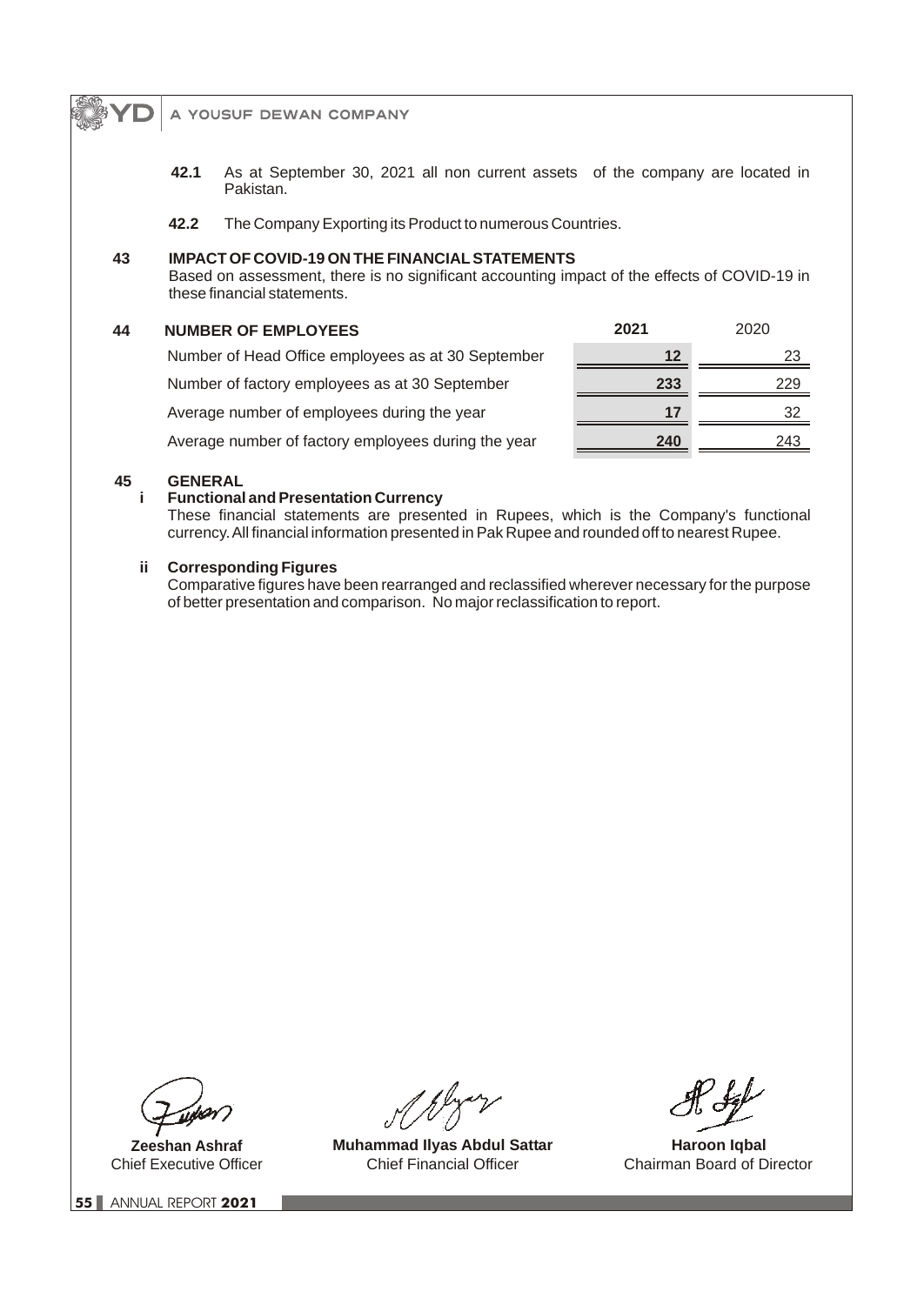- **42.1** As at September 30, 2021 all non current assets of the company are located in Pakistan.
- **42.2** The Company Exporting its Product to numerous Countries.

## **43 IMPACT OF COVID-19 ON THE FINANCIAL STATEMENTS**

Based on assessment, there is no significant accounting impact of the effects of COVID-19 in these financial statements.

| 44 | <b>NUMBER OF EMPLOYEES</b>                          | 2021 | 2020 |
|----|-----------------------------------------------------|------|------|
|    | Number of Head Office employees as at 30 September  | 12   |      |
|    | Number of factory employees as at 30 September      | 233  | 229  |
|    | Average number of employees during the year         | 17   | 32   |
|    | Average number of factory employees during the year | 240  | 243  |
|    |                                                     |      |      |

## **45 GENERAL**

### **i Functional and Presentation Currency**

These financial statements are presented in Rupees, which is the Company's functional currency. All financial information presented in Pak Rupee and rounded off to nearest Rupee.

## **ii Corresponding Figures**

Comparative figures have been rearranged and reclassified wherever necessary for the purpose of better presentation and comparison. No major reclassification to report.

**Zeeshan Ashraf**

**Muhammad Ilyas Abdul Sattar** Chief Executive Officer Chief Financial Officer

**Haroon Iqbal** Chairman Board of Director

**55** ANNUAL REPORT **2021**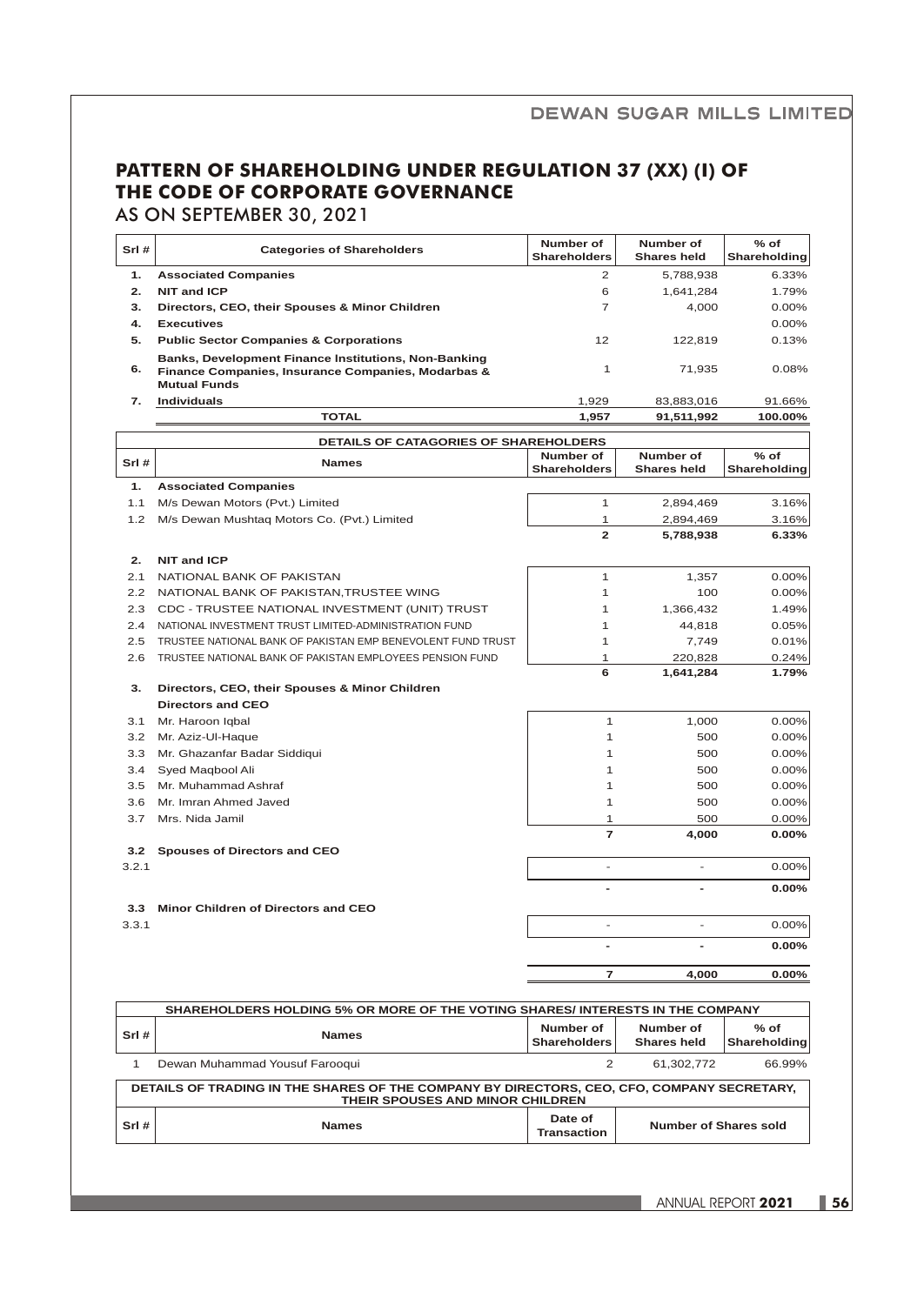## **PATTERN OF SHAREHOLDING UNDER REGULATION 37 (XX) (I) OF THE CODE OF CORPORATE GOVERNANCE**

AS ON SEPTEMBER 30, 2021

**Srl #**

**Names**

| Srl#         | <b>Categories of Shareholders</b>                                                                                                 | Number of<br><b>Shareholders</b> | Number of<br><b>Shares held</b> | % of<br>Shareholding |  |  |  |  |
|--------------|-----------------------------------------------------------------------------------------------------------------------------------|----------------------------------|---------------------------------|----------------------|--|--|--|--|
| 1.           | <b>Associated Companies</b>                                                                                                       | 2                                | 5,788,938                       | 6.33%                |  |  |  |  |
| 2.           | <b>NIT and ICP</b>                                                                                                                | 6                                | 1,641,284                       | 1.79%                |  |  |  |  |
| з.           | Directors, CEO, their Spouses & Minor Children                                                                                    | $\overline{7}$                   | 4,000                           | 0.00%                |  |  |  |  |
| 4.           | <b>Executives</b>                                                                                                                 |                                  |                                 | 0.00%                |  |  |  |  |
| 5.           | <b>Public Sector Companies &amp; Corporations</b>                                                                                 | 12                               | 122,819                         | 0.13%                |  |  |  |  |
| 6.           | Banks, Development Finance Institutions, Non-Banking<br>Finance Companies, Insurance Companies, Modarbas &<br><b>Mutual Funds</b> | $\mathbf{1}$                     | 71,935                          | 0.08%                |  |  |  |  |
| 7.           | <b>Individuals</b>                                                                                                                | 1,929                            | 83,883,016                      | 91.66%               |  |  |  |  |
|              | <b>TOTAL</b>                                                                                                                      | 1.957                            | 91,511,992                      | 100.00%              |  |  |  |  |
|              | <b>DETAILS OF CATAGORIES OF SHAREHOLDERS</b>                                                                                      |                                  |                                 |                      |  |  |  |  |
| Srl#         | <b>Names</b>                                                                                                                      | Number of<br><b>Shareholders</b> | Number of<br><b>Shares held</b> | % of<br>Shareholding |  |  |  |  |
| 1.           | <b>Associated Companies</b>                                                                                                       |                                  |                                 |                      |  |  |  |  |
| 1.1          | M/s Dewan Motors (Pvt.) Limited                                                                                                   | $\mathbf{1}$                     | 2,894,469                       | 3.16%                |  |  |  |  |
| 1.2          | M/s Dewan Mushtaq Motors Co. (Pvt.) Limited                                                                                       | $\mathbf{1}$                     | 2,894,469                       | 3.16%                |  |  |  |  |
|              |                                                                                                                                   | $\mathbf{2}$                     | 5,788,938                       | 6.33%                |  |  |  |  |
| 2.           | <b>NIT and ICP</b>                                                                                                                |                                  |                                 |                      |  |  |  |  |
| 2.1          | NATIONAL BANK OF PAKISTAN                                                                                                         | $\mathbf{1}$                     | 1,357                           | 0.00%                |  |  |  |  |
| 2.2          | NATIONAL BANK OF PAKISTAN, TRUSTEE WING                                                                                           | $\mathbf{1}$                     | 100                             | 0.00%                |  |  |  |  |
| 2.3          | CDC - TRUSTEE NATIONAL INVESTMENT (UNIT) TRUST                                                                                    | 1                                | 1,366,432                       | 1.49%                |  |  |  |  |
| 2.4          | NATIONAL INVESTMENT TRUST LIMITED-ADMINISTRATION FUND                                                                             | 1                                | 44,818                          | 0.05%                |  |  |  |  |
| 2.5          | TRUSTEE NATIONAL BANK OF PAKISTAN EMP BENEVOLENT FUND TRUST                                                                       | 1                                | 7,749                           | 0.01%                |  |  |  |  |
| 2.6          | TRUSTEE NATIONAL BANK OF PAKISTAN EMPLOYEES PENSION FUND                                                                          | 1                                | 220,828                         | 0.24%                |  |  |  |  |
|              |                                                                                                                                   | 6                                | 1,641,284                       | 1.79%                |  |  |  |  |
| 3.           | Directors, CEO, their Spouses & Minor Children                                                                                    |                                  |                                 |                      |  |  |  |  |
|              | <b>Directors and CEO</b>                                                                                                          |                                  |                                 |                      |  |  |  |  |
| 3.1          | Mr. Haroon Iqbal                                                                                                                  | $\mathbf{1}$                     | 1,000                           | 0.00%                |  |  |  |  |
| 3.2          | Mr. Aziz-Ul-Haque                                                                                                                 | $\mathbf{1}$                     | 500                             | $0.00\%$             |  |  |  |  |
| 3.3          | Mr. Ghazanfar Badar Siddiqui                                                                                                      | 1                                | 500                             | $0.00\%$             |  |  |  |  |
| 3.4          | Syed Magbool Ali                                                                                                                  | 1                                | 500                             | 0.00%                |  |  |  |  |
| 3.5          | Mr. Muhammad Ashraf                                                                                                               | $\mathbf{1}$                     | 500                             | 0.00%                |  |  |  |  |
| 3.6          | Mr. Imran Ahmed Javed                                                                                                             | $\mathbf{1}$                     | 500                             | 0.00%                |  |  |  |  |
| 3.7          | Mrs. Nida Jamil                                                                                                                   | 1                                | 500                             | $0.00\%$             |  |  |  |  |
| 3.2          | Spouses of Directors and CEO                                                                                                      | $\overline{7}$                   | 4,000                           | $0.00\%$             |  |  |  |  |
| 3.2.1        |                                                                                                                                   | L,                               | $\overline{\phantom{a}}$        | 0.00%                |  |  |  |  |
|              |                                                                                                                                   | ÷                                | $\blacksquare$                  | $0.00\%$             |  |  |  |  |
| 3.3          | Minor Children of Directors and CEO                                                                                               |                                  |                                 |                      |  |  |  |  |
| 3.3.1        |                                                                                                                                   |                                  |                                 | 0.00%                |  |  |  |  |
|              |                                                                                                                                   |                                  |                                 | 0.00%                |  |  |  |  |
|              |                                                                                                                                   | $\overline{7}$                   | 4.000                           | 0.00%                |  |  |  |  |
|              |                                                                                                                                   |                                  |                                 |                      |  |  |  |  |
|              | SHAREHOLDERS HOLDING 5% OR MORE OF THE VOTING SHARES/INTERESTS IN THE COMPANY                                                     |                                  |                                 |                      |  |  |  |  |
| Srl#         | <b>Names</b>                                                                                                                      | Number of<br><b>Shareholders</b> | Number of<br><b>Shares held</b> | % of<br>Shareholding |  |  |  |  |
| $\mathbf{1}$ | Dewan Muhammad Yousuf Farooqui                                                                                                    | 2                                | 61,302,772                      | 66.99%               |  |  |  |  |
|              | DETAILS OF TRADING IN THE SHARES OF THE COMPANY BY DIRECTORS, CEO, CFO, COMPANY SECRETARY,<br>THEIR SPOUSES AND MINOR CHILDREN    |                                  |                                 |                      |  |  |  |  |

**Number of Shares sold**

**Date of** 

**Transaction**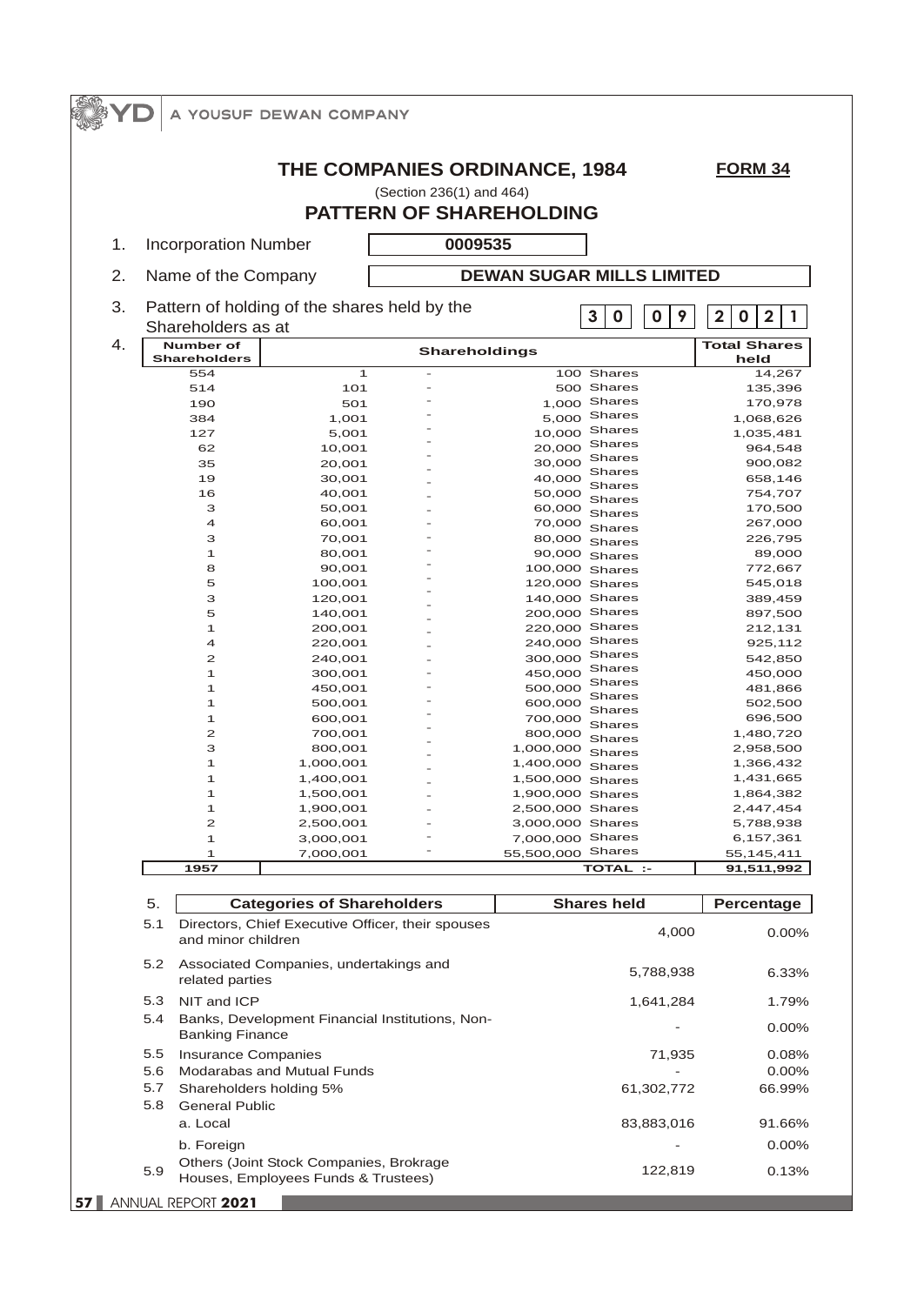|      |     |                                 | A YOUSUF DEWAN COMPANY                                                         |                                                                  |                                  |                                  |                                                                         |
|------|-----|---------------------------------|--------------------------------------------------------------------------------|------------------------------------------------------------------|----------------------------------|----------------------------------|-------------------------------------------------------------------------|
|      |     |                                 |                                                                                | <b>THE COMPANIES ORDINANCE, 1984</b><br>(Section 236(1) and 464) |                                  |                                  | <b>FORM 34</b>                                                          |
|      |     |                                 |                                                                                | <b>PATTERN OF SHAREHOLDING</b>                                   |                                  |                                  |                                                                         |
| 1.   |     | <b>Incorporation Number</b>     |                                                                                | 0009535                                                          |                                  |                                  |                                                                         |
| 2.   |     | Name of the Company             |                                                                                |                                                                  |                                  | <b>DEWAN SUGAR MILLS LIMITED</b> |                                                                         |
| 3.   |     |                                 | Pattern of holding of the shares held by the                                   |                                                                  |                                  | 3<br>9<br>$\mathbf 0$<br>0       | $\overline{\mathbf{2}}$<br>$\overline{\mathbf{2}}$<br>$\mathbf{1}$<br>0 |
| 4.   |     | Shareholders as at<br>Number of |                                                                                | <b>Shareholdings</b>                                             |                                  |                                  | <b>Total Shares</b>                                                     |
|      |     | <b>Shareholders</b>             |                                                                                |                                                                  |                                  |                                  | held                                                                    |
|      |     | 554<br>514                      | $\mathbf 1$<br>101                                                             |                                                                  |                                  | 100 Shares<br>500 Shares         | 14,267<br>135,396                                                       |
|      |     | 190                             | 501                                                                            |                                                                  | 1,000                            | <b>Shares</b>                    | 170,978                                                                 |
|      |     | 384                             | 1,001                                                                          |                                                                  | 5,000                            | Shares                           | 1,068,626                                                               |
|      |     | 127                             | 5,001                                                                          |                                                                  | 10,000                           | Shares                           | 1,035,481                                                               |
|      |     | 62                              | 10,001                                                                         |                                                                  | 20,000                           | <b>Shares</b>                    | 964,548                                                                 |
|      |     | 35                              | 20,001                                                                         |                                                                  | 30,000                           | Shares                           | 900,082                                                                 |
|      |     | 19                              | 30,001                                                                         |                                                                  | 40,000                           | Shares<br>Shares                 | 658,146                                                                 |
|      |     | 16                              | 40,001                                                                         |                                                                  | 50,000                           | Shares                           | 754,707                                                                 |
|      |     | З                               | 50,001                                                                         |                                                                  | 60,000                           | <b>Shares</b>                    | 170,500                                                                 |
|      |     | 4                               | 60,001                                                                         |                                                                  | 70,000                           | Shares                           | 267,000                                                                 |
|      |     | З                               | 70,001                                                                         |                                                                  | 80,000                           | Shares                           | 226,795                                                                 |
|      |     | 1                               | 80,001                                                                         |                                                                  |                                  | 90,000 Shares                    | 89,000                                                                  |
|      |     | 8                               | 90,001                                                                         |                                                                  | 100,000 Shares                   |                                  | 772,667                                                                 |
|      |     | 5                               | 100,001                                                                        |                                                                  | 120,000 Shares                   |                                  | 545,018                                                                 |
|      |     | З                               | 120,001                                                                        |                                                                  | 140,000 Shares                   |                                  | 389,459                                                                 |
|      |     | 5                               | 140,001                                                                        |                                                                  | 200,000 Shares<br>220,000 Shares |                                  | 897,500                                                                 |
|      |     | 1                               | 200,001                                                                        |                                                                  | 240,000                          | Shares                           | 212,131                                                                 |
|      |     | 4<br>2                          | 220,001                                                                        |                                                                  | 300,000                          | Shares                           | 925,112                                                                 |
|      |     | 1                               | 240,001                                                                        |                                                                  | 450,000                          | Shares                           | 542,850<br>450,000                                                      |
|      |     | 1                               | 300,001<br>450,001                                                             |                                                                  | 500,000                          | Shares                           | 481,866                                                                 |
|      |     | 1                               | 500,001                                                                        |                                                                  | 600,000                          | Shares                           | 502,500                                                                 |
|      |     | 1                               | 600,001                                                                        |                                                                  | 700,000                          | Shares                           | 696,500                                                                 |
|      |     | 2                               | 700,001                                                                        |                                                                  | 800,000                          | Shares                           | 1,480,720                                                               |
|      |     | З                               | 800,001                                                                        |                                                                  | 1,000,000                        | Shares<br>Shares                 | 2,958,500                                                               |
|      |     | 1                               | 1,000,001                                                                      |                                                                  | 1,400,000                        | Shares                           | 1,366,432                                                               |
|      |     | 1                               | 1,400,001                                                                      |                                                                  | 1,500,000 Shares                 |                                  | 1,431,665                                                               |
|      |     | 1                               | 1,500,001                                                                      |                                                                  | 1,900,000 Shares                 |                                  | 1,864,382                                                               |
|      |     | 1                               | 1,900,001                                                                      |                                                                  | 2,500,000 Shares                 |                                  | 2,447,454                                                               |
|      |     | 2                               | 2,500,001                                                                      |                                                                  | 3,000,000 Shares                 |                                  | 5,788,938                                                               |
|      |     | 1                               | 3,000,001                                                                      |                                                                  | 7,000,000 Shares                 |                                  | 6,157,361                                                               |
|      |     | 1                               | 7,000,001                                                                      |                                                                  | 55,500,000 Shares                |                                  | 55,145,411                                                              |
|      |     | 1957                            |                                                                                |                                                                  |                                  | TOTAL :-                         | 91,511,992                                                              |
|      | 5.  |                                 | <b>Categories of Shareholders</b>                                              |                                                                  |                                  | <b>Shares held</b>               | Percentage                                                              |
|      | 5.1 | and minor children              | Directors, Chief Executive Officer, their spouses                              |                                                                  |                                  | 4,000                            | 0.00%                                                                   |
|      | 5.2 | related parties                 | Associated Companies, undertakings and                                         |                                                                  |                                  | 5,788,938                        | 6.33%                                                                   |
|      | 5.3 | NIT and ICP                     |                                                                                |                                                                  |                                  | 1,641,284                        | 1.79%                                                                   |
|      | 5.4 | <b>Banking Finance</b>          | Banks, Development Financial Institutions, Non-                                |                                                                  |                                  |                                  | 0.00%                                                                   |
|      | 5.5 | <b>Insurance Companies</b>      |                                                                                |                                                                  |                                  | 71,935                           | 0.08%                                                                   |
|      | 5.6 |                                 | Modarabas and Mutual Funds                                                     |                                                                  |                                  |                                  | 0.00%                                                                   |
|      | 5.7 |                                 | Shareholders holding 5%                                                        |                                                                  |                                  | 61,302,772                       | 66.99%                                                                  |
|      | 5.8 | <b>General Public</b>           |                                                                                |                                                                  |                                  |                                  |                                                                         |
|      |     | a. Local                        |                                                                                |                                                                  |                                  | 83,883,016                       | 91.66%                                                                  |
|      |     |                                 |                                                                                |                                                                  |                                  |                                  |                                                                         |
|      |     | b. Foreign                      |                                                                                |                                                                  |                                  |                                  | 0.00%                                                                   |
|      | 5.9 |                                 | Others (Joint Stock Companies, Brokrage<br>Houses, Employees Funds & Trustees) |                                                                  |                                  | 122,819                          | 0.13%                                                                   |
| 57 I |     | ANNUAL REPORT 2021              |                                                                                |                                                                  |                                  |                                  |                                                                         |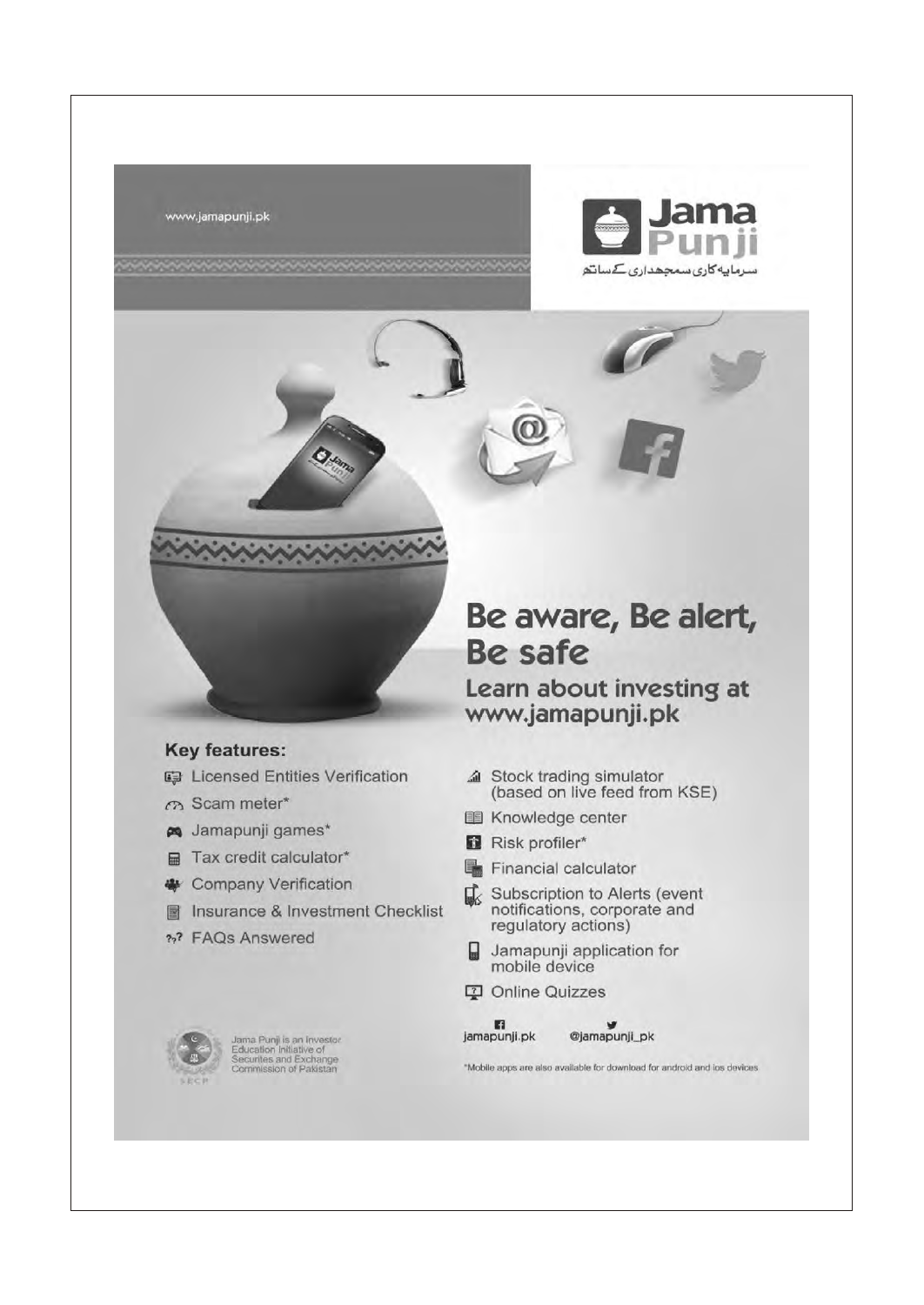

## **Key features:**

www.jamapunji.pk

- **国 Licensed Entities Verification**
- m Scam meter\*
- a Jamapunji games\*
- **■** Tax credit calculator\*
- **W** Company Verification
- Insurance & Investment Checklist
- ?? FAQs Answered



Jama Punji is an Investor<br>Education Initiative of<br>Securites and Exchange<br>Commission of Pakistan

# Be aware, Be alert, **Be safe**

Learn about investing at www.jamapunji.pk

- 4 Stock trading simulator (based on live feed from KSE)
- **图 Knowledge center**
- Risk profiler\*
- Financial calculator
- Subscription to Alerts (event notifications, corporate and<br>regulatory actions)
- 口 Jamapunji application for mobile device
- **D** Online Quizzes



"Mobile apps are also available for download for android and ios devices

@jamapunji\_pk